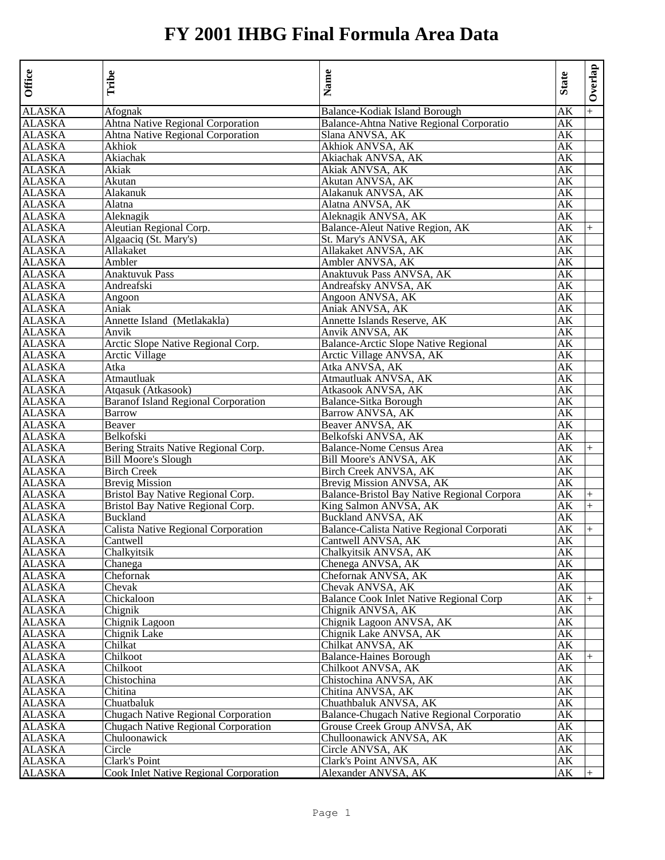| Office                  | Tribe                                         | Name                                            | <b>State</b>        | Overlap |
|-------------------------|-----------------------------------------------|-------------------------------------------------|---------------------|---------|
| <b>ALASKA</b>           | Afognak                                       | Balance-Kodiak Island Borough                   | AK                  | $+$     |
| <b>ALASKA</b>           | Ahtna Native Regional Corporation             | <b>Balance-Ahtna Native Regional Corporatio</b> | AК                  |         |
| <b>ALASKA</b>           | Ahtna Native Regional Corporation             | Slana ANVSA, AK                                 | АK                  |         |
| <b>ALASKA</b>           | Akhiok                                        | Akhiok ANVSA, AK                                | AК                  |         |
| <b>ALASKA</b>           | Akiachak                                      | Akiachak ANVSA, AK                              | АK                  |         |
| <b>ALASKA</b>           | Akiak                                         | Akiak ANVSA, AK                                 | АK                  |         |
| <b>ALASKA</b>           | Akutan                                        | Akutan ANVSA, AK                                | AК                  |         |
| <b>ALASKA</b>           | Alakanuk                                      | Alakanuk ANVSA, AK                              | AК                  |         |
| ALASKA                  | Alatna                                        | Alatna ANVSA, AK                                | AК                  |         |
| <b>ALASKA</b>           | Aleknagik                                     | Aleknagik ANVSA, AK                             | АK                  |         |
| <b>ALASKA</b>           | Aleutian Regional Corp.                       | Balance-Aleut Native Region, AK                 | AК                  | $^{+}$  |
| <b>ALASKA</b>           | Algaaciq (St. Mary's)                         | St. Mary's ANVSA, AK                            | AК                  |         |
| <b>ALASKA</b>           | Allakaket                                     | Allakaket ANVSA, AK                             | AК                  |         |
| <b>ALASKA</b>           | Ambler                                        | Ambler ANVSA, AK                                | AК                  |         |
| <b>ALASKA</b>           | Anaktuvuk Pass                                | Anaktuvuk Pass ANVSA, AK                        | AК                  |         |
| <b>ALASKA</b>           | Andreafski                                    | Andreafsky ANVSA, AK                            | AК                  |         |
| <b>ALASKA</b>           | Angoon                                        | Angoon ANVSA, AK                                | АK                  |         |
| <b>ALASKA</b>           | Aniak                                         | Aniak ANVSA, AK                                 | AК                  |         |
| <b>ALASKA</b>           | Annette Island (Metlakakla)                   | Annette Islands Reserve, AK                     | AК                  |         |
| <b>ALASKA</b>           | Anvik                                         | Anvik ANVSA, AK                                 | AК                  |         |
| <b>ALASKA</b>           | Arctic Slope Native Regional Corp.            | <b>Balance-Arctic Slope Native Regional</b>     | AК                  |         |
| <b>ALASKA</b>           | Arctic Village                                | Arctic Village ANVSA, AK                        | АK                  |         |
| <b>ALASKA</b>           | Atka                                          | Atka ANVSA, AK                                  | AК                  |         |
| <b>ALASKA</b>           | Atmautluak                                    | Atmautluak ANVSA, AK                            | АK                  |         |
| <b>ALASKA</b>           | Atqasuk (Atkasook)                            | Atkasook ANVSA, AK                              | AК                  |         |
| <b>ALASKA</b>           | <b>Baranof Island Regional Corporation</b>    | <b>Balance-Sitka Borough</b>                    | АK                  |         |
| <b>ALASKA</b>           | Barrow                                        | <b>Barrow ANVSA, AK</b>                         | АK                  |         |
| <b>ALASKA</b>           | Beaver                                        | Beaver ANVSA, AK                                | AК                  |         |
| <b>ALASKA</b>           | Belkofski                                     | Belkofski ANVSA, AK                             | АK                  |         |
| <b>ALASKA</b>           | Bering Straits Native Regional Corp.          | <b>Balance-Nome Census Area</b>                 | АK                  | $+$     |
| <b>ALASKA</b>           | <b>Bill Moore's Slough</b>                    | Bill Moore's ANVSA, AK                          | АK                  |         |
| <b>ALASKA</b>           | <b>Birch Creek</b>                            | Birch Creek ANVSA, AK                           | AК                  |         |
| <b>ALASKA</b>           | <b>Brevig Mission</b>                         | Brevig Mission ANVSA, AK                        | AК                  |         |
|                         | Bristol Bay Native Regional Corp.             | Balance-Bristol Bay Native Regional Corpora     | АK                  |         |
| <b>ALASKA</b><br>ALASKA | Bristol Bay Native Regional Corp.             | King Salmon ANVSA, AK                           | AК                  | $+$     |
| <b>ALASKA</b>           | Buckland                                      | Buckland ANVSA, AK                              |                     | $+$     |
|                         |                                               |                                                 | АK                  |         |
| <b>ALASKA</b>           | Calista Native Regional Corporation           | Balance-Calista Native Regional Corporati       | АK                  | $+$     |
| <b>ALASKA</b>           | Cantwell                                      | Cantwell ANVSA, AK                              | АK                  |         |
| ALASKA                  | Chalkyitsik                                   | Chalkyitsik ANVSA, AK                           | AК                  |         |
| <b>ALASKA</b>           | Chanega                                       | Chenega ANVSA, AK                               | AК                  |         |
| <b>ALASKA</b>           | Chefornak                                     | Chefornak ANVSA, AK                             | AК                  |         |
| ALASKA                  | Chevak                                        | Chevak ANVSA, AK                                | AК                  |         |
| <b>ALASKA</b>           | Chickaloon                                    | <b>Balance Cook Inlet Native Regional Corp</b>  | АK                  |         |
| <b>ALASKA</b>           | Chignik                                       | Chignik ANVSA, AK                               | AК                  |         |
| <b>ALASKA</b>           | Chignik Lagoon                                | Chignik Lagoon ANVSA, AK                        | AК                  |         |
| <b>ALASKA</b>           | Chignik Lake                                  | Chignik Lake ANVSA, AK                          | AК                  |         |
| ALASKA                  | Chilkat                                       | Chilkat ANVSA, AK                               | AК                  |         |
| <b>ALASKA</b>           | Chilkoot                                      | <b>Balance-Haines Borough</b>                   | AK                  | $+$     |
| <b>ALASKA</b>           | Chilkoot                                      | Chilkoot ANVSA, AK                              | $\overline{\rm AK}$ |         |
| <b>ALASKA</b>           | Chistochina                                   | Chistochina ANVSA, AK                           | АK                  |         |
| <b>ALASKA</b>           | Chitina                                       | Chitina ANVSA, AK                               | АK                  |         |
| <b>ALASKA</b>           | Chuatbaluk                                    | Chuathbaluk ANVSA, AK                           | АK                  |         |
| <b>ALASKA</b>           | <b>Chugach Native Regional Corporation</b>    | Balance-Chugach Native Regional Corporatio      | AК                  |         |
| ALASKA                  | <b>Chugach Native Regional Corporation</b>    | Grouse Creek Group ANVSA, AK                    | AΚ                  |         |
| <b>ALASKA</b>           | Chuloonawick                                  | Chulloonawick ANVSA, AK                         | АK                  |         |
| <b>ALASKA</b>           | Circle                                        | Circle ANVSA, AK                                | АK                  |         |
| <b>ALASKA</b>           | Clark's Point                                 | Clark's Point ANVSA, AK                         | АK                  |         |
| <b>ALASKA</b>           | <b>Cook Inlet Native Regional Corporation</b> | Alexander ANVSA, AK                             | AΚ                  |         |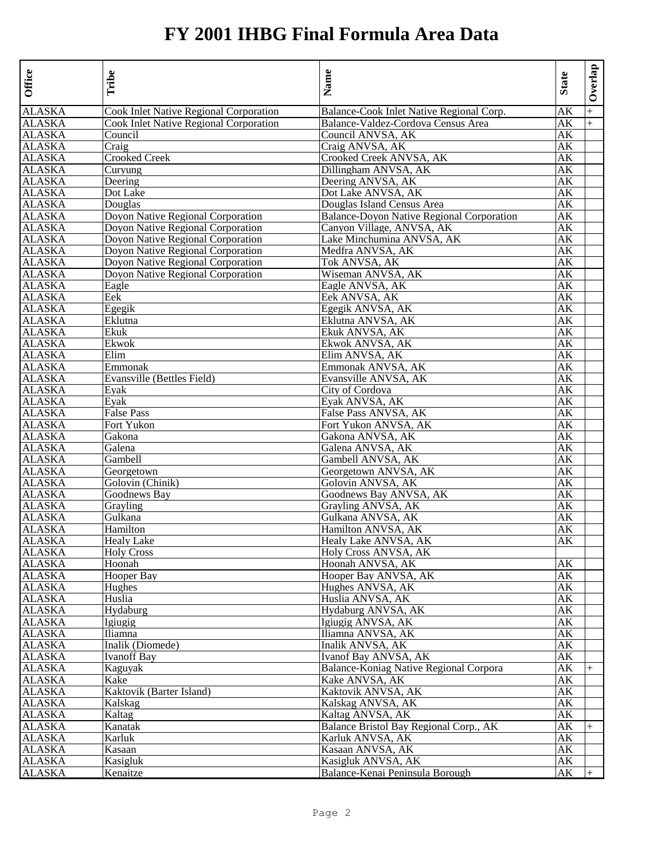| Office        | Tribe                                         | Name                                             | <b>State</b> | Overlap |
|---------------|-----------------------------------------------|--------------------------------------------------|--------------|---------|
| ALASKA        | <b>Cook Inlet Native Regional Corporation</b> | Balance-Cook Inlet Native Regional Corp.         | AK           | $+$     |
| <b>ALASKA</b> | Cook Inlet Native Regional Corporation        | Balance-Valdez-Cordova Census Area               | AК           | $+$     |
| <b>ALASKA</b> | Council                                       | Council ANVSA, AK                                | АK           |         |
| <b>ALASKA</b> | Craig                                         | Craig ANVSA, AK                                  | AК           |         |
| <b>ALASKA</b> | <b>Crooked Creek</b>                          | Crooked Creek ANVSA, AK                          | АK           |         |
| <b>ALASKA</b> | Curyung                                       | Dillingham ANVSA, AK                             | AK           |         |
| <b>ALASKA</b> | Deering                                       | Deering ANVSA, AK                                | АK           |         |
| <b>ALASKA</b> | Dot Lake                                      | Dot Lake ANVSA, AK                               | AК           |         |
| ALASKA        | Douglas                                       | Douglas Island Census Area                       | AК           |         |
| <b>ALASKA</b> | Doyon Native Regional Corporation             | <b>Balance-Doyon Native Regional Corporation</b> | АK           |         |
| <b>ALASKA</b> | Doyon Native Regional Corporation             | Canyon Village, ANVSA, AK                        | AК           |         |
| <b>ALASKA</b> | Doyon Native Regional Corporation             | Lake Minchumina ANVSA, AK                        | AК           |         |
| <b>ALASKA</b> | Doyon Native Regional Corporation             | Medfra ANVSA, AK                                 | AК           |         |
| <b>ALASKA</b> | Doyon Native Regional Corporation             | Tok ANVSA, AK                                    | АK           |         |
| <b>ALASKA</b> | Doyon Native Regional Corporation             | Wiseman ANVSA, AK                                | АK           |         |
| <b>ALASKA</b> | Eagle                                         | Eagle ANVSA, AK                                  | АK           |         |
| <b>ALASKA</b> | Eek                                           | Eek ANVSA, AK                                    | АK           |         |
| <b>ALASKA</b> | Egegik                                        | Egegik ANVSA, AK                                 | АK           |         |
| <b>ALASKA</b> | Eklutna                                       | Eklutna ANVSA, AK                                | АK           |         |
| <b>ALASKA</b> | Ekuk                                          | Ekuk ANVSA, AK                                   | AК           |         |
| <b>ALASKA</b> | Ekwok                                         | Ekwok ANVSA, AK                                  | AΚ           |         |
| <b>ALASKA</b> | Elim                                          | Elim ANVSA, AK                                   | АK           |         |
| <b>ALASKA</b> | Emmonak                                       | Emmonak ANVSA, AK                                | АK           |         |
| <b>ALASKA</b> | Evansville (Bettles Field)                    | Evansville ANVSA, AK                             | АK           |         |
| <b>ALASKA</b> | Evak                                          | City of Cordova                                  | AК           |         |
| <b>ALASKA</b> | Eyak                                          | Eyak ANVSA, AK                                   | AK           |         |
| <b>ALASKA</b> | <b>False Pass</b>                             | False Pass ANVSA, AK                             | АK           |         |
| <b>ALASKA</b> | Fort Yukon                                    | Fort Yukon ANVSA, AK                             | AК           |         |
| <b>ALASKA</b> | Gakona                                        | Gakona ANVSA, AK                                 | АK           |         |
| <b>ALASKA</b> | Galena                                        | Galena ANVSA, AK                                 | АK           |         |
| <b>ALASKA</b> | Gambell                                       | Gambell ANVSA, AK                                | АK           |         |
| <b>ALASKA</b> | Georgetown                                    | Georgetown ANVSA, AK                             | АK           |         |
| <b>ALASKA</b> | Golovin (Chinik)                              | Golovin ANVSA, AK                                | AК           |         |
| <b>ALASKA</b> | Goodnews Bay                                  | Goodnews Bay ANVSA, AK                           | АK           |         |
| <b>ALASKA</b> | Grayling                                      | Grayling ANVSA, AK                               | AК           |         |
| <b>ALASKA</b> | Gulkana                                       | Gulkana ANVSA, AK                                | АK           |         |
| <b>ALASKA</b> | Hamilton                                      | Hamilton ANVSA, AK                               | АK           |         |
| <b>ALASKA</b> | <b>Healy Lake</b>                             |                                                  | AK           |         |
| <b>ALASKA</b> |                                               | Healy Lake ANVSA, AK                             |              |         |
|               | <b>Holy Cross</b><br>Hoonah                   | Holy Cross ANVSA, AK                             | АK           |         |
| <b>ALASKA</b> |                                               | Hoonah ANVSA, AK                                 |              |         |
| <b>ALASKA</b> | Hooper Bay                                    | Hooper Bay ANVSA, AK                             | AК           |         |
| <b>ALASKA</b> | Hughes                                        | Hughes ANVSA, AK                                 | АK           |         |
| <b>ALASKA</b> | Huslia                                        | Huslia ANVSA, AK                                 | АK           |         |
| ALASKA        | Hydaburg                                      | Hydaburg ANVSA, AK                               | AК           |         |
| <b>ALASKA</b> | Igiugig                                       | Igiugig ANVSA, AK                                | АK           |         |
| <b>ALASKA</b> | Iliamna                                       | Iliamna ANVSA, AK                                | AК           |         |
| ALASKA        | Inalik (Diomede)                              | Inalik ANVSA, AK                                 | AК           |         |
| <b>ALASKA</b> | <b>Ivanoff Bay</b>                            | Ivanof Bay ANVSA, AK                             | AK           |         |
| <b>ALASKA</b> | Kaguyak                                       | Balance-Koniag Native Regional Corpora           | AK           | $+$     |
| <b>ALASKA</b> | Kake                                          | Kake ANVSA, AK                                   | АK           |         |
| <b>ALASKA</b> | Kaktovik (Barter Island)                      | Kaktovik ANVSA, AK                               | АK           |         |
| <b>ALASKA</b> | Kalskag                                       | Kalskag ANVSA, AK                                | АK           |         |
| <b>ALASKA</b> | Kaltag                                        | Kaltag ANVSA, AK                                 | AK           |         |
| ALASKA        | Kanatak                                       | Balance Bristol Bay Regional Corp., AK           | AΚ           | $+$     |
| <b>ALASKA</b> | Karluk                                        | Karluk ANVSA, AK                                 | АK           |         |
| <b>ALASKA</b> | Kasaan                                        | Kasaan ANVSA, AK                                 | АK           |         |
| ALASKA        | Kasigluk                                      | Kasigluk ANVSA, AK                               | АK           |         |
| <b>ALASKA</b> | Kenaitze                                      | Balance-Kenai Peninsula Borough                  | АK           |         |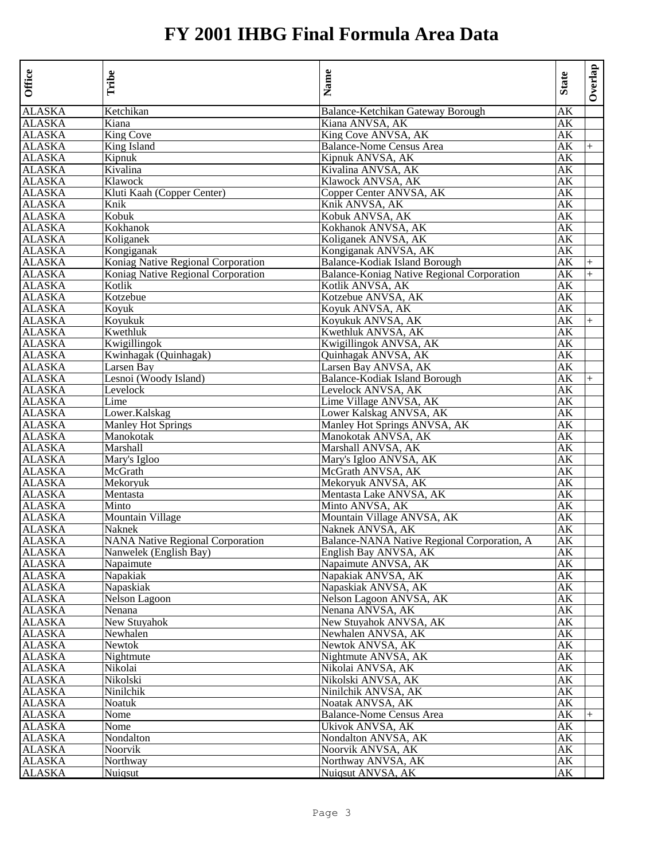| Office           | Tribe                                   | Name                                              | <b>State</b> | Overlap |
|------------------|-----------------------------------------|---------------------------------------------------|--------------|---------|
| ALASKA           | Ketchikan                               | Balance-Ketchikan Gateway Borough                 | AK           |         |
| <b>ALASKA</b>    | Kiana                                   | Kiana ANVSA, AK                                   | AK           |         |
| ALASKA           | King Cove                               | King Cove ANVSA, AK                               | AК           |         |
| ALASKA           | King Island                             | <b>Balance-Nome Census Area</b>                   | AК           | $+$     |
| ALASKA           | Kipnuk                                  | Kipnuk ANVSA, AK                                  | AК           |         |
| ALASKA           | Kivalina                                | Kivalina ANVSA, AK                                | AК           |         |
| ALASKA           | Klawock                                 | Klawock ANVSA, AK                                 | AК           |         |
| ALASKA           | Kluti Kaah (Copper Center)              | Copper Center ANVSA, AK                           | AК           |         |
| <b>ALASKA</b>    | Knik                                    | Knik ANVSA, AK                                    | AK           |         |
| ALASKA           | Kobuk                                   | Kobuk ANVSA, AK                                   | AК           |         |
| ALASKA           | Kokhanok                                | Kokhanok ANVSA, AK                                | AК           |         |
| ALASKA           | Koliganek                               | Koliganek ANVSA, AK                               | AК           |         |
| ALASKA           | Kongiganak                              | Kongiganak ANVSA, AK                              | AК           |         |
| ALASKA           | Koniag Native Regional Corporation      | Balance-Kodiak Island Borough                     | AК           | $+$     |
| ALASKA           | Koniag Native Regional Corporation      | <b>Balance-Koniag Native Regional Corporation</b> | АK           | $+$     |
| ALASKA           | Kotlik                                  | Kotlik ANVSA, AK                                  | АK           |         |
| ALASKA           | Kotzebue                                | Kotzebue ANVSA, AK                                | AК           |         |
| ALASKA           | Koyuk                                   | Koyuk ANVSA, AK                                   | AК           |         |
| ALASKA           | Koyukuk                                 | Koyukuk ANVSA, AK                                 | AК           | $+$     |
| ALASKA           | Kwethluk                                | Kwethluk ANVSA, AK                                | АK           |         |
| ALASKA           | Kwigillingok                            | Kwigillingok ANVSA, AK                            | AК           |         |
| <b>ALASKA</b>    | Kwinhagak (Quinhagak)                   | Quinhagak ANVSA, AK                               | AК           |         |
| ALASKA           | Larsen Bay                              | Larsen Bay ANVSA, AK                              | AК           |         |
| ALASKA           | Lesnoi (Woody Island)                   | Balance-Kodiak Island Borough                     | AК           | $+$     |
| ALASKA           | Levelock                                | Levelock ANVSA, AK                                | АK           |         |
| ALASKA           | Lime                                    | Lime Village ANVSA, AK                            | AК           |         |
| ALASKA           | Lower.Kalskag                           | Lower Kalskag ANVSA, AK                           | AК           |         |
| ALASKA           | <b>Manley Hot Springs</b>               | Manley Hot Springs ANVSA, AK                      | AК           |         |
| ALASKA           | Manokotak                               | Manokotak ANVSA, AK                               | AK           |         |
| ALASKA           | Marshall<br>Mary's Igloo                | Marshall ANVSA, AK                                | AК<br>AК     |         |
| ALASKA           |                                         | Mary's Igloo ANVSA, AK                            |              |         |
| ALASKA           | McGrath                                 | McGrath ANVSA, AK<br>Mekoryuk ANVSA, AK           | AК<br>AK     |         |
| ALASKA<br>ALASKA | Mekoryuk<br>Mentasta                    |                                                   | АK           |         |
| ALASKA           | Minto                                   | Mentasta Lake ANVSA, AK<br>Minto ANVSA, AK        | АK           |         |
| ALASKA           | Mountain Village                        | Mountain Village ANVSA, AK                        | АK           |         |
| <b>ALASKA</b>    | Naknek                                  | Naknek ANVSA, AK                                  | AК           |         |
| ALASKA           | <b>NANA Native Regional Corporation</b> | Balance-NANA Native Regional Corporation, A       | AК           |         |
| ALASKA           | Nanwelek (English Bay)                  | English Bay ANVSA, AK                             | АK           |         |
| ALASKA           | Napaimute                               | Napaimute ANVSA, AK                               | AК           |         |
| ALASKA           | Napakiak                                | Napakiak ANVSA, AK                                | AК           |         |
| ALASKA           | Napaskiak                               | Napaskiak ANVSA, AK                               | AК           |         |
| ALASKA           | Nelson Lagoon                           | Nelson Lagoon ANVSA, AK                           | AК           |         |
| ALASKA           | Nenana                                  | Nenana ANVSA, AK                                  | AК           |         |
| ALASKA           | New Stuyahok                            | New Stuyahok ANVSA, AK                            | AК           |         |
| ALASKA           | Newhalen                                | Newhalen ANVSA, AK                                | AК           |         |
| ALASKA           | Newtok                                  | Newtok ANVSA, AK                                  | AК           |         |
| ALASKA           | Nightmute                               | Nightmute ANVSA, AK                               | AК           |         |
| <b>ALASKA</b>    | Nikolai                                 | Nikolai ANVSA, AK                                 | AK           |         |
| ALASKA           | Nikolski                                | Nikolski ANVSA, AK                                | AK           |         |
| <b>ALASKA</b>    | Ninilchik                               | Ninilchik ANVSA, AK                               | AΚ           |         |
| <b>ALASKA</b>    | Noatuk                                  | Noatak ANVSA, AK                                  | AΚ           |         |
| <b>ALASKA</b>    | Nome                                    | <b>Balance-Nome Census Area</b>                   | AК           | $+$     |
| ALASKA           | Nome                                    | Ukivok ANVSA, AK                                  | AΚ           |         |
| <b>ALASKA</b>    | Nondalton                               | Nondalton ANVSA, AK                               | AK           |         |
| ALASKA           | Noorvik                                 | Noorvik ANVSA, AK                                 | АK           |         |
| ALASKA           | Northway                                | Northway ANVSA, AK                                | AΚ           |         |
| ALASKA           | Nuigsut                                 | Nuigsut ANVSA, AK                                 | AК           |         |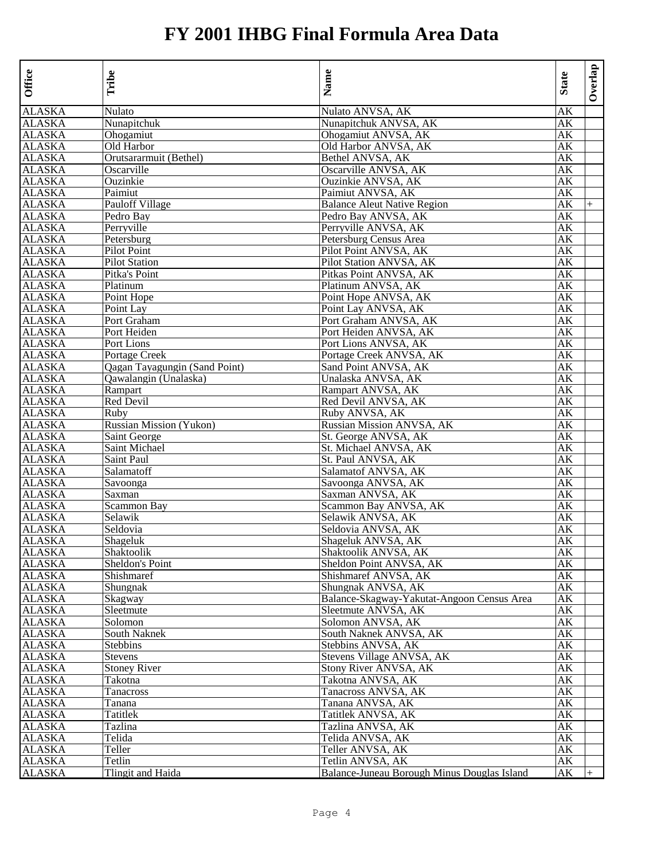| Nulato ANVSA, AK<br>Nulato<br>AK<br><b>ALASKA</b><br>Nunapitchuk<br>Nunapitchuk ANVSA, AK<br>AК<br><b>ALASKA</b><br>Ohogamiut ANVSA, AK<br>Ohogamiut<br>AK<br>Old Harbor<br>Old Harbor ANVSA, AK<br>АK<br><b>ALASKA</b><br>Orutsararmuit (Bethel)<br>Bethel ANVSA, AK<br>AK<br><b>ALASKA</b><br>Oscarville<br>Oscarville ANVSA, AK<br>AК<br>Ouzinkie ANVSA, AK<br>Ouzinkie<br>AК<br>Paimiut<br>Paimiut ANVSA, AK<br>АK<br>Pauloff Village<br><b>Balance Aleut Native Region</b><br>ALASKA<br>АK<br>$+$<br><b>ALASKA</b><br>Pedro Bav ANVSA, AK<br>AK<br>Pedro Bay<br><b>ALASKA</b><br>Perryville<br>Perryville ANVSA, AK<br>AК<br><b>ALASKA</b><br>Petersburg<br>Petersburg Census Area<br>AК<br>Pilot Point ANVSA, AK<br><b>ALASKA</b><br>Pilot Point<br>AK<br>Pilot Station ANVSA, AK<br><b>ALASKA</b><br><b>Pilot Station</b><br>AК<br><b>ALASKA</b><br>Pitka's Point<br>Pitkas Point ANVSA, AK<br>АK<br><b>ALASKA</b><br>Platinum<br>Platinum ANVSA, AK<br>AК<br><b>ALASKA</b><br>Point Hope<br>Point Hope ANVSA, AK<br>АK<br><b>ALASKA</b><br>Point Lay<br>Point Lay ANVSA, AK<br>AК<br>Port Graham ANVSA, AK<br><b>ALASKA</b><br>Port Graham<br>АK<br><b>ALASKA</b><br>Port Heiden<br>Port Heiden ANVSA, AK<br>АK<br><b>ALASKA</b><br>Port Lions<br>Port Lions ANVSA, AK<br>AК<br><b>ALASKA</b><br>Portage Creek<br>Portage Creek ANVSA, AK<br>AК<br><b>ALASKA</b><br>Qagan Tayagungin (Sand Point)<br>Sand Point ANVSA, AK<br>AK<br><b>ALASKA</b><br>Unalaska ANVSA, AK<br>Qawalangin (Unalaska)<br>AК<br>ALASKA<br>Rampart<br>Rampart ANVSA, AK<br>AК<br><b>ALASKA</b><br><b>Red Devil</b><br>Red Devil ANVSA, AK<br>AK<br><b>ALASKA</b><br>Ruby<br>Ruby ANVSA, AK<br>AК<br>Russian Mission ANVSA, AK<br><b>ALASKA</b><br><b>Russian Mission (Yukon)</b><br>AК<br><b>ALASKA</b><br>St. George ANVSA, AK<br>Saint George<br>АK<br><b>ALASKA</b><br>Saint Michael<br>St. Michael ANVSA, AK<br>АK<br><b>ALASKA</b><br>Saint Paul<br>St. Paul ANVSA, AK<br>AК<br>Salamatoff<br>Salamatof ANVSA, AK<br>AК<br>ALASKA<br>Savoonga ANVSA, AK<br><b>ALASKA</b><br>Savoonga<br>AK<br><b>ALASKA</b><br>Saxman<br>Saxman ANVSA, AK<br>AК<br>Scammon Bay<br><b>ALASKA</b><br>Scammon Bay ANVSA, AK<br>AК<br><b>ALASKA</b><br>Selawik ANVSA, AK<br>Selawik<br>AК<br><b>ALASKA</b><br>Seldovia<br>Seldovia ANVSA, AK<br>АK<br><b>ALASKA</b><br>Shageluk<br>Shageluk ANVSA, AK<br>AK<br><b>ALASKA</b><br>Shaktoolik<br>Shaktoolik ANVSA, AK<br>AК<br><b>ALASKA</b><br>Sheldon's Point<br>Sheldon Point ANVSA, AK<br>AК<br><b>ALASKA</b><br>Shishmaref<br>Shishmaref ANVSA, AK<br>АK<br>Shungnak<br>Shungnak ANVSA, AK<br>ALASKA<br>АK<br><b>ALASKA</b><br>Balance-Skagway-Yakutat-Angoon Census Area<br>Skagway<br>АK<br><b>ALASKA</b><br>Sleetmute<br>Sleetmute ANVSA, AK<br>AК<br><b>ALASKA</b><br>Solomon<br>Solomon ANVSA, AK<br>АK<br><b>ALASKA</b><br>South Naknek<br>South Naknek ANVSA, AK<br>AK<br>ALASKA<br>Stebbins<br>Stebbins ANVSA, AK<br>AK<br><b>ALASKA</b><br><b>Stevens</b><br>Stevens Village ANVSA, AK<br>AK<br><b>ALASKA</b><br><b>Stoney River</b><br>Stony River ANVSA, AK<br>AK<br><b>ALASKA</b><br>Takotna ANVSA, AK<br>Takotna<br>AΚ<br><b>ALASKA</b><br>Tanacross<br>Tanacross ANVSA, AK<br>AΚ<br>Tanana ANVSA, AK<br><b>ALASKA</b><br>Tanana<br>АK<br>Tatitlek ANVSA, AK<br><b>ALASKA</b><br>Tatitlek<br>АK<br>Tazlina ANVSA, AK<br><b>ALASKA</b><br>Tazlina<br>AΚ<br><b>ALASKA</b><br>Telida<br>Telida ANVSA, AK<br>АK<br><b>ALASKA</b><br>Teller<br>Teller ANVSA, AK<br>АK<br><b>ALASKA</b><br>Tetlin<br>Tetlin ANVSA, AK<br>AK<br>Tlingit and Haida<br>Balance-Juneau Borough Minus Douglas Island<br><b>ALASKA</b><br>АK | Office        | Tribe | Name | <b>State</b> | Overlap |
|--------------------------------------------------------------------------------------------------------------------------------------------------------------------------------------------------------------------------------------------------------------------------------------------------------------------------------------------------------------------------------------------------------------------------------------------------------------------------------------------------------------------------------------------------------------------------------------------------------------------------------------------------------------------------------------------------------------------------------------------------------------------------------------------------------------------------------------------------------------------------------------------------------------------------------------------------------------------------------------------------------------------------------------------------------------------------------------------------------------------------------------------------------------------------------------------------------------------------------------------------------------------------------------------------------------------------------------------------------------------------------------------------------------------------------------------------------------------------------------------------------------------------------------------------------------------------------------------------------------------------------------------------------------------------------------------------------------------------------------------------------------------------------------------------------------------------------------------------------------------------------------------------------------------------------------------------------------------------------------------------------------------------------------------------------------------------------------------------------------------------------------------------------------------------------------------------------------------------------------------------------------------------------------------------------------------------------------------------------------------------------------------------------------------------------------------------------------------------------------------------------------------------------------------------------------------------------------------------------------------------------------------------------------------------------------------------------------------------------------------------------------------------------------------------------------------------------------------------------------------------------------------------------------------------------------------------------------------------------------------------------------------------------------------------------------------------------------------------------------------------------------------------------------------------------------------------------------------------------------------------------------------------------------------------------------------------------------------------------------------------------------------------------------------------------------------------------------------------------------------------------------------------------------------------------------------------------------------------------------------------------------------------|---------------|-------|------|--------------|---------|
|                                                                                                                                                                                                                                                                                                                                                                                                                                                                                                                                                                                                                                                                                                                                                                                                                                                                                                                                                                                                                                                                                                                                                                                                                                                                                                                                                                                                                                                                                                                                                                                                                                                                                                                                                                                                                                                                                                                                                                                                                                                                                                                                                                                                                                                                                                                                                                                                                                                                                                                                                                                                                                                                                                                                                                                                                                                                                                                                                                                                                                                                                                                                                                                                                                                                                                                                                                                                                                                                                                                                                                                                                                                  | <b>ALASKA</b> |       |      |              |         |
|                                                                                                                                                                                                                                                                                                                                                                                                                                                                                                                                                                                                                                                                                                                                                                                                                                                                                                                                                                                                                                                                                                                                                                                                                                                                                                                                                                                                                                                                                                                                                                                                                                                                                                                                                                                                                                                                                                                                                                                                                                                                                                                                                                                                                                                                                                                                                                                                                                                                                                                                                                                                                                                                                                                                                                                                                                                                                                                                                                                                                                                                                                                                                                                                                                                                                                                                                                                                                                                                                                                                                                                                                                                  |               |       |      |              |         |
|                                                                                                                                                                                                                                                                                                                                                                                                                                                                                                                                                                                                                                                                                                                                                                                                                                                                                                                                                                                                                                                                                                                                                                                                                                                                                                                                                                                                                                                                                                                                                                                                                                                                                                                                                                                                                                                                                                                                                                                                                                                                                                                                                                                                                                                                                                                                                                                                                                                                                                                                                                                                                                                                                                                                                                                                                                                                                                                                                                                                                                                                                                                                                                                                                                                                                                                                                                                                                                                                                                                                                                                                                                                  |               |       |      |              |         |
|                                                                                                                                                                                                                                                                                                                                                                                                                                                                                                                                                                                                                                                                                                                                                                                                                                                                                                                                                                                                                                                                                                                                                                                                                                                                                                                                                                                                                                                                                                                                                                                                                                                                                                                                                                                                                                                                                                                                                                                                                                                                                                                                                                                                                                                                                                                                                                                                                                                                                                                                                                                                                                                                                                                                                                                                                                                                                                                                                                                                                                                                                                                                                                                                                                                                                                                                                                                                                                                                                                                                                                                                                                                  | <b>ALASKA</b> |       |      |              |         |
|                                                                                                                                                                                                                                                                                                                                                                                                                                                                                                                                                                                                                                                                                                                                                                                                                                                                                                                                                                                                                                                                                                                                                                                                                                                                                                                                                                                                                                                                                                                                                                                                                                                                                                                                                                                                                                                                                                                                                                                                                                                                                                                                                                                                                                                                                                                                                                                                                                                                                                                                                                                                                                                                                                                                                                                                                                                                                                                                                                                                                                                                                                                                                                                                                                                                                                                                                                                                                                                                                                                                                                                                                                                  |               |       |      |              |         |
|                                                                                                                                                                                                                                                                                                                                                                                                                                                                                                                                                                                                                                                                                                                                                                                                                                                                                                                                                                                                                                                                                                                                                                                                                                                                                                                                                                                                                                                                                                                                                                                                                                                                                                                                                                                                                                                                                                                                                                                                                                                                                                                                                                                                                                                                                                                                                                                                                                                                                                                                                                                                                                                                                                                                                                                                                                                                                                                                                                                                                                                                                                                                                                                                                                                                                                                                                                                                                                                                                                                                                                                                                                                  |               |       |      |              |         |
|                                                                                                                                                                                                                                                                                                                                                                                                                                                                                                                                                                                                                                                                                                                                                                                                                                                                                                                                                                                                                                                                                                                                                                                                                                                                                                                                                                                                                                                                                                                                                                                                                                                                                                                                                                                                                                                                                                                                                                                                                                                                                                                                                                                                                                                                                                                                                                                                                                                                                                                                                                                                                                                                                                                                                                                                                                                                                                                                                                                                                                                                                                                                                                                                                                                                                                                                                                                                                                                                                                                                                                                                                                                  | <b>ALASKA</b> |       |      |              |         |
|                                                                                                                                                                                                                                                                                                                                                                                                                                                                                                                                                                                                                                                                                                                                                                                                                                                                                                                                                                                                                                                                                                                                                                                                                                                                                                                                                                                                                                                                                                                                                                                                                                                                                                                                                                                                                                                                                                                                                                                                                                                                                                                                                                                                                                                                                                                                                                                                                                                                                                                                                                                                                                                                                                                                                                                                                                                                                                                                                                                                                                                                                                                                                                                                                                                                                                                                                                                                                                                                                                                                                                                                                                                  | <b>ALASKA</b> |       |      |              |         |
|                                                                                                                                                                                                                                                                                                                                                                                                                                                                                                                                                                                                                                                                                                                                                                                                                                                                                                                                                                                                                                                                                                                                                                                                                                                                                                                                                                                                                                                                                                                                                                                                                                                                                                                                                                                                                                                                                                                                                                                                                                                                                                                                                                                                                                                                                                                                                                                                                                                                                                                                                                                                                                                                                                                                                                                                                                                                                                                                                                                                                                                                                                                                                                                                                                                                                                                                                                                                                                                                                                                                                                                                                                                  |               |       |      |              |         |
|                                                                                                                                                                                                                                                                                                                                                                                                                                                                                                                                                                                                                                                                                                                                                                                                                                                                                                                                                                                                                                                                                                                                                                                                                                                                                                                                                                                                                                                                                                                                                                                                                                                                                                                                                                                                                                                                                                                                                                                                                                                                                                                                                                                                                                                                                                                                                                                                                                                                                                                                                                                                                                                                                                                                                                                                                                                                                                                                                                                                                                                                                                                                                                                                                                                                                                                                                                                                                                                                                                                                                                                                                                                  |               |       |      |              |         |
|                                                                                                                                                                                                                                                                                                                                                                                                                                                                                                                                                                                                                                                                                                                                                                                                                                                                                                                                                                                                                                                                                                                                                                                                                                                                                                                                                                                                                                                                                                                                                                                                                                                                                                                                                                                                                                                                                                                                                                                                                                                                                                                                                                                                                                                                                                                                                                                                                                                                                                                                                                                                                                                                                                                                                                                                                                                                                                                                                                                                                                                                                                                                                                                                                                                                                                                                                                                                                                                                                                                                                                                                                                                  |               |       |      |              |         |
|                                                                                                                                                                                                                                                                                                                                                                                                                                                                                                                                                                                                                                                                                                                                                                                                                                                                                                                                                                                                                                                                                                                                                                                                                                                                                                                                                                                                                                                                                                                                                                                                                                                                                                                                                                                                                                                                                                                                                                                                                                                                                                                                                                                                                                                                                                                                                                                                                                                                                                                                                                                                                                                                                                                                                                                                                                                                                                                                                                                                                                                                                                                                                                                                                                                                                                                                                                                                                                                                                                                                                                                                                                                  |               |       |      |              |         |
|                                                                                                                                                                                                                                                                                                                                                                                                                                                                                                                                                                                                                                                                                                                                                                                                                                                                                                                                                                                                                                                                                                                                                                                                                                                                                                                                                                                                                                                                                                                                                                                                                                                                                                                                                                                                                                                                                                                                                                                                                                                                                                                                                                                                                                                                                                                                                                                                                                                                                                                                                                                                                                                                                                                                                                                                                                                                                                                                                                                                                                                                                                                                                                                                                                                                                                                                                                                                                                                                                                                                                                                                                                                  |               |       |      |              |         |
|                                                                                                                                                                                                                                                                                                                                                                                                                                                                                                                                                                                                                                                                                                                                                                                                                                                                                                                                                                                                                                                                                                                                                                                                                                                                                                                                                                                                                                                                                                                                                                                                                                                                                                                                                                                                                                                                                                                                                                                                                                                                                                                                                                                                                                                                                                                                                                                                                                                                                                                                                                                                                                                                                                                                                                                                                                                                                                                                                                                                                                                                                                                                                                                                                                                                                                                                                                                                                                                                                                                                                                                                                                                  |               |       |      |              |         |
|                                                                                                                                                                                                                                                                                                                                                                                                                                                                                                                                                                                                                                                                                                                                                                                                                                                                                                                                                                                                                                                                                                                                                                                                                                                                                                                                                                                                                                                                                                                                                                                                                                                                                                                                                                                                                                                                                                                                                                                                                                                                                                                                                                                                                                                                                                                                                                                                                                                                                                                                                                                                                                                                                                                                                                                                                                                                                                                                                                                                                                                                                                                                                                                                                                                                                                                                                                                                                                                                                                                                                                                                                                                  |               |       |      |              |         |
|                                                                                                                                                                                                                                                                                                                                                                                                                                                                                                                                                                                                                                                                                                                                                                                                                                                                                                                                                                                                                                                                                                                                                                                                                                                                                                                                                                                                                                                                                                                                                                                                                                                                                                                                                                                                                                                                                                                                                                                                                                                                                                                                                                                                                                                                                                                                                                                                                                                                                                                                                                                                                                                                                                                                                                                                                                                                                                                                                                                                                                                                                                                                                                                                                                                                                                                                                                                                                                                                                                                                                                                                                                                  |               |       |      |              |         |
|                                                                                                                                                                                                                                                                                                                                                                                                                                                                                                                                                                                                                                                                                                                                                                                                                                                                                                                                                                                                                                                                                                                                                                                                                                                                                                                                                                                                                                                                                                                                                                                                                                                                                                                                                                                                                                                                                                                                                                                                                                                                                                                                                                                                                                                                                                                                                                                                                                                                                                                                                                                                                                                                                                                                                                                                                                                                                                                                                                                                                                                                                                                                                                                                                                                                                                                                                                                                                                                                                                                                                                                                                                                  |               |       |      |              |         |
|                                                                                                                                                                                                                                                                                                                                                                                                                                                                                                                                                                                                                                                                                                                                                                                                                                                                                                                                                                                                                                                                                                                                                                                                                                                                                                                                                                                                                                                                                                                                                                                                                                                                                                                                                                                                                                                                                                                                                                                                                                                                                                                                                                                                                                                                                                                                                                                                                                                                                                                                                                                                                                                                                                                                                                                                                                                                                                                                                                                                                                                                                                                                                                                                                                                                                                                                                                                                                                                                                                                                                                                                                                                  |               |       |      |              |         |
|                                                                                                                                                                                                                                                                                                                                                                                                                                                                                                                                                                                                                                                                                                                                                                                                                                                                                                                                                                                                                                                                                                                                                                                                                                                                                                                                                                                                                                                                                                                                                                                                                                                                                                                                                                                                                                                                                                                                                                                                                                                                                                                                                                                                                                                                                                                                                                                                                                                                                                                                                                                                                                                                                                                                                                                                                                                                                                                                                                                                                                                                                                                                                                                                                                                                                                                                                                                                                                                                                                                                                                                                                                                  |               |       |      |              |         |
|                                                                                                                                                                                                                                                                                                                                                                                                                                                                                                                                                                                                                                                                                                                                                                                                                                                                                                                                                                                                                                                                                                                                                                                                                                                                                                                                                                                                                                                                                                                                                                                                                                                                                                                                                                                                                                                                                                                                                                                                                                                                                                                                                                                                                                                                                                                                                                                                                                                                                                                                                                                                                                                                                                                                                                                                                                                                                                                                                                                                                                                                                                                                                                                                                                                                                                                                                                                                                                                                                                                                                                                                                                                  |               |       |      |              |         |
|                                                                                                                                                                                                                                                                                                                                                                                                                                                                                                                                                                                                                                                                                                                                                                                                                                                                                                                                                                                                                                                                                                                                                                                                                                                                                                                                                                                                                                                                                                                                                                                                                                                                                                                                                                                                                                                                                                                                                                                                                                                                                                                                                                                                                                                                                                                                                                                                                                                                                                                                                                                                                                                                                                                                                                                                                                                                                                                                                                                                                                                                                                                                                                                                                                                                                                                                                                                                                                                                                                                                                                                                                                                  |               |       |      |              |         |
|                                                                                                                                                                                                                                                                                                                                                                                                                                                                                                                                                                                                                                                                                                                                                                                                                                                                                                                                                                                                                                                                                                                                                                                                                                                                                                                                                                                                                                                                                                                                                                                                                                                                                                                                                                                                                                                                                                                                                                                                                                                                                                                                                                                                                                                                                                                                                                                                                                                                                                                                                                                                                                                                                                                                                                                                                                                                                                                                                                                                                                                                                                                                                                                                                                                                                                                                                                                                                                                                                                                                                                                                                                                  |               |       |      |              |         |
|                                                                                                                                                                                                                                                                                                                                                                                                                                                                                                                                                                                                                                                                                                                                                                                                                                                                                                                                                                                                                                                                                                                                                                                                                                                                                                                                                                                                                                                                                                                                                                                                                                                                                                                                                                                                                                                                                                                                                                                                                                                                                                                                                                                                                                                                                                                                                                                                                                                                                                                                                                                                                                                                                                                                                                                                                                                                                                                                                                                                                                                                                                                                                                                                                                                                                                                                                                                                                                                                                                                                                                                                                                                  |               |       |      |              |         |
|                                                                                                                                                                                                                                                                                                                                                                                                                                                                                                                                                                                                                                                                                                                                                                                                                                                                                                                                                                                                                                                                                                                                                                                                                                                                                                                                                                                                                                                                                                                                                                                                                                                                                                                                                                                                                                                                                                                                                                                                                                                                                                                                                                                                                                                                                                                                                                                                                                                                                                                                                                                                                                                                                                                                                                                                                                                                                                                                                                                                                                                                                                                                                                                                                                                                                                                                                                                                                                                                                                                                                                                                                                                  |               |       |      |              |         |
|                                                                                                                                                                                                                                                                                                                                                                                                                                                                                                                                                                                                                                                                                                                                                                                                                                                                                                                                                                                                                                                                                                                                                                                                                                                                                                                                                                                                                                                                                                                                                                                                                                                                                                                                                                                                                                                                                                                                                                                                                                                                                                                                                                                                                                                                                                                                                                                                                                                                                                                                                                                                                                                                                                                                                                                                                                                                                                                                                                                                                                                                                                                                                                                                                                                                                                                                                                                                                                                                                                                                                                                                                                                  |               |       |      |              |         |
|                                                                                                                                                                                                                                                                                                                                                                                                                                                                                                                                                                                                                                                                                                                                                                                                                                                                                                                                                                                                                                                                                                                                                                                                                                                                                                                                                                                                                                                                                                                                                                                                                                                                                                                                                                                                                                                                                                                                                                                                                                                                                                                                                                                                                                                                                                                                                                                                                                                                                                                                                                                                                                                                                                                                                                                                                                                                                                                                                                                                                                                                                                                                                                                                                                                                                                                                                                                                                                                                                                                                                                                                                                                  |               |       |      |              |         |
|                                                                                                                                                                                                                                                                                                                                                                                                                                                                                                                                                                                                                                                                                                                                                                                                                                                                                                                                                                                                                                                                                                                                                                                                                                                                                                                                                                                                                                                                                                                                                                                                                                                                                                                                                                                                                                                                                                                                                                                                                                                                                                                                                                                                                                                                                                                                                                                                                                                                                                                                                                                                                                                                                                                                                                                                                                                                                                                                                                                                                                                                                                                                                                                                                                                                                                                                                                                                                                                                                                                                                                                                                                                  |               |       |      |              |         |
|                                                                                                                                                                                                                                                                                                                                                                                                                                                                                                                                                                                                                                                                                                                                                                                                                                                                                                                                                                                                                                                                                                                                                                                                                                                                                                                                                                                                                                                                                                                                                                                                                                                                                                                                                                                                                                                                                                                                                                                                                                                                                                                                                                                                                                                                                                                                                                                                                                                                                                                                                                                                                                                                                                                                                                                                                                                                                                                                                                                                                                                                                                                                                                                                                                                                                                                                                                                                                                                                                                                                                                                                                                                  |               |       |      |              |         |
|                                                                                                                                                                                                                                                                                                                                                                                                                                                                                                                                                                                                                                                                                                                                                                                                                                                                                                                                                                                                                                                                                                                                                                                                                                                                                                                                                                                                                                                                                                                                                                                                                                                                                                                                                                                                                                                                                                                                                                                                                                                                                                                                                                                                                                                                                                                                                                                                                                                                                                                                                                                                                                                                                                                                                                                                                                                                                                                                                                                                                                                                                                                                                                                                                                                                                                                                                                                                                                                                                                                                                                                                                                                  |               |       |      |              |         |
|                                                                                                                                                                                                                                                                                                                                                                                                                                                                                                                                                                                                                                                                                                                                                                                                                                                                                                                                                                                                                                                                                                                                                                                                                                                                                                                                                                                                                                                                                                                                                                                                                                                                                                                                                                                                                                                                                                                                                                                                                                                                                                                                                                                                                                                                                                                                                                                                                                                                                                                                                                                                                                                                                                                                                                                                                                                                                                                                                                                                                                                                                                                                                                                                                                                                                                                                                                                                                                                                                                                                                                                                                                                  |               |       |      |              |         |
|                                                                                                                                                                                                                                                                                                                                                                                                                                                                                                                                                                                                                                                                                                                                                                                                                                                                                                                                                                                                                                                                                                                                                                                                                                                                                                                                                                                                                                                                                                                                                                                                                                                                                                                                                                                                                                                                                                                                                                                                                                                                                                                                                                                                                                                                                                                                                                                                                                                                                                                                                                                                                                                                                                                                                                                                                                                                                                                                                                                                                                                                                                                                                                                                                                                                                                                                                                                                                                                                                                                                                                                                                                                  |               |       |      |              |         |
|                                                                                                                                                                                                                                                                                                                                                                                                                                                                                                                                                                                                                                                                                                                                                                                                                                                                                                                                                                                                                                                                                                                                                                                                                                                                                                                                                                                                                                                                                                                                                                                                                                                                                                                                                                                                                                                                                                                                                                                                                                                                                                                                                                                                                                                                                                                                                                                                                                                                                                                                                                                                                                                                                                                                                                                                                                                                                                                                                                                                                                                                                                                                                                                                                                                                                                                                                                                                                                                                                                                                                                                                                                                  |               |       |      |              |         |
|                                                                                                                                                                                                                                                                                                                                                                                                                                                                                                                                                                                                                                                                                                                                                                                                                                                                                                                                                                                                                                                                                                                                                                                                                                                                                                                                                                                                                                                                                                                                                                                                                                                                                                                                                                                                                                                                                                                                                                                                                                                                                                                                                                                                                                                                                                                                                                                                                                                                                                                                                                                                                                                                                                                                                                                                                                                                                                                                                                                                                                                                                                                                                                                                                                                                                                                                                                                                                                                                                                                                                                                                                                                  |               |       |      |              |         |
|                                                                                                                                                                                                                                                                                                                                                                                                                                                                                                                                                                                                                                                                                                                                                                                                                                                                                                                                                                                                                                                                                                                                                                                                                                                                                                                                                                                                                                                                                                                                                                                                                                                                                                                                                                                                                                                                                                                                                                                                                                                                                                                                                                                                                                                                                                                                                                                                                                                                                                                                                                                                                                                                                                                                                                                                                                                                                                                                                                                                                                                                                                                                                                                                                                                                                                                                                                                                                                                                                                                                                                                                                                                  |               |       |      |              |         |
|                                                                                                                                                                                                                                                                                                                                                                                                                                                                                                                                                                                                                                                                                                                                                                                                                                                                                                                                                                                                                                                                                                                                                                                                                                                                                                                                                                                                                                                                                                                                                                                                                                                                                                                                                                                                                                                                                                                                                                                                                                                                                                                                                                                                                                                                                                                                                                                                                                                                                                                                                                                                                                                                                                                                                                                                                                                                                                                                                                                                                                                                                                                                                                                                                                                                                                                                                                                                                                                                                                                                                                                                                                                  |               |       |      |              |         |
|                                                                                                                                                                                                                                                                                                                                                                                                                                                                                                                                                                                                                                                                                                                                                                                                                                                                                                                                                                                                                                                                                                                                                                                                                                                                                                                                                                                                                                                                                                                                                                                                                                                                                                                                                                                                                                                                                                                                                                                                                                                                                                                                                                                                                                                                                                                                                                                                                                                                                                                                                                                                                                                                                                                                                                                                                                                                                                                                                                                                                                                                                                                                                                                                                                                                                                                                                                                                                                                                                                                                                                                                                                                  |               |       |      |              |         |
|                                                                                                                                                                                                                                                                                                                                                                                                                                                                                                                                                                                                                                                                                                                                                                                                                                                                                                                                                                                                                                                                                                                                                                                                                                                                                                                                                                                                                                                                                                                                                                                                                                                                                                                                                                                                                                                                                                                                                                                                                                                                                                                                                                                                                                                                                                                                                                                                                                                                                                                                                                                                                                                                                                                                                                                                                                                                                                                                                                                                                                                                                                                                                                                                                                                                                                                                                                                                                                                                                                                                                                                                                                                  |               |       |      |              |         |
|                                                                                                                                                                                                                                                                                                                                                                                                                                                                                                                                                                                                                                                                                                                                                                                                                                                                                                                                                                                                                                                                                                                                                                                                                                                                                                                                                                                                                                                                                                                                                                                                                                                                                                                                                                                                                                                                                                                                                                                                                                                                                                                                                                                                                                                                                                                                                                                                                                                                                                                                                                                                                                                                                                                                                                                                                                                                                                                                                                                                                                                                                                                                                                                                                                                                                                                                                                                                                                                                                                                                                                                                                                                  |               |       |      |              |         |
|                                                                                                                                                                                                                                                                                                                                                                                                                                                                                                                                                                                                                                                                                                                                                                                                                                                                                                                                                                                                                                                                                                                                                                                                                                                                                                                                                                                                                                                                                                                                                                                                                                                                                                                                                                                                                                                                                                                                                                                                                                                                                                                                                                                                                                                                                                                                                                                                                                                                                                                                                                                                                                                                                                                                                                                                                                                                                                                                                                                                                                                                                                                                                                                                                                                                                                                                                                                                                                                                                                                                                                                                                                                  |               |       |      |              |         |
|                                                                                                                                                                                                                                                                                                                                                                                                                                                                                                                                                                                                                                                                                                                                                                                                                                                                                                                                                                                                                                                                                                                                                                                                                                                                                                                                                                                                                                                                                                                                                                                                                                                                                                                                                                                                                                                                                                                                                                                                                                                                                                                                                                                                                                                                                                                                                                                                                                                                                                                                                                                                                                                                                                                                                                                                                                                                                                                                                                                                                                                                                                                                                                                                                                                                                                                                                                                                                                                                                                                                                                                                                                                  |               |       |      |              |         |
|                                                                                                                                                                                                                                                                                                                                                                                                                                                                                                                                                                                                                                                                                                                                                                                                                                                                                                                                                                                                                                                                                                                                                                                                                                                                                                                                                                                                                                                                                                                                                                                                                                                                                                                                                                                                                                                                                                                                                                                                                                                                                                                                                                                                                                                                                                                                                                                                                                                                                                                                                                                                                                                                                                                                                                                                                                                                                                                                                                                                                                                                                                                                                                                                                                                                                                                                                                                                                                                                                                                                                                                                                                                  |               |       |      |              |         |
|                                                                                                                                                                                                                                                                                                                                                                                                                                                                                                                                                                                                                                                                                                                                                                                                                                                                                                                                                                                                                                                                                                                                                                                                                                                                                                                                                                                                                                                                                                                                                                                                                                                                                                                                                                                                                                                                                                                                                                                                                                                                                                                                                                                                                                                                                                                                                                                                                                                                                                                                                                                                                                                                                                                                                                                                                                                                                                                                                                                                                                                                                                                                                                                                                                                                                                                                                                                                                                                                                                                                                                                                                                                  |               |       |      |              |         |
|                                                                                                                                                                                                                                                                                                                                                                                                                                                                                                                                                                                                                                                                                                                                                                                                                                                                                                                                                                                                                                                                                                                                                                                                                                                                                                                                                                                                                                                                                                                                                                                                                                                                                                                                                                                                                                                                                                                                                                                                                                                                                                                                                                                                                                                                                                                                                                                                                                                                                                                                                                                                                                                                                                                                                                                                                                                                                                                                                                                                                                                                                                                                                                                                                                                                                                                                                                                                                                                                                                                                                                                                                                                  |               |       |      |              |         |
|                                                                                                                                                                                                                                                                                                                                                                                                                                                                                                                                                                                                                                                                                                                                                                                                                                                                                                                                                                                                                                                                                                                                                                                                                                                                                                                                                                                                                                                                                                                                                                                                                                                                                                                                                                                                                                                                                                                                                                                                                                                                                                                                                                                                                                                                                                                                                                                                                                                                                                                                                                                                                                                                                                                                                                                                                                                                                                                                                                                                                                                                                                                                                                                                                                                                                                                                                                                                                                                                                                                                                                                                                                                  |               |       |      |              |         |
|                                                                                                                                                                                                                                                                                                                                                                                                                                                                                                                                                                                                                                                                                                                                                                                                                                                                                                                                                                                                                                                                                                                                                                                                                                                                                                                                                                                                                                                                                                                                                                                                                                                                                                                                                                                                                                                                                                                                                                                                                                                                                                                                                                                                                                                                                                                                                                                                                                                                                                                                                                                                                                                                                                                                                                                                                                                                                                                                                                                                                                                                                                                                                                                                                                                                                                                                                                                                                                                                                                                                                                                                                                                  |               |       |      |              |         |
|                                                                                                                                                                                                                                                                                                                                                                                                                                                                                                                                                                                                                                                                                                                                                                                                                                                                                                                                                                                                                                                                                                                                                                                                                                                                                                                                                                                                                                                                                                                                                                                                                                                                                                                                                                                                                                                                                                                                                                                                                                                                                                                                                                                                                                                                                                                                                                                                                                                                                                                                                                                                                                                                                                                                                                                                                                                                                                                                                                                                                                                                                                                                                                                                                                                                                                                                                                                                                                                                                                                                                                                                                                                  |               |       |      |              |         |
|                                                                                                                                                                                                                                                                                                                                                                                                                                                                                                                                                                                                                                                                                                                                                                                                                                                                                                                                                                                                                                                                                                                                                                                                                                                                                                                                                                                                                                                                                                                                                                                                                                                                                                                                                                                                                                                                                                                                                                                                                                                                                                                                                                                                                                                                                                                                                                                                                                                                                                                                                                                                                                                                                                                                                                                                                                                                                                                                                                                                                                                                                                                                                                                                                                                                                                                                                                                                                                                                                                                                                                                                                                                  |               |       |      |              |         |
|                                                                                                                                                                                                                                                                                                                                                                                                                                                                                                                                                                                                                                                                                                                                                                                                                                                                                                                                                                                                                                                                                                                                                                                                                                                                                                                                                                                                                                                                                                                                                                                                                                                                                                                                                                                                                                                                                                                                                                                                                                                                                                                                                                                                                                                                                                                                                                                                                                                                                                                                                                                                                                                                                                                                                                                                                                                                                                                                                                                                                                                                                                                                                                                                                                                                                                                                                                                                                                                                                                                                                                                                                                                  |               |       |      |              |         |
|                                                                                                                                                                                                                                                                                                                                                                                                                                                                                                                                                                                                                                                                                                                                                                                                                                                                                                                                                                                                                                                                                                                                                                                                                                                                                                                                                                                                                                                                                                                                                                                                                                                                                                                                                                                                                                                                                                                                                                                                                                                                                                                                                                                                                                                                                                                                                                                                                                                                                                                                                                                                                                                                                                                                                                                                                                                                                                                                                                                                                                                                                                                                                                                                                                                                                                                                                                                                                                                                                                                                                                                                                                                  |               |       |      |              |         |
|                                                                                                                                                                                                                                                                                                                                                                                                                                                                                                                                                                                                                                                                                                                                                                                                                                                                                                                                                                                                                                                                                                                                                                                                                                                                                                                                                                                                                                                                                                                                                                                                                                                                                                                                                                                                                                                                                                                                                                                                                                                                                                                                                                                                                                                                                                                                                                                                                                                                                                                                                                                                                                                                                                                                                                                                                                                                                                                                                                                                                                                                                                                                                                                                                                                                                                                                                                                                                                                                                                                                                                                                                                                  |               |       |      |              |         |
|                                                                                                                                                                                                                                                                                                                                                                                                                                                                                                                                                                                                                                                                                                                                                                                                                                                                                                                                                                                                                                                                                                                                                                                                                                                                                                                                                                                                                                                                                                                                                                                                                                                                                                                                                                                                                                                                                                                                                                                                                                                                                                                                                                                                                                                                                                                                                                                                                                                                                                                                                                                                                                                                                                                                                                                                                                                                                                                                                                                                                                                                                                                                                                                                                                                                                                                                                                                                                                                                                                                                                                                                                                                  |               |       |      |              |         |
|                                                                                                                                                                                                                                                                                                                                                                                                                                                                                                                                                                                                                                                                                                                                                                                                                                                                                                                                                                                                                                                                                                                                                                                                                                                                                                                                                                                                                                                                                                                                                                                                                                                                                                                                                                                                                                                                                                                                                                                                                                                                                                                                                                                                                                                                                                                                                                                                                                                                                                                                                                                                                                                                                                                                                                                                                                                                                                                                                                                                                                                                                                                                                                                                                                                                                                                                                                                                                                                                                                                                                                                                                                                  |               |       |      |              |         |
|                                                                                                                                                                                                                                                                                                                                                                                                                                                                                                                                                                                                                                                                                                                                                                                                                                                                                                                                                                                                                                                                                                                                                                                                                                                                                                                                                                                                                                                                                                                                                                                                                                                                                                                                                                                                                                                                                                                                                                                                                                                                                                                                                                                                                                                                                                                                                                                                                                                                                                                                                                                                                                                                                                                                                                                                                                                                                                                                                                                                                                                                                                                                                                                                                                                                                                                                                                                                                                                                                                                                                                                                                                                  |               |       |      |              |         |
|                                                                                                                                                                                                                                                                                                                                                                                                                                                                                                                                                                                                                                                                                                                                                                                                                                                                                                                                                                                                                                                                                                                                                                                                                                                                                                                                                                                                                                                                                                                                                                                                                                                                                                                                                                                                                                                                                                                                                                                                                                                                                                                                                                                                                                                                                                                                                                                                                                                                                                                                                                                                                                                                                                                                                                                                                                                                                                                                                                                                                                                                                                                                                                                                                                                                                                                                                                                                                                                                                                                                                                                                                                                  |               |       |      |              |         |
|                                                                                                                                                                                                                                                                                                                                                                                                                                                                                                                                                                                                                                                                                                                                                                                                                                                                                                                                                                                                                                                                                                                                                                                                                                                                                                                                                                                                                                                                                                                                                                                                                                                                                                                                                                                                                                                                                                                                                                                                                                                                                                                                                                                                                                                                                                                                                                                                                                                                                                                                                                                                                                                                                                                                                                                                                                                                                                                                                                                                                                                                                                                                                                                                                                                                                                                                                                                                                                                                                                                                                                                                                                                  |               |       |      |              |         |
|                                                                                                                                                                                                                                                                                                                                                                                                                                                                                                                                                                                                                                                                                                                                                                                                                                                                                                                                                                                                                                                                                                                                                                                                                                                                                                                                                                                                                                                                                                                                                                                                                                                                                                                                                                                                                                                                                                                                                                                                                                                                                                                                                                                                                                                                                                                                                                                                                                                                                                                                                                                                                                                                                                                                                                                                                                                                                                                                                                                                                                                                                                                                                                                                                                                                                                                                                                                                                                                                                                                                                                                                                                                  |               |       |      |              |         |
|                                                                                                                                                                                                                                                                                                                                                                                                                                                                                                                                                                                                                                                                                                                                                                                                                                                                                                                                                                                                                                                                                                                                                                                                                                                                                                                                                                                                                                                                                                                                                                                                                                                                                                                                                                                                                                                                                                                                                                                                                                                                                                                                                                                                                                                                                                                                                                                                                                                                                                                                                                                                                                                                                                                                                                                                                                                                                                                                                                                                                                                                                                                                                                                                                                                                                                                                                                                                                                                                                                                                                                                                                                                  |               |       |      |              |         |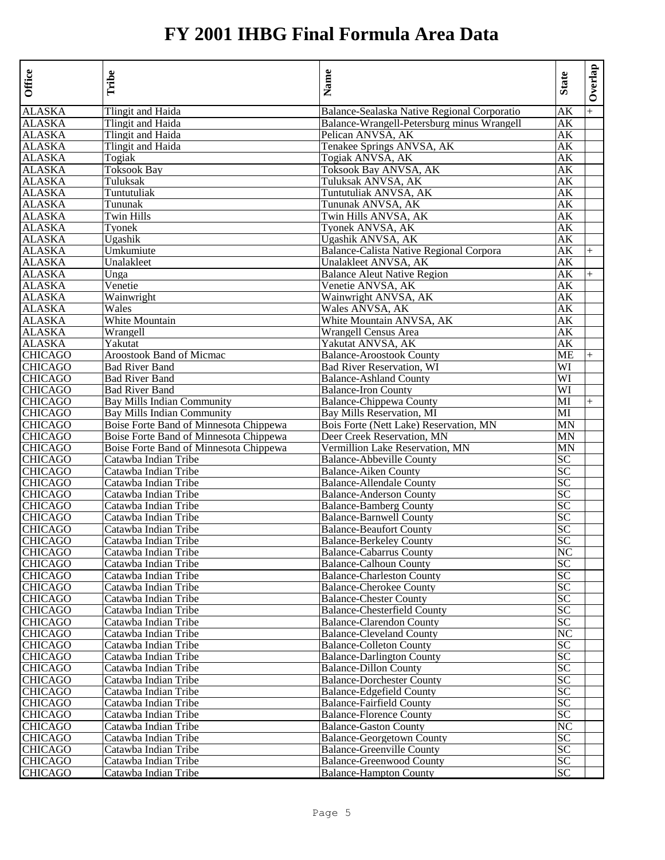| Office                    | Tribe                                  | Name                                        | <b>State</b>    | Overlap |
|---------------------------|----------------------------------------|---------------------------------------------|-----------------|---------|
| <b>ALASKA</b>             | Tlingit and Haida                      | Balance-Sealaska Native Regional Corporatio | AK              | $+$     |
| <b>ALASKA</b>             | Tlingit and Haida                      | Balance-Wrangell-Petersburg minus Wrangell  | AК              |         |
| <b>ALASKA</b>             | Tlingit and Haida                      | Pelican ANVSA, AK                           | АK              |         |
| <b>ALASKA</b>             | Tlingit and Haida                      | Tenakee Springs ANVSA, AK                   | AК              |         |
| <b>ALASKA</b>             | Togiak                                 | Togiak ANVSA, AK                            | АK              |         |
| <b>ALASKA</b>             | <b>Toksook Bay</b>                     | Toksook Bay ANVSA, AK                       | AК              |         |
| <b>ALASKA</b>             | Tuluksak                               | Tuluksak ANVSA, AK                          | AК              |         |
| <b>ALASKA</b>             | Tuntutuliak                            | Tuntutuliak ANVSA, AK                       | AК              |         |
| ALASKA                    | Tununak                                | Tununak ANVSA, AK                           | АK              |         |
| <b>ALASKA</b>             | Twin Hills                             | Twin Hills ANVSA, AK                        | АK              |         |
| <b>ALASKA</b>             | Tyonek                                 | Tyonek ANVSA, AK                            | AК              |         |
| <b>ALASKA</b>             | Ugashik                                | Ugashik ANVSA, AK                           | AК              |         |
| <b>ALASKA</b>             | Umkumiute                              | Balance-Calista Native Regional Corpora     | AК              | $+$     |
| <b>ALASKA</b>             | Unalakleet                             | Unalakleet ANVSA, AK                        | АK              |         |
| <b>ALASKA</b>             | Unga                                   | <b>Balance Aleut Native Region</b>          | АK              | $^{+}$  |
| <b>ALASKA</b>             | Venetie                                | Venetie ANVSA, AK                           | AК              |         |
| <b>ALASKA</b>             | Wainwright                             | Wainwright ANVSA, AK                        | АK              |         |
| <b>ALASKA</b>             | Wales                                  | Wales ANVSA, AK                             | AК              |         |
| <b>ALASKA</b>             | White Mountain                         | White Mountain ANVSA, AK                    | АK              |         |
| <b>ALASKA</b>             | Wrangell                               | Wrangell Census Area                        | АK              |         |
| <b>ALASKA</b>             | Yakutat                                | Yakutat ANVSA, AK                           | AК              |         |
| <b>CHICAGO</b>            | <b>Aroostook Band of Micmac</b>        | <b>Balance-Aroostook County</b>             | МE              | $^{+}$  |
| <b>CHICAGO</b>            | <b>Bad River Band</b>                  | Bad River Reservation, WI                   | WI              |         |
| <b>CHICAGO</b>            | <b>Bad River Band</b>                  | <b>Balance-Ashland County</b>               | WI              |         |
| <b>CHICAGO</b>            | <b>Bad River Band</b>                  | <b>Balance-Iron County</b>                  | WI              |         |
| <b>CHICAGO</b>            | <b>Bay Mills Indian Community</b>      | <b>Balance-Chippewa County</b>              | MI              | $^{+}$  |
| <b>CHICAGO</b>            | <b>Bay Mills Indian Community</b>      | Bay Mills Reservation, MI                   | MI              |         |
| <b>CHICAGO</b>            | Boise Forte Band of Minnesota Chippewa | Bois Forte (Nett Lake) Reservation, MN      | MN              |         |
| <b>CHICAGO</b>            | Boise Forte Band of Minnesota Chippewa | Deer Creek Reservation, MN                  | MN              |         |
| <b>CHICAGO</b>            | Boise Forte Band of Minnesota Chippewa | Vermillion Lake Reservation, MN             | MN              |         |
| <b>CHICAGO</b>            | Catawba Indian Tribe                   | <b>Balance-Abbeville County</b>             | SC              |         |
| <b>CHICAGO</b>            | Catawba Indian Tribe                   | <b>Balance-Aiken County</b>                 | <b>SC</b>       |         |
| <b>CHICAGO</b>            | Catawba Indian Tribe                   | <b>Balance-Allendale County</b>             | SC              |         |
| <b>CHICAGO</b>            | Catawba Indian Tribe                   | <b>Balance-Anderson County</b>              | SC              |         |
| <b>CHICAGO</b>            | Catawba Indian Tribe                   | <b>Balance-Bamberg County</b>               | SC              |         |
| <b>CHICAGO</b>            | Catawba Indian Tribe                   | <b>Balance-Barnwell County</b>              | SC              |         |
| <b>CHICAGO</b>            | Catawba Indian Tribe                   | <b>Balance-Beaufort County</b>              | SC              |         |
| <b>CHICAGO</b>            | Catawba Indian Tribe                   | <b>Balance-Berkeley County</b>              | SC              |         |
| <b>CHICAGO</b>            | Catawba Indian Tribe                   | <b>Balance-Cabarrus County</b>              | NC              |         |
| <b>CHICAGO</b>            | Catawba Indian Tribe                   | <b>Balance-Calhoun County</b>               | SC              |         |
| <b>CHICAGO</b>            | Catawba Indian Tribe                   | <b>Balance-Charleston County</b>            | SC              |         |
| <b>CHICAGO</b>            | Catawba Indian Tribe                   | <b>Balance-Cherokee County</b>              | SC              |         |
| <b>CHICAGO</b>            | Catawba Indian Tribe                   | <b>Balance-Chester County</b>               | SC              |         |
| <b>CHICAGO</b>            | Catawba Indian Tribe                   | <b>Balance-Chesterfield County</b>          | SС              |         |
| <b>CHICAGO</b>            | Catawba Indian Tribe                   | <b>Balance-Clarendon County</b>             | SC              |         |
| <b>CHICAGO</b>            | Catawba Indian Tribe                   | <b>Balance-Cleveland County</b>             | NC              |         |
| <b>CHICAGO</b>            | Catawba Indian Tribe                   | <b>Balance-Colleton County</b>              | SC              |         |
|                           | Catawba Indian Tribe                   | <b>Balance-Darlington County</b>            | SC              |         |
| <b>CHICAGO</b><br>CHICAGO | Catawba Indian Tribe                   | <b>Balance-Dillon County</b>                | SC              |         |
| <b>CHICAGO</b>            | Catawba Indian Tribe                   | <b>Balance-Dorchester County</b>            | SC              |         |
| <b>CHICAGO</b>            | Catawba Indian Tribe                   | <b>Balance-Edgefield County</b>             | SC              |         |
| <b>CHICAGO</b>            | Catawba Indian Tribe                   | <b>Balance-Fairfield County</b>             | $\overline{SC}$ |         |
| <b>CHICAGO</b>            | Catawba Indian Tribe                   | <b>Balance-Florence County</b>              | SC              |         |
| <b>CHICAGO</b>            | Catawba Indian Tribe                   | <b>Balance-Gaston County</b>                | NC              |         |
| <b>CHICAGO</b>            | Catawba Indian Tribe                   | <b>Balance-Georgetown County</b>            | $\overline{SC}$ |         |
| <b>CHICAGO</b>            | Catawba Indian Tribe                   | <b>Balance-Greenville County</b>            | <b>SC</b>       |         |
| <b>CHICAGO</b>            | Catawba Indian Tribe                   | <b>Balance-Greenwood County</b>             | <b>SC</b>       |         |
| <b>CHICAGO</b>            |                                        |                                             |                 |         |
|                           | Catawba Indian Tribe                   | <b>Balance-Hampton County</b>               | SC              |         |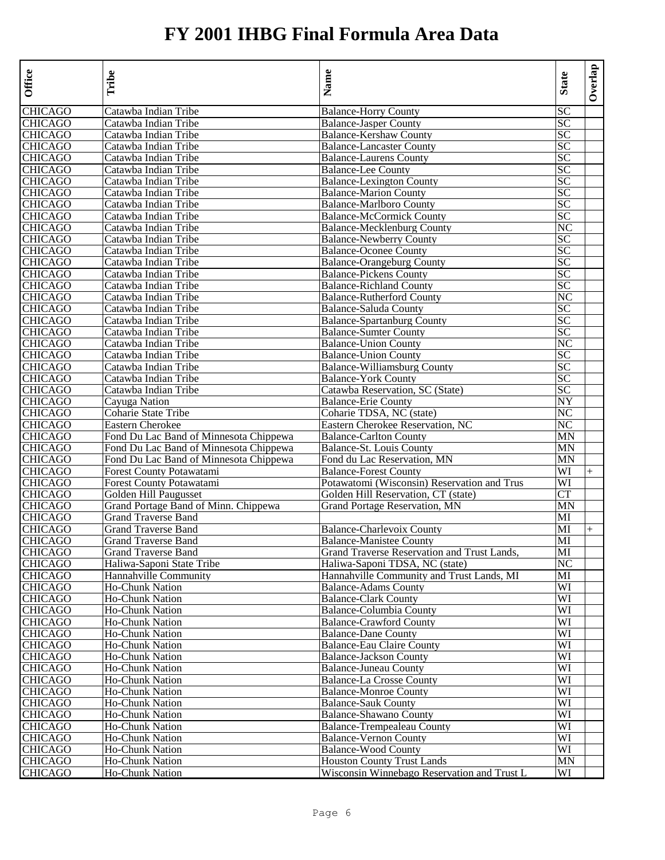| <b>CHICAGO</b><br>Catawba Indian Tribe<br><b>Balance-Horry County</b><br><b>CHICAGO</b><br>Catawba Indian Tribe<br><b>Balance-Jasper County</b><br>Catawba Indian Tribe<br><b>Balance-Kershaw County</b><br>Catawba Indian Tribe<br><b>Balance-Lancaster County</b><br>Catawba Indian Tribe<br><b>Balance-Laurens County</b> | SC<br>SC<br>SC<br>SC<br>SC<br>SC<br>SC<br>SC<br>SС<br>SC<br>NC<br>SC<br>$\overline{SC}$ |        |
|------------------------------------------------------------------------------------------------------------------------------------------------------------------------------------------------------------------------------------------------------------------------------------------------------------------------------|-----------------------------------------------------------------------------------------|--------|
| <b>CHICAGO</b>                                                                                                                                                                                                                                                                                                               |                                                                                         |        |
| <b>CHICAGO</b><br><b>CHICAGO</b>                                                                                                                                                                                                                                                                                             |                                                                                         |        |
|                                                                                                                                                                                                                                                                                                                              |                                                                                         |        |
|                                                                                                                                                                                                                                                                                                                              |                                                                                         |        |
|                                                                                                                                                                                                                                                                                                                              |                                                                                         |        |
| <b>CHICAGO</b><br>Catawba Indian Tribe<br><b>Balance-Lee County</b>                                                                                                                                                                                                                                                          |                                                                                         |        |
| <b>CHICAGO</b><br>Catawba Indian Tribe<br><b>Balance-Lexington County</b>                                                                                                                                                                                                                                                    |                                                                                         |        |
| <b>CHICAGO</b><br>Catawba Indian Tribe<br><b>Balance-Marion County</b>                                                                                                                                                                                                                                                       |                                                                                         |        |
| Catawba Indian Tribe<br><b>Balance-Marlboro County</b><br><b>CHICAGO</b>                                                                                                                                                                                                                                                     |                                                                                         |        |
| <b>CHICAGO</b><br>Catawba Indian Tribe<br><b>Balance-McCormick County</b>                                                                                                                                                                                                                                                    |                                                                                         |        |
| <b>CHICAGO</b><br>Catawba Indian Tribe<br><b>Balance-Mecklenburg County</b>                                                                                                                                                                                                                                                  |                                                                                         |        |
| <b>CHICAGO</b><br>Catawba Indian Tribe<br><b>Balance-Newberry County</b>                                                                                                                                                                                                                                                     |                                                                                         |        |
| <b>CHICAGO</b><br><b>Balance-Oconee County</b><br>Catawba Indian Tribe                                                                                                                                                                                                                                                       |                                                                                         |        |
| <b>CHICAGO</b><br><b>Balance-Orangeburg County</b><br>Catawba Indian Tribe                                                                                                                                                                                                                                                   | SC                                                                                      |        |
| <b>CHICAGO</b><br>Catawba Indian Tribe<br><b>Balance-Pickens County</b>                                                                                                                                                                                                                                                      | SC                                                                                      |        |
| <b>CHICAGO</b><br>Catawba Indian Tribe<br><b>Balance-Richland County</b>                                                                                                                                                                                                                                                     | SC                                                                                      |        |
| <b>CHICAGO</b><br>Catawba Indian Tribe<br><b>Balance-Rutherford County</b>                                                                                                                                                                                                                                                   | NC                                                                                      |        |
| <b>CHICAGO</b><br>Catawba Indian Tribe<br>Balance-Saluda County                                                                                                                                                                                                                                                              | SC                                                                                      |        |
| <b>CHICAGO</b><br>Catawba Indian Tribe<br><b>Balance-Spartanburg County</b>                                                                                                                                                                                                                                                  | SC                                                                                      |        |
| <b>CHICAGO</b><br>Catawba Indian Tribe<br><b>Balance-Sumter County</b>                                                                                                                                                                                                                                                       | SC                                                                                      |        |
| <b>CHICAGO</b><br>Catawba Indian Tribe<br><b>Balance-Union County</b>                                                                                                                                                                                                                                                        | NC                                                                                      |        |
| <b>CHICAGO</b><br>Catawba Indian Tribe<br><b>Balance-Union County</b>                                                                                                                                                                                                                                                        | SC                                                                                      |        |
| <b>CHICAGO</b><br><b>Balance-Williamsburg County</b><br>Catawba Indian Tribe                                                                                                                                                                                                                                                 | SC                                                                                      |        |
| <b>CHICAGO</b><br>Catawba Indian Tribe<br><b>Balance-York County</b>                                                                                                                                                                                                                                                         | SC                                                                                      |        |
| <b>CHICAGO</b><br>Catawba Indian Tribe<br>Catawba Reservation, SC (State)                                                                                                                                                                                                                                                    | SС                                                                                      |        |
| <b>CHICAGO</b><br>Cayuga Nation<br><b>Balance-Erie County</b>                                                                                                                                                                                                                                                                | NY                                                                                      |        |
| <b>CHICAGO</b><br>Coharie State Tribe<br>Coharie TDSA, NC (state)                                                                                                                                                                                                                                                            | NC                                                                                      |        |
| Eastern Cherokee Reservation, NC<br><b>CHICAGO</b><br><b>Eastern Cherokee</b>                                                                                                                                                                                                                                                | NC                                                                                      |        |
| <b>CHICAGO</b><br>Fond Du Lac Band of Minnesota Chippewa<br><b>Balance-Carlton County</b>                                                                                                                                                                                                                                    | ΜN                                                                                      |        |
| <b>CHICAGO</b><br>Fond Du Lac Band of Minnesota Chippewa<br>Balance-St. Louis County                                                                                                                                                                                                                                         | MN                                                                                      |        |
| <b>CHICAGO</b><br>Fond Du Lac Band of Minnesota Chippewa<br>Fond du Lac Reservation, MN                                                                                                                                                                                                                                      | MN                                                                                      |        |
| <b>CHICAGO</b><br>Forest County Potawatami<br><b>Balance-Forest County</b>                                                                                                                                                                                                                                                   | WI                                                                                      | $^{+}$ |
| <b>CHICAGO</b><br>Forest County Potawatami<br>Potawatomi (Wisconsin) Reservation and Trus                                                                                                                                                                                                                                    | WI                                                                                      |        |
| <b>CHICAGO</b><br>Golden Hill Paugusset<br>Golden Hill Reservation, CT (state)                                                                                                                                                                                                                                               | <b>CT</b>                                                                               |        |
| Grand Portage Band of Minn. Chippewa<br><b>CHICAGO</b><br>Grand Portage Reservation, MN                                                                                                                                                                                                                                      | MN                                                                                      |        |
| <b>CHICAGO</b><br><b>Grand Traverse Band</b>                                                                                                                                                                                                                                                                                 | МI                                                                                      |        |
| <b>CHICAGO</b><br><b>Grand Traverse Band</b><br><b>Balance-Charlevoix County</b>                                                                                                                                                                                                                                             | MI                                                                                      | $^{+}$ |
| <b>CHICAGO</b><br><b>Grand Traverse Band</b><br><b>Balance-Manistee County</b>                                                                                                                                                                                                                                               | MI                                                                                      |        |
| <b>CHICAGO</b><br>Grand Traverse Reservation and Trust Lands,<br>Grand Traverse Band                                                                                                                                                                                                                                         | MI                                                                                      |        |
| <b>CHICAGO</b><br>Haliwa-Saponi State Tribe<br>Haliwa-Saponi TDSA, NC (state)                                                                                                                                                                                                                                                | NC                                                                                      |        |
| <b>CHICAGO</b><br>Hannahville Community<br>Hannahville Community and Trust Lands, MI                                                                                                                                                                                                                                         | MI                                                                                      |        |
| <b>Ho-Chunk Nation</b><br><b>Balance-Adams County</b><br><b>CHICAGO</b>                                                                                                                                                                                                                                                      | WI                                                                                      |        |
| <b>CHICAGO</b><br>Ho-Chunk Nation<br><b>Balance-Clark County</b>                                                                                                                                                                                                                                                             | WI                                                                                      |        |
| <b>CHICAGO</b><br><b>Balance-Columbia County</b><br><b>Ho-Chunk Nation</b>                                                                                                                                                                                                                                                   | WI                                                                                      |        |
| <b>CHICAGO</b><br><b>Balance-Crawford County</b><br><b>Ho-Chunk Nation</b>                                                                                                                                                                                                                                                   | WI                                                                                      |        |
| <b>CHICAGO</b><br><b>Ho-Chunk Nation</b><br><b>Balance-Dane County</b>                                                                                                                                                                                                                                                       | WI                                                                                      |        |
| <b>CHICAGO</b><br><b>Balance-Eau Claire County</b><br><b>Ho-Chunk Nation</b>                                                                                                                                                                                                                                                 | WI                                                                                      |        |
| <b>CHICAGO</b><br>Ho-Chunk Nation<br><b>Balance-Jackson County</b>                                                                                                                                                                                                                                                           | WI                                                                                      |        |
| Ho-Chunk Nation<br>Balance-Juneau County                                                                                                                                                                                                                                                                                     | WI                                                                                      |        |
| <b>CHICAGO</b><br>CHICAGO<br><b>Balance-La Crosse County</b><br><b>Ho-Chunk Nation</b>                                                                                                                                                                                                                                       | WI                                                                                      |        |
| <b>CHICAGO</b><br><b>Balance-Monroe County</b><br>Ho-Chunk Nation                                                                                                                                                                                                                                                            | WI                                                                                      |        |
| <b>CHICAGO</b><br>Ho-Chunk Nation<br><b>Balance-Sauk County</b>                                                                                                                                                                                                                                                              | WI                                                                                      |        |
| <b>CHICAGO</b><br><b>Balance-Shawano County</b><br>Ho-Chunk Nation                                                                                                                                                                                                                                                           | WI                                                                                      |        |
| <b>CHICAGO</b><br><b>Balance-Trempealeau County</b><br>Ho-Chunk Nation                                                                                                                                                                                                                                                       | WI                                                                                      |        |
| <b>CHICAGO</b><br>Ho-Chunk Nation<br><b>Balance-Vernon County</b>                                                                                                                                                                                                                                                            | WI                                                                                      |        |
| <b>CHICAGO</b><br><b>Balance-Wood County</b><br>Ho-Chunk Nation                                                                                                                                                                                                                                                              | WI                                                                                      |        |
| <b>CHICAGO</b><br><b>Houston County Trust Lands</b><br><b>Ho-Chunk Nation</b>                                                                                                                                                                                                                                                | MN                                                                                      |        |
| <b>CHICAGO</b><br>Wisconsin Winnebago Reservation and Trust L<br>Ho-Chunk Nation                                                                                                                                                                                                                                             | WI                                                                                      |        |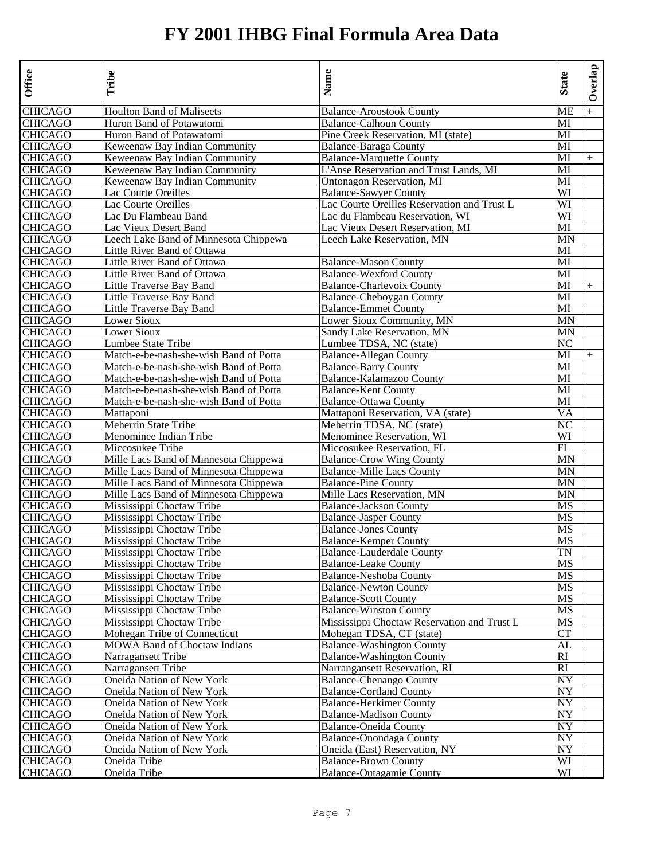| Office                    | Tribe                                  | Name                                        | <b>State</b> | Overlap |
|---------------------------|----------------------------------------|---------------------------------------------|--------------|---------|
| <b>CHICAGO</b>            | <b>Houlton Band of Maliseets</b>       | <b>Balance-Aroostook County</b>             | ME           |         |
| <b>CHICAGO</b>            | Huron Band of Potawatomi               | <b>Balance-Calhoun County</b>               | MI           |         |
| <b>CHICAGO</b>            | Huron Band of Potawatomi               | Pine Creek Reservation, MI (state)          | MI           |         |
| <b>CHICAGO</b>            | Keweenaw Bay Indian Community          | <b>Balance-Baraga County</b>                | MI           |         |
| <b>CHICAGO</b>            | Keweenaw Bay Indian Community          | <b>Balance-Marquette County</b>             | MI           | $+$     |
| <b>CHICAGO</b>            | Keweenaw Bay Indian Community          | L'Anse Reservation and Trust Lands, MI      | MI           |         |
| <b>CHICAGO</b>            | Keweenaw Bay Indian Community          | Ontonagon Reservation, MI                   | MI           |         |
| <b>CHICAGO</b>            | Lac Courte Oreilles                    | <b>Balance-Sawyer County</b>                | WI           |         |
| <b>CHICAGO</b>            | Lac Courte Oreilles                    | Lac Courte Oreilles Reservation and Trust L | WI           |         |
| <b>CHICAGO</b>            | Lac Du Flambeau Band                   | Lac du Flambeau Reservation, WI             | WI           |         |
| <b>CHICAGO</b>            | Lac Vieux Desert Band                  | Lac Vieux Desert Reservation, MI            | MI           |         |
| <b>CHICAGO</b>            | Leech Lake Band of Minnesota Chippewa  | Leech Lake Reservation, MN                  | MN           |         |
| <b>CHICAGO</b>            | Little River Band of Ottawa            |                                             | MI           |         |
| <b>CHICAGO</b>            | Little River Band of Ottawa            | <b>Balance-Mason County</b>                 | MI           |         |
| <b>CHICAGO</b>            | Little River Band of Ottawa            | <b>Balance-Wexford County</b>               | MI           |         |
| <b>CHICAGO</b>            | Little Traverse Bay Band               | <b>Balance-Charlevoix County</b>            | MI           | $^{+}$  |
| <b>CHICAGO</b>            | Little Traverse Bay Band               | Balance-Cheboygan County                    | MI           |         |
| <b>CHICAGO</b>            | Little Traverse Bay Band               | <b>Balance-Emmet County</b>                 | MI           |         |
| <b>CHICAGO</b>            | Lower Sioux                            | Lower Sioux Community, MN                   | MN           |         |
| <b>CHICAGO</b>            | Lower Sioux                            | Sandy Lake Reservation, MN                  | MN           |         |
| <b>CHICAGO</b>            | Lumbee State Tribe                     | Lumbee TDSA, NC (state)                     | NC           |         |
| <b>CHICAGO</b>            | Match-e-be-nash-she-wish Band of Potta | <b>Balance-Allegan County</b>               | MI           | $+$     |
| <b>CHICAGO</b>            | Match-e-be-nash-she-wish Band of Potta | <b>Balance-Barry County</b>                 | МI           |         |
| <b>CHICAGO</b>            | Match-e-be-nash-she-wish Band of Potta | Balance-Kalamazoo County                    | MI           |         |
| <b>CHICAGO</b>            | Match-e-be-nash-she-wish Band of Potta | <b>Balance-Kent County</b>                  | MI           |         |
| <b>CHICAGO</b>            | Match-e-be-nash-she-wish Band of Potta | <b>Balance-Ottawa County</b>                | MI           |         |
| <b>CHICAGO</b>            | Mattaponi                              | Mattaponi Reservation, VA (state)           | VA           |         |
| <b>CHICAGO</b>            | Meherrin State Tribe                   | Meherrin TDSA, NC (state)                   | NC           |         |
| <b>CHICAGO</b>            | Menominee Indian Tribe                 | Menominee Reservation, WI                   | WI           |         |
| <b>CHICAGO</b>            | Miccosukee Tribe                       | Miccosukee Reservation, FL                  | FL           |         |
| <b>CHICAGO</b>            | Mille Lacs Band of Minnesota Chippewa  | <b>Balance-Crow Wing County</b>             | MN           |         |
| <b>CHICAGO</b>            | Mille Lacs Band of Minnesota Chippewa  | <b>Balance-Mille Lacs County</b>            | MN           |         |
| <b>CHICAGO</b>            | Mille Lacs Band of Minnesota Chippewa  | <b>Balance-Pine County</b>                  | MN           |         |
| <b>CHICAGO</b>            | Mille Lacs Band of Minnesota Chippewa  | Mille Lacs Reservation, MN                  | MN           |         |
| <b>CHICAGO</b>            | Mississippi Choctaw Tribe              | <b>Balance-Jackson County</b>               | MS           |         |
| <b>CHICAGO</b>            | Mississippi Choctaw Tribe              | <b>Balance-Jasper County</b>                | MS           |         |
| <b>CHICAGO</b>            | Mississippi Choctaw Tribe              | <b>Balance-Jones County</b>                 | MS           |         |
| <b>CHICAGO</b>            | Mississippi Choctaw Tribe              | <b>Balance-Kemper County</b>                | MS           |         |
| <b>CHICAGO</b>            | Mississippi Choctaw Tribe              | Balance-Lauderdale County                   | TN           |         |
| <b>CHICAGO</b>            | Mississippi Choctaw Tribe              | <b>Balance-Leake County</b>                 | MS           |         |
| <b>CHICAGO</b>            | Mississippi Choctaw Tribe              | <b>Balance-Neshoba County</b>               | MS           |         |
| <b>CHICAGO</b>            | Mississippi Choctaw Tribe              | <b>Balance-Newton County</b>                | MS           |         |
| <b>CHICAGO</b>            | Mississippi Choctaw Tribe              | <b>Balance-Scott County</b>                 | MS           |         |
| <b>CHICAGO</b>            | Mississippi Choctaw Tribe              | <b>Balance-Winston County</b>               | MS           |         |
| <b>CHICAGO</b>            | Mississippi Choctaw Tribe              | Mississippi Choctaw Reservation and Trust L | MS           |         |
| <b>CHICAGO</b>            | Mohegan Tribe of Connecticut           | Mohegan TDSA, CT (state)                    | CT           |         |
| <b>CHICAGO</b>            | <b>MOWA Band of Choctaw Indians</b>    | <b>Balance-Washington County</b>            | AL           |         |
| <b>CHICAGO</b>            | Narragansett Tribe                     | <b>Balance-Washington County</b>            | RI           |         |
|                           | Narragansett Tribe                     | Narrangansett Reservation, RI               | RI           |         |
| <b>CHICAGO</b><br>CHICAGO | Oneida Nation of New York              | <b>Balance-Chenango County</b>              | NY           |         |
| <b>CHICAGO</b>            | Oneida Nation of New York              | <b>Balance-Cortland County</b>              | NY           |         |
| <b>CHICAGO</b>            | Oneida Nation of New York              | <b>Balance-Herkimer County</b>              | NY           |         |
| <b>CHICAGO</b>            | Oneida Nation of New York              | <b>Balance-Madison County</b>               | NY           |         |
| <b>CHICAGO</b>            | Oneida Nation of New York              | <b>Balance-Oneida County</b>                | NY           |         |
| <b>CHICAGO</b>            | Oneida Nation of New York              | <b>Balance-Onondaga County</b>              | NY           |         |
| <b>CHICAGO</b>            | Oneida Nation of New York              | Oneida (East) Reservation, NY               | NY           |         |
| <b>CHICAGO</b>            | Oneida Tribe                           | <b>Balance-Brown County</b>                 | WI           |         |
| <b>CHICAGO</b>            | Oneida Tribe                           | <b>Balance-Outagamie County</b>             | WI           |         |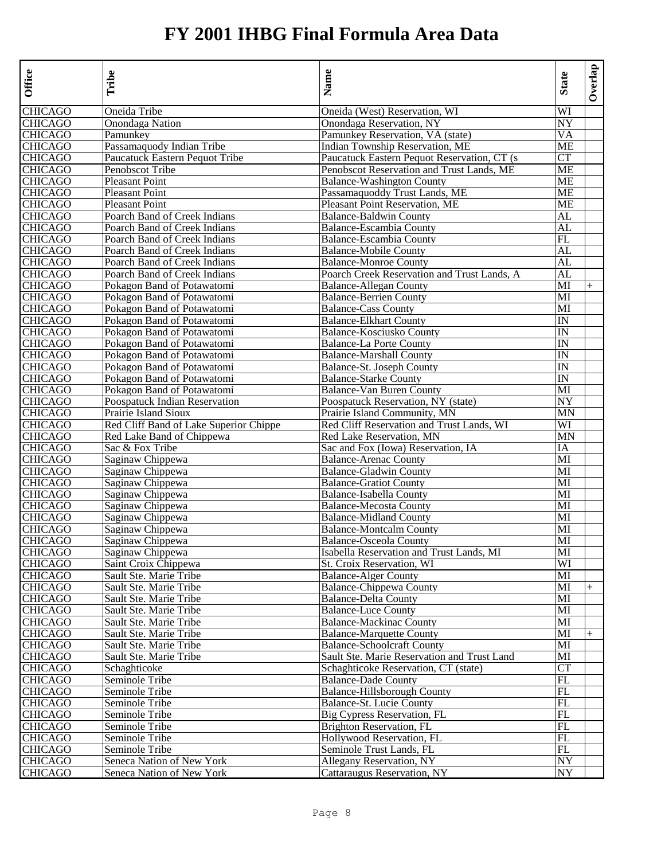| Office                    | Tribe                                                        | Name                                                                        | <b>State</b> | Overlap |
|---------------------------|--------------------------------------------------------------|-----------------------------------------------------------------------------|--------------|---------|
| <b>CHICAGO</b>            | Oneida Tribe                                                 | Oneida (West) Reservation, WI                                               | WI           |         |
| CHICAGO                   | Onondaga Nation                                              | Onondaga Reservation, NY                                                    | NY           |         |
| CHICAGO                   | Pamunkev                                                     | Pamunkey Reservation, VA (state)                                            | VA           |         |
| <b>CHICAGO</b>            | Passamaquody Indian Tribe                                    | <b>Indian Township Reservation, ME</b>                                      | ME           |         |
| <b>CHICAGO</b>            | Paucatuck Eastern Pequot Tribe                               | Paucatuck Eastern Pequot Reservation, CT (s)                                | <b>CT</b>    |         |
| CHICAGO                   | Penobscot Tribe                                              | Penobscot Reservation and Trust Lands, ME                                   | ME           |         |
| <b>CHICAGO</b>            | <b>Pleasant Point</b>                                        | <b>Balance-Washington County</b>                                            | ME           |         |
| <b>CHICAGO</b>            | <b>Pleasant Point</b>                                        | Passamaquoddy Trust Lands, ME                                               | ME           |         |
| CHICAGO                   | <b>Pleasant Point</b>                                        | Pleasant Point Reservation, ME                                              | ME           |         |
| CHICAGO                   | Poarch Band of Creek Indians                                 | <b>Balance-Baldwin County</b>                                               | AL           |         |
| <b>CHICAGO</b>            | Poarch Band of Creek Indians                                 | <b>Balance-Escambia County</b>                                              | AL           |         |
| <b>CHICAGO</b>            | Poarch Band of Creek Indians                                 | Balance-Escambia County                                                     | FL           |         |
| <b>CHICAGO</b>            | Poarch Band of Creek Indians                                 | <b>Balance-Mobile County</b>                                                | AL           |         |
| CHICAGO<br><b>CHICAGO</b> | Poarch Band of Creek Indians<br>Poarch Band of Creek Indians | <b>Balance-Monroe County</b><br>Poarch Creek Reservation and Trust Lands, A | AL<br>AL     |         |
| CHICAGO                   | Pokagon Band of Potawatomi                                   | <b>Balance-Allegan County</b>                                               | MI           |         |
| <b>CHICAGO</b>            | Pokagon Band of Potawatomi                                   | <b>Balance-Berrien County</b>                                               | MI           | $^{+}$  |
| <b>CHICAGO</b>            | Pokagon Band of Potawatomi                                   | <b>Balance-Cass County</b>                                                  | MI           |         |
| <b>CHICAGO</b>            | Pokagon Band of Potawatomi                                   | <b>Balance-Elkhart County</b>                                               | IN           |         |
| <b>CHICAGO</b>            | Pokagon Band of Potawatomi                                   | Balance-Kosciusko County                                                    | IN           |         |
| <b>CHICAGO</b>            | Pokagon Band of Potawatomi                                   | <b>Balance-La Porte County</b>                                              | IN           |         |
| CHICAGO                   | Pokagon Band of Potawatomi                                   | <b>Balance-Marshall County</b>                                              | IN           |         |
| CHICAGO                   | Pokagon Band of Potawatomi                                   | Balance-St. Joseph County                                                   | IN           |         |
| <b>CHICAGO</b>            | Pokagon Band of Potawatomi                                   | <b>Balance-Starke County</b>                                                | IN           |         |
| <b>CHICAGO</b>            | Pokagon Band of Potawatomi                                   | Balance-Van Buren County                                                    | MI           |         |
| CHICAGO                   | Poospatuck Indian Reservation                                | Poospatuck Reservation, NY (state)                                          | NY           |         |
| <b>CHICAGO</b>            | Prairie Island Sioux                                         | Prairie Island Community, MN                                                | MN           |         |
| <b>CHICAGO</b>            | Red Cliff Band of Lake Superior Chippe                       | Red Cliff Reservation and Trust Lands, WI                                   | WI           |         |
| <b>CHICAGO</b>            | Red Lake Band of Chippewa                                    | Red Lake Reservation, MN                                                    | MN           |         |
| CHICAGO                   | Sac & Fox Tribe                                              | Sac and Fox (Iowa) Reservation, IA                                          | IΑ           |         |
| <b>CHICAGO</b>            | Saginaw Chippewa                                             | <b>Balance-Arenac County</b>                                                | MI           |         |
| <b>CHICAGO</b>            | Saginaw Chippewa                                             | <b>Balance-Gladwin County</b>                                               | MI           |         |
| <b>CHICAGO</b>            | Saginaw Chippewa                                             | <b>Balance-Gratiot County</b>                                               | MI           |         |
| <b>CHICAGO</b>            | Saginaw Chippewa                                             | <b>Balance-Isabella County</b>                                              | MI           |         |
| <b>CHICAGO</b>            | Saginaw Chippewa                                             | <b>Balance-Mecosta County</b>                                               | MI           |         |
| CHICAGO                   | Saginaw Chippewa                                             | <b>Balance-Midland County</b>                                               | MI           |         |
| CHICAGO                   | Saginaw Chippewa                                             | <b>Balance-Montcalm County</b>                                              | MI           |         |
| <b>CHICAGO</b>            | Saginaw Chippewa                                             | <b>Balance-Osceola County</b>                                               | MI           |         |
| CHICAGO                   | Saginaw Chippewa                                             | Isabella Reservation and Trust Lands, MI                                    | MI<br>WI     |         |
| CHICAGO<br><b>CHICAGO</b> | Saint Croix Chippewa<br>Sault Ste. Marie Tribe               | St. Croix Reservation, WI<br><b>Balance-Alger County</b>                    | МI           |         |
| <b>CHICAGO</b>            | Sault Ste. Marie Tribe                                       | <b>Balance-Chippewa County</b>                                              | MI           | $^{+}$  |
| <b>CHICAGO</b>            | Sault Ste. Marie Tribe                                       | <b>Balance-Delta County</b>                                                 | MI           |         |
| <b>CHICAGO</b>            | Sault Ste. Marie Tribe                                       | <b>Balance-Luce County</b>                                                  | МI           |         |
| <b>CHICAGO</b>            | Sault Ste. Marie Tribe                                       | <b>Balance-Mackinac County</b>                                              | MI           |         |
| CHICAGO                   | Sault Ste. Marie Tribe                                       | <b>Balance-Marquette County</b>                                             | MI           | $+$     |
| CHICAGO                   | Sault Ste. Marie Tribe                                       | <b>Balance-Schoolcraft County</b>                                           | MI           |         |
| <b>CHICAGO</b>            | Sault Ste. Marie Tribe                                       | Sault Ste. Marie Reservation and Trust Land                                 | MI           |         |
| <b>CHICAGO</b>            | Schaghticoke                                                 | Schaghticoke Reservation, CT (state)                                        | СT           |         |
| <b>CHICAGO</b>            | Seminole Tribe                                               | <b>Balance-Dade County</b>                                                  | FL           |         |
| <b>CHICAGO</b>            | Seminole Tribe                                               | <b>Balance-Hillsborough County</b>                                          | FL           |         |
| <b>CHICAGO</b>            | Seminole Tribe                                               | Balance-St. Lucie County                                                    | FL           |         |
| <b>CHICAGO</b>            | Seminole Tribe                                               | Big Cypress Reservation, FL                                                 | FL           |         |
| <b>CHICAGO</b>            | Seminole Tribe                                               | Brighton Reservation, FL                                                    | FL           |         |
| <b>CHICAGO</b>            | Seminole Tribe                                               | Hollywood Reservation, FL                                                   | FL           |         |
| <b>CHICAGO</b>            | Seminole Tribe                                               | Seminole Trust Lands, FL                                                    | FL           |         |
| <b>CHICAGO</b>            | Seneca Nation of New York                                    | Allegany Reservation, NY                                                    | NY           |         |
| <b>CHICAGO</b>            | Seneca Nation of New York                                    | Cattaraugus Reservation, NY                                                 | NY           |         |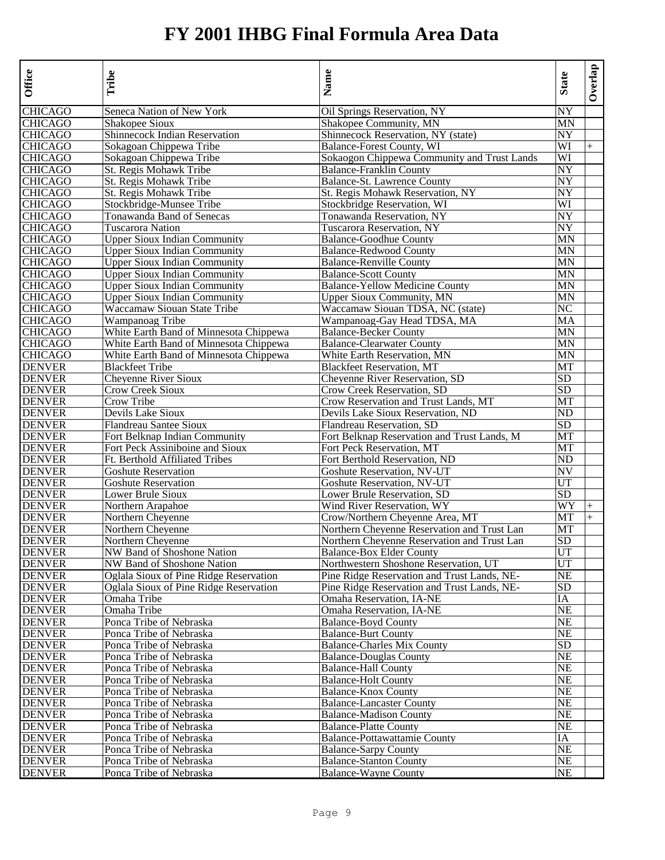| Office         | Tribe                                  | Name                                        | <b>State</b>    | Overlap |
|----------------|----------------------------------------|---------------------------------------------|-----------------|---------|
| <b>CHICAGO</b> | Seneca Nation of New York              | Oil Springs Reservation, NY                 | NY              |         |
| <b>CHICAGO</b> | Shakopee Sioux                         | Shakopee Community, MN                      | MN              |         |
| <b>CHICAGO</b> | Shinnecock Indian Reservation          | Shinnecock Reservation, NY (state)          | $N\overline{Y}$ |         |
| <b>CHICAGO</b> | Sokagoan Chippewa Tribe                | Balance-Forest County, WI                   | WI              | $+$     |
| <b>CHICAGO</b> | Sokagoan Chippewa Tribe                | Sokaogon Chippewa Community and Trust Lands | WI              |         |
| <b>CHICAGO</b> | St. Regis Mohawk Tribe                 | <b>Balance-Franklin County</b>              | NY              |         |
| <b>CHICAGO</b> | St. Regis Mohawk Tribe                 | Balance-St. Lawrence County                 | NY              |         |
| <b>CHICAGO</b> | St. Regis Mohawk Tribe                 | St. Regis Mohawk Reservation, NY            | NY              |         |
| <b>CHICAGO</b> | Stockbridge-Munsee Tribe               | Stockbridge Reservation, WI                 | WI              |         |
| <b>CHICAGO</b> | Tonawanda Band of Senecas              | Tonawanda Reservation, NY                   | NY              |         |
| <b>CHICAGO</b> | Tuscarora Nation                       | Tuscarora Reservation, NY                   | NY              |         |
| <b>CHICAGO</b> | <b>Upper Sioux Indian Community</b>    | <b>Balance-Goodhue County</b>               | MΝ              |         |
| <b>CHICAGO</b> | <b>Upper Sioux Indian Community</b>    | <b>Balance-Redwood County</b>               | MΝ              |         |
| <b>CHICAGO</b> | <b>Upper Sioux Indian Community</b>    | <b>Balance-Renville County</b>              | MΝ              |         |
| <b>CHICAGO</b> | <b>Upper Sioux Indian Community</b>    | <b>Balance-Scott County</b>                 | MΝ              |         |
| <b>CHICAGO</b> | Upper Sioux Indian Community           | <b>Balance-Yellow Medicine County</b>       | MN              |         |
| <b>CHICAGO</b> | <b>Upper Sioux Indian Community</b>    | <b>Upper Sioux Community, MN</b>            | MN              |         |
| <b>CHICAGO</b> | Waccamaw Siouan State Tribe            | Waccamaw Siouan TDSA, NC (state)            | NC              |         |
| <b>CHICAGO</b> | Wampanoag Tribe                        | Wampanoag-Gay Head TDSA, MA                 | MA              |         |
| <b>CHICAGO</b> | White Earth Band of Minnesota Chippewa | <b>Balance-Becker County</b>                | MΝ              |         |
| <b>CHICAGO</b> | White Earth Band of Minnesota Chippewa | <b>Balance-Clearwater County</b>            | MΝ              |         |
| <b>CHICAGO</b> | White Earth Band of Minnesota Chippewa | White Earth Reservation, MN                 | MΝ              |         |
| <b>DENVER</b>  | <b>Blackfeet Tribe</b>                 | <b>Blackfeet Reservation, MT</b>            | MT              |         |
| <b>DENVER</b>  | Cheyenne River Sioux                   | Chevenne River Reservation, SD              | SD              |         |
| <b>DENVER</b>  | <b>Crow Creek Sioux</b>                | Crow Creek Reservation, SD                  | SD              |         |
| <b>DENVER</b>  | Crow Tribe                             | Crow Reservation and Trust Lands, MT        | МT              |         |
| <b>DENVER</b>  | Devils Lake Sioux                      | Devils Lake Sioux Reservation, ND           | ND              |         |
| <b>DENVER</b>  | Flandreau Santee Sioux                 | Flandreau Reservation, SD                   | SD              |         |
| <b>DENVER</b>  | Fort Belknap Indian Community          | Fort Belknap Reservation and Trust Lands, M | MT              |         |
| <b>DENVER</b>  | Fort Peck Assiniboine and Sioux        | Fort Peck Reservation, MT                   | MT              |         |
| <b>DENVER</b>  | Ft. Berthold Affiliated Tribes         | Fort Berthold Reservation, ND               | ND              |         |
| <b>DENVER</b>  | <b>Goshute Reservation</b>             | Goshute Reservation, NV-UT                  | NV              |         |
| <b>DENVER</b>  | <b>Goshute Reservation</b>             | Goshute Reservation, NV-UT                  | UT              |         |
| <b>DENVER</b>  | Lower Brule Sioux                      | Lower Brule Reservation, SD                 | <b>SD</b>       |         |
| <b>DENVER</b>  | Northern Arapahoe                      | Wind River Reservation, WY                  | WY              | $^{+}$  |
| <b>DENVER</b>  | Northern Cheyenne                      | Crow/Northern Cheyenne Area, MT             | MT              |         |
| <b>DENVER</b>  | Northern Cheyenne                      | Northern Cheyenne Reservation and Trust Lan | MT              |         |
| <b>DENVER</b>  | Northern Cheyenne                      | Northern Cheyenne Reservation and Trust Lan | SD              |         |
| <b>DENVER</b>  | NW Band of Shoshone Nation             | <b>Balance-Box Elder County</b>             | UT              |         |
| <b>DENVER</b>  | NW Band of Shoshone Nation             | Northwestern Shoshone Reservation, UT       | UT              |         |
| <b>DENVER</b>  | Oglala Sioux of Pine Ridge Reservation | Pine Ridge Reservation and Trust Lands, NE- | NE              |         |
| <b>DENVER</b>  | Oglala Sioux of Pine Ridge Reservation | Pine Ridge Reservation and Trust Lands, NE- | SD              |         |
| <b>DENVER</b>  | Omaha Tribe                            | Omaha Reservation, IA-NE                    | IΑ              |         |
| <b>DENVER</b>  | Omaha Tribe                            | Omaha Reservation, IA-NE                    | NE              |         |
| <b>DENVER</b>  | Ponca Tribe of Nebraska                | <b>Balance-Boyd County</b>                  | NE              |         |
| <b>DENVER</b>  | Ponca Tribe of Nebraska                | <b>Balance-Burt County</b>                  | <b>NE</b>       |         |
| <b>DENVER</b>  | Ponca Tribe of Nebraska                | <b>Balance-Charles Mix County</b>           | SD              |         |
| <b>DENVER</b>  | Ponca Tribe of Nebraska                | <b>Balance-Douglas County</b>               | NE              |         |
| <b>DENVER</b>  | Ponca Tribe of Nebraska                | <b>Balance-Hall County</b>                  | NE              |         |
| <b>DENVER</b>  | Ponca Tribe of Nebraska                | <b>Balance-Holt County</b>                  | <b>NE</b>       |         |
| <b>DENVER</b>  | Ponca Tribe of Nebraska                | <b>Balance-Knox County</b>                  | NE              |         |
| <b>DENVER</b>  | Ponca Tribe of Nebraska                | <b>Balance-Lancaster County</b>             | $\rm NE$        |         |
| <b>DENVER</b>  | Ponca Tribe of Nebraska                | <b>Balance-Madison County</b>               | NE              |         |
| <b>DENVER</b>  | Ponca Tribe of Nebraska                | <b>Balance-Platte County</b>                | NE              |         |
| <b>DENVER</b>  | Ponca Tribe of Nebraska                | Balance-Pottawattamie County                | IA              |         |
| <b>DENVER</b>  | Ponca Tribe of Nebraska                | <b>Balance-Sarpy County</b>                 | $\rm NE$        |         |
| <b>DENVER</b>  | Ponca Tribe of Nebraska                | <b>Balance-Stanton County</b>               | <b>NE</b>       |         |
| <b>DENVER</b>  | Ponca Tribe of Nebraska                | <b>Balance-Wayne County</b>                 | NE              |         |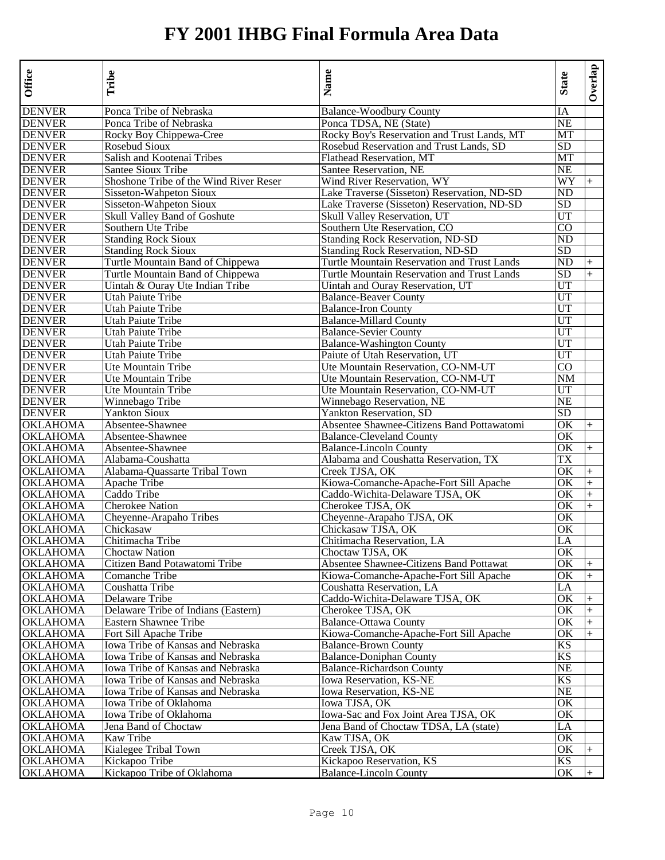| IA<br><b>DENVER</b><br><b>NE</b><br>Ponca Tribe of Nebraska<br>Ponca TDSA, NE (State)<br><b>DENVER</b><br>Rocky Boy Chippewa-Cree<br>Rocky Boy's Reservation and Trust Lands, MT<br>МT<br><b>DENVER</b><br>Rosebud Sioux<br>Rosebud Reservation and Trust Lands, SD<br>SD<br>Salish and Kootenai Tribes<br>Flathead Reservation, MT<br>MT<br><b>DENVER</b><br><b>NE</b><br>Santee Sioux Tribe<br>Santee Reservation, NE<br><b>DENVER</b><br>Shoshone Tribe of the Wind River Reser<br>Wind River Reservation, WY<br>WY<br>$+$<br><b>DENVER</b><br>Sisseton-Wahpeton Sioux<br>Lake Traverse (Sisseton) Reservation, ND-SD<br>ND<br><b>DENVER</b><br>Sisseton-Wahpeton Sioux<br>Lake Traverse (Sisseton) Reservation, ND-SD<br>SD<br><b>DENVER</b><br>Skull Valley Band of Goshute<br>UT<br>Skull Valley Reservation, UT<br><b>DENVER</b><br>Southern Ute Tribe<br>Southern Ute Reservation, CO<br>CO<br><b>DENVER</b><br><b>Standing Rock Sioux</b><br><b>Standing Rock Reservation, ND-SD</b><br>ND<br><b>DENVER</b><br><b>Standing Rock Sioux</b><br>Standing Rock Reservation, ND-SD<br><b>SD</b><br><b>DENVER</b><br>Turtle Mountain Band of Chippewa<br>Turtle Mountain Reservation and Trust Lands<br>ND<br>$^{+}$<br><b>DENVER</b><br>Turtle Mountain Reservation and Trust Lands<br>SD<br>Turtle Mountain Band of Chippewa<br>$+$<br><b>DENVER</b><br>UT<br>Uintah & Ouray Ute Indian Tribe<br>Uintah and Ouray Reservation, UT<br><b>DENVER</b><br>Utah Paiute Tribe<br><b>Balance-Beaver County</b><br>UT<br><b>DENVER</b><br>Utah Paiute Tribe<br><b>Balance-Iron County</b><br>UT<br><b>DENVER</b><br>Utah Paiute Tribe<br><b>Balance-Millard County</b><br>UT<br><b>DENVER</b><br><b>Balance-Sevier County</b><br>UT<br>Utah Paiute Tribe<br><b>DENVER</b><br><b>Utah Paiute Tribe</b><br><b>Balance-Washington County</b><br>UT<br><b>DENVER</b><br>Utah Paiute Tribe<br>Paiute of Utah Reservation, UT<br>UT<br><b>DENVER</b><br>Ute Mountain Tribe<br>Ute Mountain Reservation, CO-NM-UT<br>CO<br><b>DENVER</b><br>Ute Mountain Tribe<br>Ute Mountain Reservation, CO-NM-UT<br>NΜ<br><b>DENVER</b><br>Ute Mountain Tribe<br>Ute Mountain Reservation, CO-NM-UT<br>UT<br><b>DENVER</b><br><b>NE</b><br>Winnebago Tribe<br>Winnebago Reservation, NE<br><b>DENVER</b><br><b>Yankton Sioux</b><br>Yankton Reservation, SD<br>SD<br><b>OKLAHOMA</b><br>Absentee-Shawnee<br>Absentee Shawnee-Citizens Band Pottawatomi<br>OK<br>$+$<br><b>OKLAHOMA</b><br>OK<br>Absentee-Shawnee<br><b>Balance-Cleveland County</b><br><b>OKLAHOMA</b><br>Absentee-Shawnee<br><b>Balance-Lincoln County</b><br>OK<br>$+$<br><b>OKLAHOMA</b><br>Alabama and Coushatta Reservation, TX<br>Alabama-Coushatta<br>TX<br><b>OKLAHOMA</b><br>Alabama-Quassarte Tribal Town<br>Creek TJSA, OK<br>OК<br>$+$<br>Kiowa-Comanche-Apache-Fort Sill Apache<br><b>OKLAHOMA</b><br>Apache Tribe<br>OK<br>$+$<br><b>OKLAHOMA</b><br>Caddo Tribe<br>Caddo-Wichita-Delaware TJSA, OK<br>OK<br>$+$<br><b>OKLAHOMA</b><br>Cherokee Nation<br>OK<br>Cherokee TJSA, OK<br>$^{+}$<br><b>OKLAHOMA</b><br>OK<br>Cheyenne-Arapaho TJSA, OK<br>Cheyenne-Arapaho Tribes<br><b>OKLAHOMA</b><br>Chickasaw<br>Chickasaw TJSA, OK<br>OK<br><b>OKLAHOMA</b><br>Chitimacha Tribe<br>Chitimacha Reservation, LA<br>LA<br><b>OKLAHOMA</b><br><b>Choctaw Nation</b><br>OK<br>Choctaw TJSA, OK<br>Absentee Shawnee-Citizens Band Pottawat<br><b>OKLAHOMA</b><br>Citizen Band Potawatomi Tribe<br>OK<br>$+$<br><b>OKLAHOMA</b><br>Comanche Tribe<br>Kiowa-Comanche-Apache-Fort Sill Apache<br>ОK<br>$+$<br><b>OKLAHOMA</b><br>Coushatta Tribe<br>LA<br>Coushatta Reservation, LA<br><b>OKLAHOMA</b><br>OK<br>Delaware Tribe<br>Caddo-Wichita-Delaware TJSA, OK<br>$^{+}$<br><b>OKLAHOMA</b><br>Delaware Tribe of Indians (Eastern)<br>Cherokee TJSA, OK<br>ОK<br>$+$<br><b>OKLAHOMA</b><br><b>Balance-Ottawa County</b><br>OK<br>$\ddot{}$<br>Eastern Shawnee Tribe<br>Fort Sill Apache Tribe<br>Kiowa-Comanche-Apache-Fort Sill Apache<br>$\ddot{}$<br>OKLAHOMA<br>OK<br>Iowa Tribe of Kansas and Nebraska<br>KS<br>OKLAHOMA<br><b>Balance-Brown County</b><br><b>OKLAHOMA</b><br>Iowa Tribe of Kansas and Nebraska<br><b>Balance-Doniphan County</b><br>KS<br><b>OKLAHOMA</b><br>Iowa Tribe of Kansas and Nebraska<br>NE<br><b>Balance-Richardson County</b><br><b>OKLAHOMA</b><br>KS<br>Iowa Tribe of Kansas and Nebraska<br>Iowa Reservation, KS-NE<br><b>OKLAHOMA</b><br>Iowa Tribe of Kansas and Nebraska<br>Iowa Reservation, KS-NE<br>NE<br><b>OKLAHOMA</b><br>Iowa Tribe of Oklahoma<br>Iowa TJSA, OK<br>ОK<br><b>OKLAHOMA</b><br>Iowa-Sac and Fox Joint Area TJSA, OK<br>Iowa Tribe of Oklahoma<br>OК<br><b>OKLAHOMA</b><br>Jena Band of Choctaw<br>Jena Band of Choctaw TDSA, LA (state)<br>LA<br><b>OKLAHOMA</b><br>Kaw Tribe<br>Kaw TJSA, OK<br>OK<br>Kialegee Tribal Town<br><b>OKLAHOMA</b><br>Creek TJSA, OK<br>OK<br>$^{+}$<br><b>OKLAHOMA</b><br>Kickapoo Reservation, KS<br>Kickapoo Tribe<br>KS<br>Kickapoo Tribe of Oklahoma<br><b>Balance-Lincoln County</b><br>OK | Office          | Tribe                   | Name                           | <b>State</b> | Overlap |
|--------------------------------------------------------------------------------------------------------------------------------------------------------------------------------------------------------------------------------------------------------------------------------------------------------------------------------------------------------------------------------------------------------------------------------------------------------------------------------------------------------------------------------------------------------------------------------------------------------------------------------------------------------------------------------------------------------------------------------------------------------------------------------------------------------------------------------------------------------------------------------------------------------------------------------------------------------------------------------------------------------------------------------------------------------------------------------------------------------------------------------------------------------------------------------------------------------------------------------------------------------------------------------------------------------------------------------------------------------------------------------------------------------------------------------------------------------------------------------------------------------------------------------------------------------------------------------------------------------------------------------------------------------------------------------------------------------------------------------------------------------------------------------------------------------------------------------------------------------------------------------------------------------------------------------------------------------------------------------------------------------------------------------------------------------------------------------------------------------------------------------------------------------------------------------------------------------------------------------------------------------------------------------------------------------------------------------------------------------------------------------------------------------------------------------------------------------------------------------------------------------------------------------------------------------------------------------------------------------------------------------------------------------------------------------------------------------------------------------------------------------------------------------------------------------------------------------------------------------------------------------------------------------------------------------------------------------------------------------------------------------------------------------------------------------------------------------------------------------------------------------------------------------------------------------------------------------------------------------------------------------------------------------------------------------------------------------------------------------------------------------------------------------------------------------------------------------------------------------------------------------------------------------------------------------------------------------------------------------------------------------------------------------------------------------------------------------------------------------------------------------------------------------------------------------------------------------------------------------------------------------------------------------------------------------------------------------------------------------------------------------------------------------------------------------------------------------------------------------------------------------------------------------------------------------------------------------------------------------------------------------------------------------------------------------------------------------------------------------------------------------------------------------------------------------------------------------------------------------------------------------------------------------------------------------------------------------------------------------------------------------------------------------------------------------------------------------------------------------------------------------------------------------------------------------------------------------------------------------------------------------------------------------------------------------------------------------------------------------------------------------------------------------------------|-----------------|-------------------------|--------------------------------|--------------|---------|
|                                                                                                                                                                                                                                                                                                                                                                                                                                                                                                                                                                                                                                                                                                                                                                                                                                                                                                                                                                                                                                                                                                                                                                                                                                                                                                                                                                                                                                                                                                                                                                                                                                                                                                                                                                                                                                                                                                                                                                                                                                                                                                                                                                                                                                                                                                                                                                                                                                                                                                                                                                                                                                                                                                                                                                                                                                                                                                                                                                                                                                                                                                                                                                                                                                                                                                                                                                                                                                                                                                                                                                                                                                                                                                                                                                                                                                                                                                                                                                                                                                                                                                                                                                                                                                                                                                                                                                                                                                                                                                                                                                                                                                                                                                                                                                                                                                                                                                                                                                                                                                            | <b>DENVER</b>   | Ponca Tribe of Nebraska | <b>Balance-Woodbury County</b> |              |         |
|                                                                                                                                                                                                                                                                                                                                                                                                                                                                                                                                                                                                                                                                                                                                                                                                                                                                                                                                                                                                                                                                                                                                                                                                                                                                                                                                                                                                                                                                                                                                                                                                                                                                                                                                                                                                                                                                                                                                                                                                                                                                                                                                                                                                                                                                                                                                                                                                                                                                                                                                                                                                                                                                                                                                                                                                                                                                                                                                                                                                                                                                                                                                                                                                                                                                                                                                                                                                                                                                                                                                                                                                                                                                                                                                                                                                                                                                                                                                                                                                                                                                                                                                                                                                                                                                                                                                                                                                                                                                                                                                                                                                                                                                                                                                                                                                                                                                                                                                                                                                                                            |                 |                         |                                |              |         |
|                                                                                                                                                                                                                                                                                                                                                                                                                                                                                                                                                                                                                                                                                                                                                                                                                                                                                                                                                                                                                                                                                                                                                                                                                                                                                                                                                                                                                                                                                                                                                                                                                                                                                                                                                                                                                                                                                                                                                                                                                                                                                                                                                                                                                                                                                                                                                                                                                                                                                                                                                                                                                                                                                                                                                                                                                                                                                                                                                                                                                                                                                                                                                                                                                                                                                                                                                                                                                                                                                                                                                                                                                                                                                                                                                                                                                                                                                                                                                                                                                                                                                                                                                                                                                                                                                                                                                                                                                                                                                                                                                                                                                                                                                                                                                                                                                                                                                                                                                                                                                                            |                 |                         |                                |              |         |
|                                                                                                                                                                                                                                                                                                                                                                                                                                                                                                                                                                                                                                                                                                                                                                                                                                                                                                                                                                                                                                                                                                                                                                                                                                                                                                                                                                                                                                                                                                                                                                                                                                                                                                                                                                                                                                                                                                                                                                                                                                                                                                                                                                                                                                                                                                                                                                                                                                                                                                                                                                                                                                                                                                                                                                                                                                                                                                                                                                                                                                                                                                                                                                                                                                                                                                                                                                                                                                                                                                                                                                                                                                                                                                                                                                                                                                                                                                                                                                                                                                                                                                                                                                                                                                                                                                                                                                                                                                                                                                                                                                                                                                                                                                                                                                                                                                                                                                                                                                                                                                            |                 |                         |                                |              |         |
|                                                                                                                                                                                                                                                                                                                                                                                                                                                                                                                                                                                                                                                                                                                                                                                                                                                                                                                                                                                                                                                                                                                                                                                                                                                                                                                                                                                                                                                                                                                                                                                                                                                                                                                                                                                                                                                                                                                                                                                                                                                                                                                                                                                                                                                                                                                                                                                                                                                                                                                                                                                                                                                                                                                                                                                                                                                                                                                                                                                                                                                                                                                                                                                                                                                                                                                                                                                                                                                                                                                                                                                                                                                                                                                                                                                                                                                                                                                                                                                                                                                                                                                                                                                                                                                                                                                                                                                                                                                                                                                                                                                                                                                                                                                                                                                                                                                                                                                                                                                                                                            | <b>DENVER</b>   |                         |                                |              |         |
|                                                                                                                                                                                                                                                                                                                                                                                                                                                                                                                                                                                                                                                                                                                                                                                                                                                                                                                                                                                                                                                                                                                                                                                                                                                                                                                                                                                                                                                                                                                                                                                                                                                                                                                                                                                                                                                                                                                                                                                                                                                                                                                                                                                                                                                                                                                                                                                                                                                                                                                                                                                                                                                                                                                                                                                                                                                                                                                                                                                                                                                                                                                                                                                                                                                                                                                                                                                                                                                                                                                                                                                                                                                                                                                                                                                                                                                                                                                                                                                                                                                                                                                                                                                                                                                                                                                                                                                                                                                                                                                                                                                                                                                                                                                                                                                                                                                                                                                                                                                                                                            |                 |                         |                                |              |         |
|                                                                                                                                                                                                                                                                                                                                                                                                                                                                                                                                                                                                                                                                                                                                                                                                                                                                                                                                                                                                                                                                                                                                                                                                                                                                                                                                                                                                                                                                                                                                                                                                                                                                                                                                                                                                                                                                                                                                                                                                                                                                                                                                                                                                                                                                                                                                                                                                                                                                                                                                                                                                                                                                                                                                                                                                                                                                                                                                                                                                                                                                                                                                                                                                                                                                                                                                                                                                                                                                                                                                                                                                                                                                                                                                                                                                                                                                                                                                                                                                                                                                                                                                                                                                                                                                                                                                                                                                                                                                                                                                                                                                                                                                                                                                                                                                                                                                                                                                                                                                                                            |                 |                         |                                |              |         |
|                                                                                                                                                                                                                                                                                                                                                                                                                                                                                                                                                                                                                                                                                                                                                                                                                                                                                                                                                                                                                                                                                                                                                                                                                                                                                                                                                                                                                                                                                                                                                                                                                                                                                                                                                                                                                                                                                                                                                                                                                                                                                                                                                                                                                                                                                                                                                                                                                                                                                                                                                                                                                                                                                                                                                                                                                                                                                                                                                                                                                                                                                                                                                                                                                                                                                                                                                                                                                                                                                                                                                                                                                                                                                                                                                                                                                                                                                                                                                                                                                                                                                                                                                                                                                                                                                                                                                                                                                                                                                                                                                                                                                                                                                                                                                                                                                                                                                                                                                                                                                                            |                 |                         |                                |              |         |
|                                                                                                                                                                                                                                                                                                                                                                                                                                                                                                                                                                                                                                                                                                                                                                                                                                                                                                                                                                                                                                                                                                                                                                                                                                                                                                                                                                                                                                                                                                                                                                                                                                                                                                                                                                                                                                                                                                                                                                                                                                                                                                                                                                                                                                                                                                                                                                                                                                                                                                                                                                                                                                                                                                                                                                                                                                                                                                                                                                                                                                                                                                                                                                                                                                                                                                                                                                                                                                                                                                                                                                                                                                                                                                                                                                                                                                                                                                                                                                                                                                                                                                                                                                                                                                                                                                                                                                                                                                                                                                                                                                                                                                                                                                                                                                                                                                                                                                                                                                                                                                            |                 |                         |                                |              |         |
|                                                                                                                                                                                                                                                                                                                                                                                                                                                                                                                                                                                                                                                                                                                                                                                                                                                                                                                                                                                                                                                                                                                                                                                                                                                                                                                                                                                                                                                                                                                                                                                                                                                                                                                                                                                                                                                                                                                                                                                                                                                                                                                                                                                                                                                                                                                                                                                                                                                                                                                                                                                                                                                                                                                                                                                                                                                                                                                                                                                                                                                                                                                                                                                                                                                                                                                                                                                                                                                                                                                                                                                                                                                                                                                                                                                                                                                                                                                                                                                                                                                                                                                                                                                                                                                                                                                                                                                                                                                                                                                                                                                                                                                                                                                                                                                                                                                                                                                                                                                                                                            |                 |                         |                                |              |         |
|                                                                                                                                                                                                                                                                                                                                                                                                                                                                                                                                                                                                                                                                                                                                                                                                                                                                                                                                                                                                                                                                                                                                                                                                                                                                                                                                                                                                                                                                                                                                                                                                                                                                                                                                                                                                                                                                                                                                                                                                                                                                                                                                                                                                                                                                                                                                                                                                                                                                                                                                                                                                                                                                                                                                                                                                                                                                                                                                                                                                                                                                                                                                                                                                                                                                                                                                                                                                                                                                                                                                                                                                                                                                                                                                                                                                                                                                                                                                                                                                                                                                                                                                                                                                                                                                                                                                                                                                                                                                                                                                                                                                                                                                                                                                                                                                                                                                                                                                                                                                                                            |                 |                         |                                |              |         |
|                                                                                                                                                                                                                                                                                                                                                                                                                                                                                                                                                                                                                                                                                                                                                                                                                                                                                                                                                                                                                                                                                                                                                                                                                                                                                                                                                                                                                                                                                                                                                                                                                                                                                                                                                                                                                                                                                                                                                                                                                                                                                                                                                                                                                                                                                                                                                                                                                                                                                                                                                                                                                                                                                                                                                                                                                                                                                                                                                                                                                                                                                                                                                                                                                                                                                                                                                                                                                                                                                                                                                                                                                                                                                                                                                                                                                                                                                                                                                                                                                                                                                                                                                                                                                                                                                                                                                                                                                                                                                                                                                                                                                                                                                                                                                                                                                                                                                                                                                                                                                                            |                 |                         |                                |              |         |
|                                                                                                                                                                                                                                                                                                                                                                                                                                                                                                                                                                                                                                                                                                                                                                                                                                                                                                                                                                                                                                                                                                                                                                                                                                                                                                                                                                                                                                                                                                                                                                                                                                                                                                                                                                                                                                                                                                                                                                                                                                                                                                                                                                                                                                                                                                                                                                                                                                                                                                                                                                                                                                                                                                                                                                                                                                                                                                                                                                                                                                                                                                                                                                                                                                                                                                                                                                                                                                                                                                                                                                                                                                                                                                                                                                                                                                                                                                                                                                                                                                                                                                                                                                                                                                                                                                                                                                                                                                                                                                                                                                                                                                                                                                                                                                                                                                                                                                                                                                                                                                            |                 |                         |                                |              |         |
|                                                                                                                                                                                                                                                                                                                                                                                                                                                                                                                                                                                                                                                                                                                                                                                                                                                                                                                                                                                                                                                                                                                                                                                                                                                                                                                                                                                                                                                                                                                                                                                                                                                                                                                                                                                                                                                                                                                                                                                                                                                                                                                                                                                                                                                                                                                                                                                                                                                                                                                                                                                                                                                                                                                                                                                                                                                                                                                                                                                                                                                                                                                                                                                                                                                                                                                                                                                                                                                                                                                                                                                                                                                                                                                                                                                                                                                                                                                                                                                                                                                                                                                                                                                                                                                                                                                                                                                                                                                                                                                                                                                                                                                                                                                                                                                                                                                                                                                                                                                                                                            |                 |                         |                                |              |         |
|                                                                                                                                                                                                                                                                                                                                                                                                                                                                                                                                                                                                                                                                                                                                                                                                                                                                                                                                                                                                                                                                                                                                                                                                                                                                                                                                                                                                                                                                                                                                                                                                                                                                                                                                                                                                                                                                                                                                                                                                                                                                                                                                                                                                                                                                                                                                                                                                                                                                                                                                                                                                                                                                                                                                                                                                                                                                                                                                                                                                                                                                                                                                                                                                                                                                                                                                                                                                                                                                                                                                                                                                                                                                                                                                                                                                                                                                                                                                                                                                                                                                                                                                                                                                                                                                                                                                                                                                                                                                                                                                                                                                                                                                                                                                                                                                                                                                                                                                                                                                                                            |                 |                         |                                |              |         |
|                                                                                                                                                                                                                                                                                                                                                                                                                                                                                                                                                                                                                                                                                                                                                                                                                                                                                                                                                                                                                                                                                                                                                                                                                                                                                                                                                                                                                                                                                                                                                                                                                                                                                                                                                                                                                                                                                                                                                                                                                                                                                                                                                                                                                                                                                                                                                                                                                                                                                                                                                                                                                                                                                                                                                                                                                                                                                                                                                                                                                                                                                                                                                                                                                                                                                                                                                                                                                                                                                                                                                                                                                                                                                                                                                                                                                                                                                                                                                                                                                                                                                                                                                                                                                                                                                                                                                                                                                                                                                                                                                                                                                                                                                                                                                                                                                                                                                                                                                                                                                                            |                 |                         |                                |              |         |
|                                                                                                                                                                                                                                                                                                                                                                                                                                                                                                                                                                                                                                                                                                                                                                                                                                                                                                                                                                                                                                                                                                                                                                                                                                                                                                                                                                                                                                                                                                                                                                                                                                                                                                                                                                                                                                                                                                                                                                                                                                                                                                                                                                                                                                                                                                                                                                                                                                                                                                                                                                                                                                                                                                                                                                                                                                                                                                                                                                                                                                                                                                                                                                                                                                                                                                                                                                                                                                                                                                                                                                                                                                                                                                                                                                                                                                                                                                                                                                                                                                                                                                                                                                                                                                                                                                                                                                                                                                                                                                                                                                                                                                                                                                                                                                                                                                                                                                                                                                                                                                            |                 |                         |                                |              |         |
|                                                                                                                                                                                                                                                                                                                                                                                                                                                                                                                                                                                                                                                                                                                                                                                                                                                                                                                                                                                                                                                                                                                                                                                                                                                                                                                                                                                                                                                                                                                                                                                                                                                                                                                                                                                                                                                                                                                                                                                                                                                                                                                                                                                                                                                                                                                                                                                                                                                                                                                                                                                                                                                                                                                                                                                                                                                                                                                                                                                                                                                                                                                                                                                                                                                                                                                                                                                                                                                                                                                                                                                                                                                                                                                                                                                                                                                                                                                                                                                                                                                                                                                                                                                                                                                                                                                                                                                                                                                                                                                                                                                                                                                                                                                                                                                                                                                                                                                                                                                                                                            |                 |                         |                                |              |         |
|                                                                                                                                                                                                                                                                                                                                                                                                                                                                                                                                                                                                                                                                                                                                                                                                                                                                                                                                                                                                                                                                                                                                                                                                                                                                                                                                                                                                                                                                                                                                                                                                                                                                                                                                                                                                                                                                                                                                                                                                                                                                                                                                                                                                                                                                                                                                                                                                                                                                                                                                                                                                                                                                                                                                                                                                                                                                                                                                                                                                                                                                                                                                                                                                                                                                                                                                                                                                                                                                                                                                                                                                                                                                                                                                                                                                                                                                                                                                                                                                                                                                                                                                                                                                                                                                                                                                                                                                                                                                                                                                                                                                                                                                                                                                                                                                                                                                                                                                                                                                                                            |                 |                         |                                |              |         |
|                                                                                                                                                                                                                                                                                                                                                                                                                                                                                                                                                                                                                                                                                                                                                                                                                                                                                                                                                                                                                                                                                                                                                                                                                                                                                                                                                                                                                                                                                                                                                                                                                                                                                                                                                                                                                                                                                                                                                                                                                                                                                                                                                                                                                                                                                                                                                                                                                                                                                                                                                                                                                                                                                                                                                                                                                                                                                                                                                                                                                                                                                                                                                                                                                                                                                                                                                                                                                                                                                                                                                                                                                                                                                                                                                                                                                                                                                                                                                                                                                                                                                                                                                                                                                                                                                                                                                                                                                                                                                                                                                                                                                                                                                                                                                                                                                                                                                                                                                                                                                                            |                 |                         |                                |              |         |
|                                                                                                                                                                                                                                                                                                                                                                                                                                                                                                                                                                                                                                                                                                                                                                                                                                                                                                                                                                                                                                                                                                                                                                                                                                                                                                                                                                                                                                                                                                                                                                                                                                                                                                                                                                                                                                                                                                                                                                                                                                                                                                                                                                                                                                                                                                                                                                                                                                                                                                                                                                                                                                                                                                                                                                                                                                                                                                                                                                                                                                                                                                                                                                                                                                                                                                                                                                                                                                                                                                                                                                                                                                                                                                                                                                                                                                                                                                                                                                                                                                                                                                                                                                                                                                                                                                                                                                                                                                                                                                                                                                                                                                                                                                                                                                                                                                                                                                                                                                                                                                            |                 |                         |                                |              |         |
|                                                                                                                                                                                                                                                                                                                                                                                                                                                                                                                                                                                                                                                                                                                                                                                                                                                                                                                                                                                                                                                                                                                                                                                                                                                                                                                                                                                                                                                                                                                                                                                                                                                                                                                                                                                                                                                                                                                                                                                                                                                                                                                                                                                                                                                                                                                                                                                                                                                                                                                                                                                                                                                                                                                                                                                                                                                                                                                                                                                                                                                                                                                                                                                                                                                                                                                                                                                                                                                                                                                                                                                                                                                                                                                                                                                                                                                                                                                                                                                                                                                                                                                                                                                                                                                                                                                                                                                                                                                                                                                                                                                                                                                                                                                                                                                                                                                                                                                                                                                                                                            |                 |                         |                                |              |         |
|                                                                                                                                                                                                                                                                                                                                                                                                                                                                                                                                                                                                                                                                                                                                                                                                                                                                                                                                                                                                                                                                                                                                                                                                                                                                                                                                                                                                                                                                                                                                                                                                                                                                                                                                                                                                                                                                                                                                                                                                                                                                                                                                                                                                                                                                                                                                                                                                                                                                                                                                                                                                                                                                                                                                                                                                                                                                                                                                                                                                                                                                                                                                                                                                                                                                                                                                                                                                                                                                                                                                                                                                                                                                                                                                                                                                                                                                                                                                                                                                                                                                                                                                                                                                                                                                                                                                                                                                                                                                                                                                                                                                                                                                                                                                                                                                                                                                                                                                                                                                                                            |                 |                         |                                |              |         |
|                                                                                                                                                                                                                                                                                                                                                                                                                                                                                                                                                                                                                                                                                                                                                                                                                                                                                                                                                                                                                                                                                                                                                                                                                                                                                                                                                                                                                                                                                                                                                                                                                                                                                                                                                                                                                                                                                                                                                                                                                                                                                                                                                                                                                                                                                                                                                                                                                                                                                                                                                                                                                                                                                                                                                                                                                                                                                                                                                                                                                                                                                                                                                                                                                                                                                                                                                                                                                                                                                                                                                                                                                                                                                                                                                                                                                                                                                                                                                                                                                                                                                                                                                                                                                                                                                                                                                                                                                                                                                                                                                                                                                                                                                                                                                                                                                                                                                                                                                                                                                                            |                 |                         |                                |              |         |
|                                                                                                                                                                                                                                                                                                                                                                                                                                                                                                                                                                                                                                                                                                                                                                                                                                                                                                                                                                                                                                                                                                                                                                                                                                                                                                                                                                                                                                                                                                                                                                                                                                                                                                                                                                                                                                                                                                                                                                                                                                                                                                                                                                                                                                                                                                                                                                                                                                                                                                                                                                                                                                                                                                                                                                                                                                                                                                                                                                                                                                                                                                                                                                                                                                                                                                                                                                                                                                                                                                                                                                                                                                                                                                                                                                                                                                                                                                                                                                                                                                                                                                                                                                                                                                                                                                                                                                                                                                                                                                                                                                                                                                                                                                                                                                                                                                                                                                                                                                                                                                            |                 |                         |                                |              |         |
|                                                                                                                                                                                                                                                                                                                                                                                                                                                                                                                                                                                                                                                                                                                                                                                                                                                                                                                                                                                                                                                                                                                                                                                                                                                                                                                                                                                                                                                                                                                                                                                                                                                                                                                                                                                                                                                                                                                                                                                                                                                                                                                                                                                                                                                                                                                                                                                                                                                                                                                                                                                                                                                                                                                                                                                                                                                                                                                                                                                                                                                                                                                                                                                                                                                                                                                                                                                                                                                                                                                                                                                                                                                                                                                                                                                                                                                                                                                                                                                                                                                                                                                                                                                                                                                                                                                                                                                                                                                                                                                                                                                                                                                                                                                                                                                                                                                                                                                                                                                                                                            |                 |                         |                                |              |         |
|                                                                                                                                                                                                                                                                                                                                                                                                                                                                                                                                                                                                                                                                                                                                                                                                                                                                                                                                                                                                                                                                                                                                                                                                                                                                                                                                                                                                                                                                                                                                                                                                                                                                                                                                                                                                                                                                                                                                                                                                                                                                                                                                                                                                                                                                                                                                                                                                                                                                                                                                                                                                                                                                                                                                                                                                                                                                                                                                                                                                                                                                                                                                                                                                                                                                                                                                                                                                                                                                                                                                                                                                                                                                                                                                                                                                                                                                                                                                                                                                                                                                                                                                                                                                                                                                                                                                                                                                                                                                                                                                                                                                                                                                                                                                                                                                                                                                                                                                                                                                                                            |                 |                         |                                |              |         |
|                                                                                                                                                                                                                                                                                                                                                                                                                                                                                                                                                                                                                                                                                                                                                                                                                                                                                                                                                                                                                                                                                                                                                                                                                                                                                                                                                                                                                                                                                                                                                                                                                                                                                                                                                                                                                                                                                                                                                                                                                                                                                                                                                                                                                                                                                                                                                                                                                                                                                                                                                                                                                                                                                                                                                                                                                                                                                                                                                                                                                                                                                                                                                                                                                                                                                                                                                                                                                                                                                                                                                                                                                                                                                                                                                                                                                                                                                                                                                                                                                                                                                                                                                                                                                                                                                                                                                                                                                                                                                                                                                                                                                                                                                                                                                                                                                                                                                                                                                                                                                                            |                 |                         |                                |              |         |
|                                                                                                                                                                                                                                                                                                                                                                                                                                                                                                                                                                                                                                                                                                                                                                                                                                                                                                                                                                                                                                                                                                                                                                                                                                                                                                                                                                                                                                                                                                                                                                                                                                                                                                                                                                                                                                                                                                                                                                                                                                                                                                                                                                                                                                                                                                                                                                                                                                                                                                                                                                                                                                                                                                                                                                                                                                                                                                                                                                                                                                                                                                                                                                                                                                                                                                                                                                                                                                                                                                                                                                                                                                                                                                                                                                                                                                                                                                                                                                                                                                                                                                                                                                                                                                                                                                                                                                                                                                                                                                                                                                                                                                                                                                                                                                                                                                                                                                                                                                                                                                            |                 |                         |                                |              |         |
|                                                                                                                                                                                                                                                                                                                                                                                                                                                                                                                                                                                                                                                                                                                                                                                                                                                                                                                                                                                                                                                                                                                                                                                                                                                                                                                                                                                                                                                                                                                                                                                                                                                                                                                                                                                                                                                                                                                                                                                                                                                                                                                                                                                                                                                                                                                                                                                                                                                                                                                                                                                                                                                                                                                                                                                                                                                                                                                                                                                                                                                                                                                                                                                                                                                                                                                                                                                                                                                                                                                                                                                                                                                                                                                                                                                                                                                                                                                                                                                                                                                                                                                                                                                                                                                                                                                                                                                                                                                                                                                                                                                                                                                                                                                                                                                                                                                                                                                                                                                                                                            |                 |                         |                                |              |         |
|                                                                                                                                                                                                                                                                                                                                                                                                                                                                                                                                                                                                                                                                                                                                                                                                                                                                                                                                                                                                                                                                                                                                                                                                                                                                                                                                                                                                                                                                                                                                                                                                                                                                                                                                                                                                                                                                                                                                                                                                                                                                                                                                                                                                                                                                                                                                                                                                                                                                                                                                                                                                                                                                                                                                                                                                                                                                                                                                                                                                                                                                                                                                                                                                                                                                                                                                                                                                                                                                                                                                                                                                                                                                                                                                                                                                                                                                                                                                                                                                                                                                                                                                                                                                                                                                                                                                                                                                                                                                                                                                                                                                                                                                                                                                                                                                                                                                                                                                                                                                                                            |                 |                         |                                |              |         |
|                                                                                                                                                                                                                                                                                                                                                                                                                                                                                                                                                                                                                                                                                                                                                                                                                                                                                                                                                                                                                                                                                                                                                                                                                                                                                                                                                                                                                                                                                                                                                                                                                                                                                                                                                                                                                                                                                                                                                                                                                                                                                                                                                                                                                                                                                                                                                                                                                                                                                                                                                                                                                                                                                                                                                                                                                                                                                                                                                                                                                                                                                                                                                                                                                                                                                                                                                                                                                                                                                                                                                                                                                                                                                                                                                                                                                                                                                                                                                                                                                                                                                                                                                                                                                                                                                                                                                                                                                                                                                                                                                                                                                                                                                                                                                                                                                                                                                                                                                                                                                                            |                 |                         |                                |              |         |
|                                                                                                                                                                                                                                                                                                                                                                                                                                                                                                                                                                                                                                                                                                                                                                                                                                                                                                                                                                                                                                                                                                                                                                                                                                                                                                                                                                                                                                                                                                                                                                                                                                                                                                                                                                                                                                                                                                                                                                                                                                                                                                                                                                                                                                                                                                                                                                                                                                                                                                                                                                                                                                                                                                                                                                                                                                                                                                                                                                                                                                                                                                                                                                                                                                                                                                                                                                                                                                                                                                                                                                                                                                                                                                                                                                                                                                                                                                                                                                                                                                                                                                                                                                                                                                                                                                                                                                                                                                                                                                                                                                                                                                                                                                                                                                                                                                                                                                                                                                                                                                            |                 |                         |                                |              |         |
|                                                                                                                                                                                                                                                                                                                                                                                                                                                                                                                                                                                                                                                                                                                                                                                                                                                                                                                                                                                                                                                                                                                                                                                                                                                                                                                                                                                                                                                                                                                                                                                                                                                                                                                                                                                                                                                                                                                                                                                                                                                                                                                                                                                                                                                                                                                                                                                                                                                                                                                                                                                                                                                                                                                                                                                                                                                                                                                                                                                                                                                                                                                                                                                                                                                                                                                                                                                                                                                                                                                                                                                                                                                                                                                                                                                                                                                                                                                                                                                                                                                                                                                                                                                                                                                                                                                                                                                                                                                                                                                                                                                                                                                                                                                                                                                                                                                                                                                                                                                                                                            |                 |                         |                                |              |         |
|                                                                                                                                                                                                                                                                                                                                                                                                                                                                                                                                                                                                                                                                                                                                                                                                                                                                                                                                                                                                                                                                                                                                                                                                                                                                                                                                                                                                                                                                                                                                                                                                                                                                                                                                                                                                                                                                                                                                                                                                                                                                                                                                                                                                                                                                                                                                                                                                                                                                                                                                                                                                                                                                                                                                                                                                                                                                                                                                                                                                                                                                                                                                                                                                                                                                                                                                                                                                                                                                                                                                                                                                                                                                                                                                                                                                                                                                                                                                                                                                                                                                                                                                                                                                                                                                                                                                                                                                                                                                                                                                                                                                                                                                                                                                                                                                                                                                                                                                                                                                                                            |                 |                         |                                |              |         |
|                                                                                                                                                                                                                                                                                                                                                                                                                                                                                                                                                                                                                                                                                                                                                                                                                                                                                                                                                                                                                                                                                                                                                                                                                                                                                                                                                                                                                                                                                                                                                                                                                                                                                                                                                                                                                                                                                                                                                                                                                                                                                                                                                                                                                                                                                                                                                                                                                                                                                                                                                                                                                                                                                                                                                                                                                                                                                                                                                                                                                                                                                                                                                                                                                                                                                                                                                                                                                                                                                                                                                                                                                                                                                                                                                                                                                                                                                                                                                                                                                                                                                                                                                                                                                                                                                                                                                                                                                                                                                                                                                                                                                                                                                                                                                                                                                                                                                                                                                                                                                                            |                 |                         |                                |              |         |
|                                                                                                                                                                                                                                                                                                                                                                                                                                                                                                                                                                                                                                                                                                                                                                                                                                                                                                                                                                                                                                                                                                                                                                                                                                                                                                                                                                                                                                                                                                                                                                                                                                                                                                                                                                                                                                                                                                                                                                                                                                                                                                                                                                                                                                                                                                                                                                                                                                                                                                                                                                                                                                                                                                                                                                                                                                                                                                                                                                                                                                                                                                                                                                                                                                                                                                                                                                                                                                                                                                                                                                                                                                                                                                                                                                                                                                                                                                                                                                                                                                                                                                                                                                                                                                                                                                                                                                                                                                                                                                                                                                                                                                                                                                                                                                                                                                                                                                                                                                                                                                            |                 |                         |                                |              |         |
|                                                                                                                                                                                                                                                                                                                                                                                                                                                                                                                                                                                                                                                                                                                                                                                                                                                                                                                                                                                                                                                                                                                                                                                                                                                                                                                                                                                                                                                                                                                                                                                                                                                                                                                                                                                                                                                                                                                                                                                                                                                                                                                                                                                                                                                                                                                                                                                                                                                                                                                                                                                                                                                                                                                                                                                                                                                                                                                                                                                                                                                                                                                                                                                                                                                                                                                                                                                                                                                                                                                                                                                                                                                                                                                                                                                                                                                                                                                                                                                                                                                                                                                                                                                                                                                                                                                                                                                                                                                                                                                                                                                                                                                                                                                                                                                                                                                                                                                                                                                                                                            |                 |                         |                                |              |         |
|                                                                                                                                                                                                                                                                                                                                                                                                                                                                                                                                                                                                                                                                                                                                                                                                                                                                                                                                                                                                                                                                                                                                                                                                                                                                                                                                                                                                                                                                                                                                                                                                                                                                                                                                                                                                                                                                                                                                                                                                                                                                                                                                                                                                                                                                                                                                                                                                                                                                                                                                                                                                                                                                                                                                                                                                                                                                                                                                                                                                                                                                                                                                                                                                                                                                                                                                                                                                                                                                                                                                                                                                                                                                                                                                                                                                                                                                                                                                                                                                                                                                                                                                                                                                                                                                                                                                                                                                                                                                                                                                                                                                                                                                                                                                                                                                                                                                                                                                                                                                                                            |                 |                         |                                |              |         |
|                                                                                                                                                                                                                                                                                                                                                                                                                                                                                                                                                                                                                                                                                                                                                                                                                                                                                                                                                                                                                                                                                                                                                                                                                                                                                                                                                                                                                                                                                                                                                                                                                                                                                                                                                                                                                                                                                                                                                                                                                                                                                                                                                                                                                                                                                                                                                                                                                                                                                                                                                                                                                                                                                                                                                                                                                                                                                                                                                                                                                                                                                                                                                                                                                                                                                                                                                                                                                                                                                                                                                                                                                                                                                                                                                                                                                                                                                                                                                                                                                                                                                                                                                                                                                                                                                                                                                                                                                                                                                                                                                                                                                                                                                                                                                                                                                                                                                                                                                                                                                                            |                 |                         |                                |              |         |
|                                                                                                                                                                                                                                                                                                                                                                                                                                                                                                                                                                                                                                                                                                                                                                                                                                                                                                                                                                                                                                                                                                                                                                                                                                                                                                                                                                                                                                                                                                                                                                                                                                                                                                                                                                                                                                                                                                                                                                                                                                                                                                                                                                                                                                                                                                                                                                                                                                                                                                                                                                                                                                                                                                                                                                                                                                                                                                                                                                                                                                                                                                                                                                                                                                                                                                                                                                                                                                                                                                                                                                                                                                                                                                                                                                                                                                                                                                                                                                                                                                                                                                                                                                                                                                                                                                                                                                                                                                                                                                                                                                                                                                                                                                                                                                                                                                                                                                                                                                                                                                            |                 |                         |                                |              |         |
|                                                                                                                                                                                                                                                                                                                                                                                                                                                                                                                                                                                                                                                                                                                                                                                                                                                                                                                                                                                                                                                                                                                                                                                                                                                                                                                                                                                                                                                                                                                                                                                                                                                                                                                                                                                                                                                                                                                                                                                                                                                                                                                                                                                                                                                                                                                                                                                                                                                                                                                                                                                                                                                                                                                                                                                                                                                                                                                                                                                                                                                                                                                                                                                                                                                                                                                                                                                                                                                                                                                                                                                                                                                                                                                                                                                                                                                                                                                                                                                                                                                                                                                                                                                                                                                                                                                                                                                                                                                                                                                                                                                                                                                                                                                                                                                                                                                                                                                                                                                                                                            |                 |                         |                                |              |         |
|                                                                                                                                                                                                                                                                                                                                                                                                                                                                                                                                                                                                                                                                                                                                                                                                                                                                                                                                                                                                                                                                                                                                                                                                                                                                                                                                                                                                                                                                                                                                                                                                                                                                                                                                                                                                                                                                                                                                                                                                                                                                                                                                                                                                                                                                                                                                                                                                                                                                                                                                                                                                                                                                                                                                                                                                                                                                                                                                                                                                                                                                                                                                                                                                                                                                                                                                                                                                                                                                                                                                                                                                                                                                                                                                                                                                                                                                                                                                                                                                                                                                                                                                                                                                                                                                                                                                                                                                                                                                                                                                                                                                                                                                                                                                                                                                                                                                                                                                                                                                                                            |                 |                         |                                |              |         |
|                                                                                                                                                                                                                                                                                                                                                                                                                                                                                                                                                                                                                                                                                                                                                                                                                                                                                                                                                                                                                                                                                                                                                                                                                                                                                                                                                                                                                                                                                                                                                                                                                                                                                                                                                                                                                                                                                                                                                                                                                                                                                                                                                                                                                                                                                                                                                                                                                                                                                                                                                                                                                                                                                                                                                                                                                                                                                                                                                                                                                                                                                                                                                                                                                                                                                                                                                                                                                                                                                                                                                                                                                                                                                                                                                                                                                                                                                                                                                                                                                                                                                                                                                                                                                                                                                                                                                                                                                                                                                                                                                                                                                                                                                                                                                                                                                                                                                                                                                                                                                                            |                 |                         |                                |              |         |
|                                                                                                                                                                                                                                                                                                                                                                                                                                                                                                                                                                                                                                                                                                                                                                                                                                                                                                                                                                                                                                                                                                                                                                                                                                                                                                                                                                                                                                                                                                                                                                                                                                                                                                                                                                                                                                                                                                                                                                                                                                                                                                                                                                                                                                                                                                                                                                                                                                                                                                                                                                                                                                                                                                                                                                                                                                                                                                                                                                                                                                                                                                                                                                                                                                                                                                                                                                                                                                                                                                                                                                                                                                                                                                                                                                                                                                                                                                                                                                                                                                                                                                                                                                                                                                                                                                                                                                                                                                                                                                                                                                                                                                                                                                                                                                                                                                                                                                                                                                                                                                            |                 |                         |                                |              |         |
|                                                                                                                                                                                                                                                                                                                                                                                                                                                                                                                                                                                                                                                                                                                                                                                                                                                                                                                                                                                                                                                                                                                                                                                                                                                                                                                                                                                                                                                                                                                                                                                                                                                                                                                                                                                                                                                                                                                                                                                                                                                                                                                                                                                                                                                                                                                                                                                                                                                                                                                                                                                                                                                                                                                                                                                                                                                                                                                                                                                                                                                                                                                                                                                                                                                                                                                                                                                                                                                                                                                                                                                                                                                                                                                                                                                                                                                                                                                                                                                                                                                                                                                                                                                                                                                                                                                                                                                                                                                                                                                                                                                                                                                                                                                                                                                                                                                                                                                                                                                                                                            |                 |                         |                                |              |         |
|                                                                                                                                                                                                                                                                                                                                                                                                                                                                                                                                                                                                                                                                                                                                                                                                                                                                                                                                                                                                                                                                                                                                                                                                                                                                                                                                                                                                                                                                                                                                                                                                                                                                                                                                                                                                                                                                                                                                                                                                                                                                                                                                                                                                                                                                                                                                                                                                                                                                                                                                                                                                                                                                                                                                                                                                                                                                                                                                                                                                                                                                                                                                                                                                                                                                                                                                                                                                                                                                                                                                                                                                                                                                                                                                                                                                                                                                                                                                                                                                                                                                                                                                                                                                                                                                                                                                                                                                                                                                                                                                                                                                                                                                                                                                                                                                                                                                                                                                                                                                                                            |                 |                         |                                |              |         |
|                                                                                                                                                                                                                                                                                                                                                                                                                                                                                                                                                                                                                                                                                                                                                                                                                                                                                                                                                                                                                                                                                                                                                                                                                                                                                                                                                                                                                                                                                                                                                                                                                                                                                                                                                                                                                                                                                                                                                                                                                                                                                                                                                                                                                                                                                                                                                                                                                                                                                                                                                                                                                                                                                                                                                                                                                                                                                                                                                                                                                                                                                                                                                                                                                                                                                                                                                                                                                                                                                                                                                                                                                                                                                                                                                                                                                                                                                                                                                                                                                                                                                                                                                                                                                                                                                                                                                                                                                                                                                                                                                                                                                                                                                                                                                                                                                                                                                                                                                                                                                                            |                 |                         |                                |              |         |
|                                                                                                                                                                                                                                                                                                                                                                                                                                                                                                                                                                                                                                                                                                                                                                                                                                                                                                                                                                                                                                                                                                                                                                                                                                                                                                                                                                                                                                                                                                                                                                                                                                                                                                                                                                                                                                                                                                                                                                                                                                                                                                                                                                                                                                                                                                                                                                                                                                                                                                                                                                                                                                                                                                                                                                                                                                                                                                                                                                                                                                                                                                                                                                                                                                                                                                                                                                                                                                                                                                                                                                                                                                                                                                                                                                                                                                                                                                                                                                                                                                                                                                                                                                                                                                                                                                                                                                                                                                                                                                                                                                                                                                                                                                                                                                                                                                                                                                                                                                                                                                            |                 |                         |                                |              |         |
|                                                                                                                                                                                                                                                                                                                                                                                                                                                                                                                                                                                                                                                                                                                                                                                                                                                                                                                                                                                                                                                                                                                                                                                                                                                                                                                                                                                                                                                                                                                                                                                                                                                                                                                                                                                                                                                                                                                                                                                                                                                                                                                                                                                                                                                                                                                                                                                                                                                                                                                                                                                                                                                                                                                                                                                                                                                                                                                                                                                                                                                                                                                                                                                                                                                                                                                                                                                                                                                                                                                                                                                                                                                                                                                                                                                                                                                                                                                                                                                                                                                                                                                                                                                                                                                                                                                                                                                                                                                                                                                                                                                                                                                                                                                                                                                                                                                                                                                                                                                                                                            |                 |                         |                                |              |         |
|                                                                                                                                                                                                                                                                                                                                                                                                                                                                                                                                                                                                                                                                                                                                                                                                                                                                                                                                                                                                                                                                                                                                                                                                                                                                                                                                                                                                                                                                                                                                                                                                                                                                                                                                                                                                                                                                                                                                                                                                                                                                                                                                                                                                                                                                                                                                                                                                                                                                                                                                                                                                                                                                                                                                                                                                                                                                                                                                                                                                                                                                                                                                                                                                                                                                                                                                                                                                                                                                                                                                                                                                                                                                                                                                                                                                                                                                                                                                                                                                                                                                                                                                                                                                                                                                                                                                                                                                                                                                                                                                                                                                                                                                                                                                                                                                                                                                                                                                                                                                                                            |                 |                         |                                |              |         |
|                                                                                                                                                                                                                                                                                                                                                                                                                                                                                                                                                                                                                                                                                                                                                                                                                                                                                                                                                                                                                                                                                                                                                                                                                                                                                                                                                                                                                                                                                                                                                                                                                                                                                                                                                                                                                                                                                                                                                                                                                                                                                                                                                                                                                                                                                                                                                                                                                                                                                                                                                                                                                                                                                                                                                                                                                                                                                                                                                                                                                                                                                                                                                                                                                                                                                                                                                                                                                                                                                                                                                                                                                                                                                                                                                                                                                                                                                                                                                                                                                                                                                                                                                                                                                                                                                                                                                                                                                                                                                                                                                                                                                                                                                                                                                                                                                                                                                                                                                                                                                                            |                 |                         |                                |              |         |
|                                                                                                                                                                                                                                                                                                                                                                                                                                                                                                                                                                                                                                                                                                                                                                                                                                                                                                                                                                                                                                                                                                                                                                                                                                                                                                                                                                                                                                                                                                                                                                                                                                                                                                                                                                                                                                                                                                                                                                                                                                                                                                                                                                                                                                                                                                                                                                                                                                                                                                                                                                                                                                                                                                                                                                                                                                                                                                                                                                                                                                                                                                                                                                                                                                                                                                                                                                                                                                                                                                                                                                                                                                                                                                                                                                                                                                                                                                                                                                                                                                                                                                                                                                                                                                                                                                                                                                                                                                                                                                                                                                                                                                                                                                                                                                                                                                                                                                                                                                                                                                            |                 |                         |                                |              |         |
|                                                                                                                                                                                                                                                                                                                                                                                                                                                                                                                                                                                                                                                                                                                                                                                                                                                                                                                                                                                                                                                                                                                                                                                                                                                                                                                                                                                                                                                                                                                                                                                                                                                                                                                                                                                                                                                                                                                                                                                                                                                                                                                                                                                                                                                                                                                                                                                                                                                                                                                                                                                                                                                                                                                                                                                                                                                                                                                                                                                                                                                                                                                                                                                                                                                                                                                                                                                                                                                                                                                                                                                                                                                                                                                                                                                                                                                                                                                                                                                                                                                                                                                                                                                                                                                                                                                                                                                                                                                                                                                                                                                                                                                                                                                                                                                                                                                                                                                                                                                                                                            |                 |                         |                                |              |         |
|                                                                                                                                                                                                                                                                                                                                                                                                                                                                                                                                                                                                                                                                                                                                                                                                                                                                                                                                                                                                                                                                                                                                                                                                                                                                                                                                                                                                                                                                                                                                                                                                                                                                                                                                                                                                                                                                                                                                                                                                                                                                                                                                                                                                                                                                                                                                                                                                                                                                                                                                                                                                                                                                                                                                                                                                                                                                                                                                                                                                                                                                                                                                                                                                                                                                                                                                                                                                                                                                                                                                                                                                                                                                                                                                                                                                                                                                                                                                                                                                                                                                                                                                                                                                                                                                                                                                                                                                                                                                                                                                                                                                                                                                                                                                                                                                                                                                                                                                                                                                                                            |                 |                         |                                |              |         |
|                                                                                                                                                                                                                                                                                                                                                                                                                                                                                                                                                                                                                                                                                                                                                                                                                                                                                                                                                                                                                                                                                                                                                                                                                                                                                                                                                                                                                                                                                                                                                                                                                                                                                                                                                                                                                                                                                                                                                                                                                                                                                                                                                                                                                                                                                                                                                                                                                                                                                                                                                                                                                                                                                                                                                                                                                                                                                                                                                                                                                                                                                                                                                                                                                                                                                                                                                                                                                                                                                                                                                                                                                                                                                                                                                                                                                                                                                                                                                                                                                                                                                                                                                                                                                                                                                                                                                                                                                                                                                                                                                                                                                                                                                                                                                                                                                                                                                                                                                                                                                                            |                 |                         |                                |              |         |
|                                                                                                                                                                                                                                                                                                                                                                                                                                                                                                                                                                                                                                                                                                                                                                                                                                                                                                                                                                                                                                                                                                                                                                                                                                                                                                                                                                                                                                                                                                                                                                                                                                                                                                                                                                                                                                                                                                                                                                                                                                                                                                                                                                                                                                                                                                                                                                                                                                                                                                                                                                                                                                                                                                                                                                                                                                                                                                                                                                                                                                                                                                                                                                                                                                                                                                                                                                                                                                                                                                                                                                                                                                                                                                                                                                                                                                                                                                                                                                                                                                                                                                                                                                                                                                                                                                                                                                                                                                                                                                                                                                                                                                                                                                                                                                                                                                                                                                                                                                                                                                            | <b>OKLAHOMA</b> |                         |                                |              |         |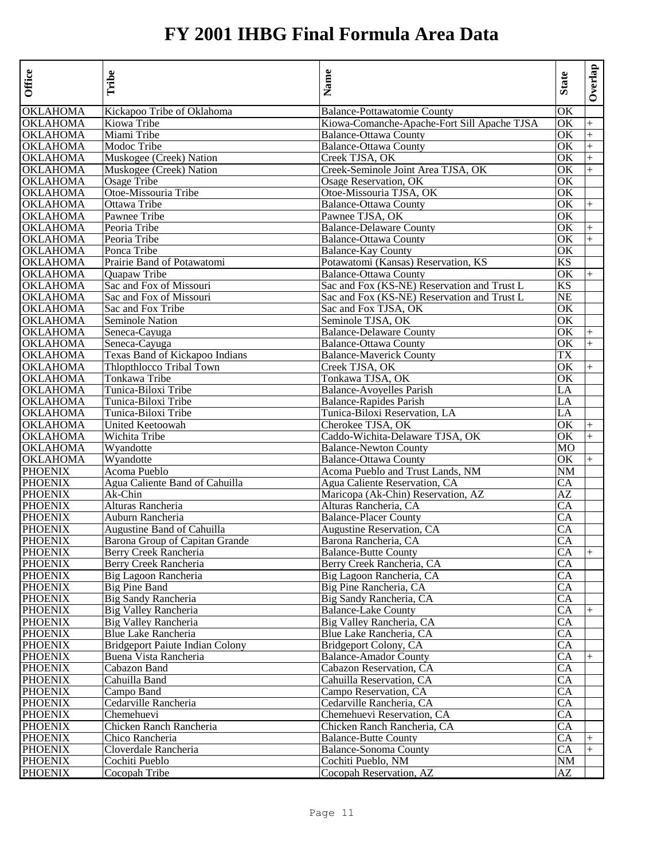| Office          | Tribe                                  | Name                                        | <b>State</b> | Overlap   |
|-----------------|----------------------------------------|---------------------------------------------|--------------|-----------|
| <b>OKLAHOMA</b> | Kickapoo Tribe of Oklahoma             | Balance-Pottawatomie County                 | OK           |           |
| OKLAHOMA        | Kiowa Tribe                            | Kiowa-Comanche-Apache-Fort Sill Apache TJSA | OK           | $^{+}$    |
| OKLAHOMA        | Miami Tribe                            | <b>Balance-Ottawa County</b>                | OK           | $^{+}$    |
| OKLAHOMA        | Modoc Tribe                            | <b>Balance-Ottawa County</b>                | OK           | $+$       |
| <b>OKLAHOMA</b> | Muskogee (Creek) Nation                | Creek TJSA, OK                              | OK           | $\ddot{}$ |
| OKLAHOMA        | Muskogee (Creek) Nation                | Creek-Seminole Joint Area TJSA, OK          | OK           | $+$       |
| OKLAHOMA        | Osage Tribe                            | Osage Reservation, OK                       | OK           |           |
| OKLAHOMA        | Otoe-Missouria Tribe                   | Otoe-Missouria TJSA, OK                     | OK           |           |
| OKLAHOMA        | Ottawa Tribe                           | <b>Balance-Ottawa County</b>                | OK           | $+$       |
| <b>OKLAHOMA</b> | Pawnee Tribe                           | Pawnee TJSA, OK                             | OK           |           |
| OKLAHOMA        | Peoria Tribe                           | <b>Balance-Delaware County</b>              | OK           | $+$       |
| OKLAHOMA        | Peoria Tribe                           | <b>Balance-Ottawa County</b>                | OK           | $+$       |
| OKLAHOMA        | Ponca Tribe                            | <b>Balance-Kay County</b>                   | OK           |           |
| OKLAHOMA        | Prairie Band of Potawatomi             | Potawatomi (Kansas) Reservation, KS         | KS           |           |
| OKLAHOMA        | Quapaw Tribe                           | <b>Balance-Ottawa County</b>                | OK           | $+$       |
| OKLAHOMA        | Sac and Fox of Missouri                | Sac and Fox (KS-NE) Reservation and Trust L | KS           |           |
| OKLAHOMA        | Sac and Fox of Missouri                | Sac and Fox (KS-NE) Reservation and Trust L | <b>NE</b>    |           |
| OKLAHOMA        | Sac and Fox Tribe                      | Sac and Fox TJSA, OK                        | OK           |           |
| OKLAHOMA        | Seminole Nation                        | Seminole TJSA, OK                           | OK           |           |
| <b>OKLAHOMA</b> | Seneca-Cayuga                          | <b>Balance-Delaware County</b>              | OK           | $+$       |
| OKLAHOMA        | Seneca-Cayuga                          | <b>Balance-Ottawa County</b>                | OK           | $+$       |
| OKLAHOMA        | Texas Band of Kickapoo Indians         | <b>Balance-Maverick County</b>              | TX           |           |
| OKLAHOMA        | Thlopthlocco Tribal Town               | Creek TJSA, OK                              | OK           | $+$       |
| <b>OKLAHOMA</b> | Tonkawa Tribe                          | Tonkawa TJSA, OK                            | OK           |           |
| OKLAHOMA        | Tunica-Biloxi Tribe                    | <b>Balance-Avoyelles Parish</b>             | LA           |           |
| <b>OKLAHOMA</b> | Tunica-Biloxi Tribe                    | <b>Balance-Rapides Parish</b>               | LA           |           |
| OKLAHOMA        | Tunica-Biloxi Tribe                    | Tunica-Biloxi Reservation, LA               | LA           |           |
| OKLAHOMA        | United Keetoowah                       | Cherokee TJSA, OK                           | OK           | $+$       |
| OKLAHOMA        | Wichita Tribe                          | Caddo-Wichita-Delaware TJSA, OK             | OK           | $+$       |
| OKLAHOMA        | Wyandotte                              | <b>Balance-Newton County</b>                | МO           |           |
| <b>OKLAHOMA</b> | Wyandotte                              | <b>Balance-Ottawa County</b>                | OK           | $+$       |
| PHOENIX         | Acoma Pueblo                           | Acoma Pueblo and Trust Lands, NM            | NM           |           |
| <b>PHOENIX</b>  | Agua Caliente Band of Cahuilla         | Agua Caliente Reservation, CA               | CA           |           |
| <b>PHOENIX</b>  | Ak-Chin                                | Maricopa (Ak-Chin) Reservation, AZ          | AZ           |           |
| <b>PHOENIX</b>  | Alturas Rancheria                      | Alturas Rancheria, CA                       | СA           |           |
| <b>PHOENIX</b>  | Auburn Rancheria                       | <b>Balance-Placer County</b>                | CA           |           |
| <b>PHOENIX</b>  | Augustine Band of Cahuilla             | <b>Augustine Reservation, CA</b>            | CA           |           |
| <b>PHOENIX</b>  | Barona Group of Capitan Grande         | Barona Rancheria, CA                        | <b>CA</b>    |           |
| <b>PHOENIX</b>  | Berry Creek Rancheria                  | <b>Balance-Butte County</b>                 | CA           | $^{+}$    |
| <b>PHOENIX</b>  | Berry Creek Rancheria                  | Berry Creek Rancheria, CA                   | CA           |           |
| <b>PHOENIX</b>  | Big Lagoon Rancheria                   | Big Lagoon Rancheria, CA                    | CA           |           |
| PHOENIX         | <b>Big Pine Band</b>                   | Big Pine Rancheria, CA                      | CA           |           |
| <b>PHOENIX</b>  | Big Sandy Rancheria                    | Big Sandy Rancheria, CA                     | CA           |           |
| <b>PHOENIX</b>  | Big Valley Rancheria                   | <b>Balance-Lake County</b>                  | CA           | $+$       |
| <b>PHOENIX</b>  | Big Valley Rancheria                   | Big Valley Rancheria, CA                    | CA           |           |
| <b>PHOENIX</b>  | Blue Lake Rancheria                    | Blue Lake Rancheria, CA                     | CA           |           |
| PHOENIX         | <b>Bridgeport Paiute Indian Colony</b> | Bridgeport Colony, CA                       | CА           |           |
| PHOENIX         | Buena Vista Rancheria                  | <b>Balance-Amador County</b>                | CA           | $+$       |
| <b>PHOENIX</b>  | Cabazon Band                           | Cabazon Reservation, CA                     | CA           |           |
| <b>PHOENIX</b>  | Cahuilla Band                          | Cahuilla Reservation, CA                    | CA           |           |
| <b>PHOENIX</b>  | Campo Band                             | Campo Reservation, CA                       | CA           |           |
| <b>PHOENIX</b>  | Cedarville Rancheria                   | Cedarville Rancheria, CA                    | CA           |           |
| <b>PHOENIX</b>  | Chemehuevi                             | Chemehuevi Reservation, CA                  | CA           |           |
| <b>PHOENIX</b>  | Chicken Ranch Rancheria                | Chicken Ranch Rancheria, CA                 | CA           |           |
| <b>PHOENIX</b>  | Chico Rancheria                        | <b>Balance-Butte County</b>                 | CA           | $^{+}$    |
| <b>PHOENIX</b>  | Cloverdale Rancheria                   | <b>Balance-Sonoma County</b>                | CA           | $^{+}$    |
| <b>PHOENIX</b>  | Cochiti Pueblo                         | Cochiti Pueblo, NM                          | NM           |           |
| <b>PHOENIX</b>  | Cocopah Tribe                          | Cocopah Reservation, AZ                     | AZ           |           |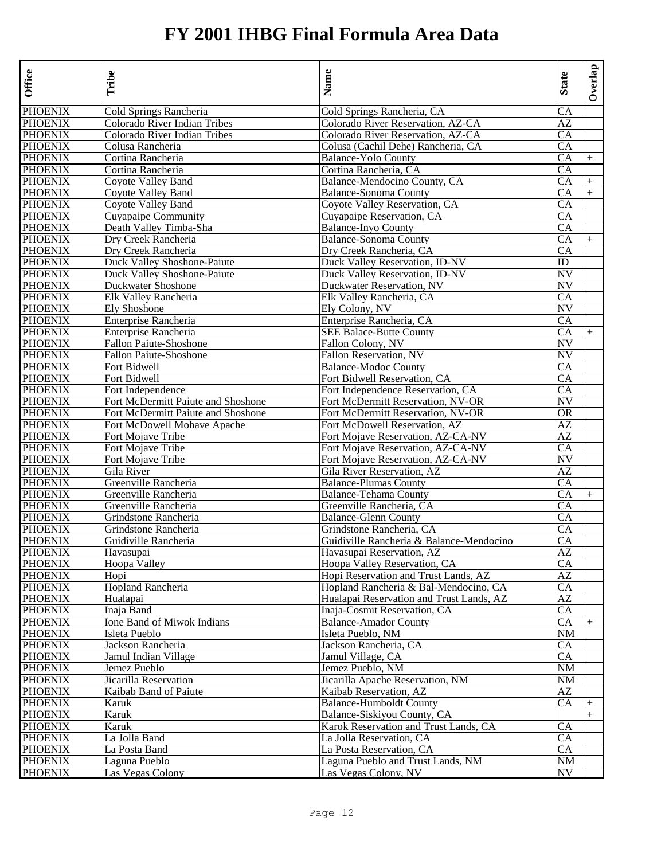| Office                           | Tribe                              | Name                                                                 | <b>State</b>           | Overlap        |
|----------------------------------|------------------------------------|----------------------------------------------------------------------|------------------------|----------------|
| <b>PHOENIX</b>                   | Cold Springs Rancheria             | Cold Springs Rancheria, CA                                           | CA                     |                |
| <b>PHOENIX</b>                   | Colorado River Indian Tribes       | Colorado River Reservation, AZ-CA                                    | AZ                     |                |
| <b>PHOENIX</b>                   | Colorado River Indian Tribes       | Colorado River Reservation, AZ-CA                                    | CA                     |                |
| <b>PHOENIX</b>                   | Colusa Rancheria                   | Colusa (Cachil Dehe) Rancheria, CA                                   | CA                     |                |
| <b>PHOENIX</b>                   | Cortina Rancheria                  | <b>Balance-Yolo County</b>                                           | CA                     | $+$            |
| <b>PHOENIX</b>                   | Cortina Rancheria                  | Cortina Rancheria, CA                                                | CA                     |                |
| <b>PHOENIX</b>                   | Coyote Valley Band                 | Balance-Mendocino County, CA                                         | CA                     | $+$            |
| <b>PHOENIX</b>                   | <b>Coyote Valley Band</b>          | <b>Balance-Sonoma County</b>                                         | CA                     | $+$            |
| <b>PHOENIX</b>                   | Coyote Valley Band                 | Coyote Valley Reservation, CA                                        | CA                     |                |
| <b>PHOENIX</b>                   | Cuyapaipe Community                | Cuyapaipe Reservation, CA                                            | CA                     |                |
| <b>PHOENIX</b>                   | Death Valley Timba-Sha             | <b>Balance-Inyo County</b>                                           | CA                     |                |
| <b>PHOENIX</b>                   | Dry Creek Rancheria                | <b>Balance-Sonoma County</b>                                         | CA                     | $^{+}$         |
| <b>PHOENIX</b>                   | Dry Creek Rancheria                | Dry Creek Rancheria, CA                                              | CA                     |                |
| <b>PHOENIX</b>                   | Duck Valley Shoshone-Paiute        | Duck Valley Reservation, ID-NV                                       | ID                     |                |
| <b>PHOENIX</b>                   | Duck Valley Shoshone-Paiute        | Duck Valley Reservation, ID-NV                                       | NV                     |                |
| <b>PHOENIX</b>                   | Duckwater Shoshone                 | Duckwater Reservation, NV                                            | NV                     |                |
| <b>PHOENIX</b>                   | Elk Valley Rancheria               | Elk Valley Rancheria, CA                                             | CA                     |                |
| <b>PHOENIX</b>                   | Ely Shoshone                       | Ely Colony, NV                                                       | NV                     |                |
| <b>PHOENIX</b>                   | Enterprise Rancheria               | Enterprise Rancheria, CA                                             | CA                     |                |
| <b>PHOENIX</b>                   | Enterprise Rancheria               | <b>SEE Balace-Butte County</b>                                       | CA                     |                |
| <b>PHOENIX</b>                   | <b>Fallon Paiute-Shoshone</b>      | Fallon Colony, NV                                                    | NV                     |                |
| <b>PHOENIX</b>                   | <b>Fallon Paiute-Shoshone</b>      | Fallon Reservation, NV                                               | NV                     |                |
| <b>PHOENIX</b>                   | Fort Bidwell                       | <b>Balance-Modoc County</b>                                          | CA                     |                |
| <b>PHOENIX</b>                   | Fort Bidwell                       | Fort Bidwell Reservation, CA                                         | CA                     |                |
| <b>PHOENIX</b>                   | Fort Independence                  | Fort Independence Reservation, CA                                    | CA                     |                |
| <b>PHOENIX</b>                   | Fort McDermitt Paiute and Shoshone | Fort McDermitt Reservation, NV-OR                                    | NV                     |                |
| <b>PHOENIX</b>                   | Fort McDermitt Paiute and Shoshone | Fort McDermitt Reservation, NV-OR                                    | OR                     |                |
| <b>PHOENIX</b>                   | Fort McDowell Mohave Apache        | Fort McDowell Reservation, AZ                                        | AZ                     |                |
| <b>PHOENIX</b>                   | Fort Mojave Tribe                  | Fort Mojave Reservation, AZ-CA-NV                                    | AZ                     |                |
| <b>PHOENIX</b>                   | Fort Mojave Tribe                  | Fort Mojave Reservation, AZ-CA-NV                                    | CA                     |                |
| <b>PHOENIX</b>                   | Fort Mojave Tribe                  | Fort Mojave Reservation, AZ-CA-NV                                    | NV                     |                |
| <b>PHOENIX</b>                   | Gila River                         | Gila River Reservation, AZ                                           | AZ                     |                |
| <b>PHOENIX</b>                   | Greenville Rancheria               | <b>Balance-Plumas County</b>                                         | CA                     |                |
| <b>PHOENIX</b>                   | Greenville Rancheria               | <b>Balance-Tehama County</b>                                         | CA                     | $+$            |
| <b>PHOENIX</b>                   | Greenville Rancheria               | Greenville Rancheria, CA                                             | CA                     |                |
| <b>PHOENIX</b>                   | Grindstone Rancheria               | <b>Balance-Glenn County</b>                                          | CA                     |                |
| <b>PHOENIX</b>                   | Grindstone Rancheria               | Grindstone Rancheria, CA                                             | CA                     |                |
| <b>PHOENIX</b>                   | Guidiville Rancheria               | Guidiville Rancheria & Balance-Mendocino                             | CA                     |                |
| <b>PHOENIX</b>                   | Havasupai                          | Havasupai Reservation, AZ                                            | AZ                     |                |
| <b>PHOENIX</b>                   | Hoopa Valley                       | Hoopa Valley Reservation, CA                                         | CA                     |                |
| <b>PHOENIX</b>                   | Hopi                               | Hopi Reservation and Trust Lands, AZ                                 | AZ                     |                |
| <b>PHOENIX</b>                   | <b>Hopland Rancheria</b>           | Hopland Rancheria & Bal-Mendocino, CA                                | СA                     |                |
| <b>PHOENIX</b>                   | Hualapai                           | Hualapai Reservation and Trust Lands, AZ                             | AZ                     |                |
| <b>PHOENIX</b>                   | Inaja Band                         | Inaja-Cosmit Reservation, CA                                         | CA                     |                |
| <b>PHOENIX</b>                   | Ione Band of Miwok Indians         | <b>Balance-Amador County</b>                                         | $\overline{CA}$        | $\overline{+}$ |
| <b>PHOENIX</b>                   | Isleta Pueblo                      | Isleta Pueblo, NM                                                    | NM                     |                |
| <b>PHOENIX</b><br><b>PHOENIX</b> | Jackson Rancheria                  | Jackson Rancheria, CA<br>Jamul Village, CA                           | CA                     |                |
|                                  | Jamul Indian Village               |                                                                      | CA                     |                |
| <b>PHOENIX</b><br><b>PHOENIX</b> | Jemez Pueblo                       | Jemez Pueblo, NM                                                     | NM                     |                |
|                                  | Jicarilla Reservation              | Jicarilla Apache Reservation, NM<br>Kaibab Reservation, AZ           | $\overline{\text{NM}}$ |                |
| <b>PHOENIX</b>                   | Kaibab Band of Paiute              |                                                                      | AZ                     |                |
| <b>PHOENIX</b><br><b>PHOENIX</b> | Karuk                              | <b>Balance-Humboldt County</b>                                       | <b>CA</b>              |                |
| <b>PHOENIX</b>                   | Karuk                              | Balance-Siskiyou County, CA<br>Karok Reservation and Trust Lands, CA |                        | $+$            |
| <b>PHOENIX</b>                   | Karuk<br>La Jolla Band             |                                                                      | CA                     |                |
| <b>PHOENIX</b>                   |                                    | La Jolla Reservation, CA<br>La Posta Reservation, CA                 | CA                     |                |
| <b>PHOENIX</b>                   | La Posta Band                      | Laguna Pueblo and Trust Lands, NM                                    | CA<br>$\rm{NM}$        |                |
|                                  | Laguna Pueblo                      |                                                                      |                        |                |
| <b>PHOENIX</b>                   | Las Vegas Colony                   | Las Vegas Colony, NV                                                 | NV                     |                |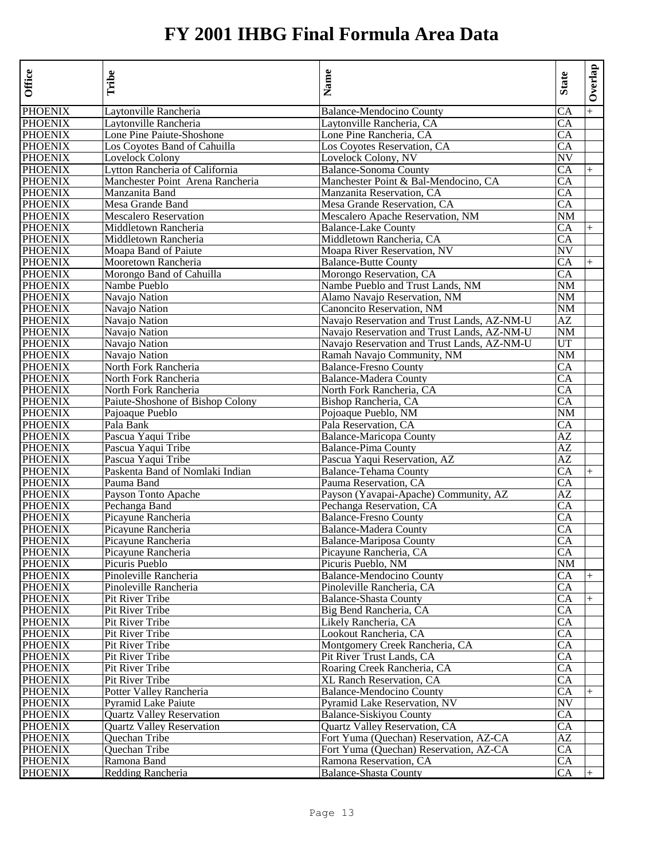| Office         | Tribe                                    | Name                                                     | <b>State</b>           | Overlap |
|----------------|------------------------------------------|----------------------------------------------------------|------------------------|---------|
| <b>PHOENIX</b> | Laytonville Rancheria                    | <b>Balance-Mendocino County</b>                          | CA                     | $+$     |
| <b>PHOENIX</b> | Laytonville Rancheria                    | Laytonville Rancheria, CA                                | CA                     |         |
| <b>PHOENIX</b> | Lone Pine Paiute-Shoshone                | Lone Pine Rancheria, CA                                  | CA                     |         |
| <b>PHOENIX</b> | Los Coyotes Band of Cahuilla             | Los Covotes Reservation, CA                              | <b>CA</b>              |         |
| <b>PHOENIX</b> | Lovelock Colony                          | Lovelock Colony, NV                                      | NV                     |         |
| <b>PHOENIX</b> | Lytton Rancheria of California           | <b>Balance-Sonoma County</b>                             | CA                     | $^{+}$  |
| <b>PHOENIX</b> | Manchester Point Arena Rancheria         | Manchester Point & Bal-Mendocino, CA                     | CA                     |         |
| <b>PHOENIX</b> | Manzanita Band                           | Manzanita Reservation, CA                                | CA                     |         |
| <b>PHOENIX</b> | Mesa Grande Band                         | Mesa Grande Reservation, CA                              | CA                     |         |
| <b>PHOENIX</b> | <b>Mescalero Reservation</b>             | Mescalero Apache Reservation, NM                         | NM                     |         |
| <b>PHOENIX</b> | Middletown Rancheria                     | <b>Balance-Lake County</b>                               | CA                     | $+$     |
| <b>PHOENIX</b> | Middletown Rancheria                     | Middletown Rancheria, CA                                 | CA                     |         |
| <b>PHOENIX</b> | Moapa Band of Paiute                     | Moapa River Reservation, NV                              | <b>NV</b>              |         |
| <b>PHOENIX</b> | Mooretown Rancheria                      | <b>Balance-Butte County</b>                              | CA                     | $+$     |
| <b>PHOENIX</b> | Morongo Band of Cahuilla                 | Morongo Reservation, CA                                  | CA                     |         |
| <b>PHOENIX</b> | Nambe Pueblo                             | Nambe Pueblo and Trust Lands, NM                         | NM                     |         |
| <b>PHOENIX</b> | Navajo Nation                            | Alamo Navajo Reservation, NM                             | NM                     |         |
| <b>PHOENIX</b> | Navajo Nation                            | Canoncito Reservation, NM                                | NM                     |         |
| <b>PHOENIX</b> | Navajo Nation                            | Navajo Reservation and Trust Lands, AZ-NM-U              | AZ                     |         |
| <b>PHOENIX</b> | Navajo Nation                            | Navajo Reservation and Trust Lands, AZ-NM-U              | NM                     |         |
| <b>PHOENIX</b> | Navajo Nation                            | Navajo Reservation and Trust Lands, AZ-NM-U              | UT                     |         |
| <b>PHOENIX</b> | Navajo Nation                            | Ramah Navajo Community, NM                               | NM                     |         |
| <b>PHOENIX</b> | North Fork Rancheria                     | <b>Balance-Fresno County</b>                             | CA                     |         |
| <b>PHOENIX</b> | North Fork Rancheria                     | <b>Balance-Madera County</b>                             | CA                     |         |
| <b>PHOENIX</b> | North Fork Rancheria                     | North Fork Rancheria, CA                                 | CA                     |         |
| <b>PHOENIX</b> | Paiute-Shoshone of Bishop Colony         | Bishop Rancheria, CA                                     | CA                     |         |
| <b>PHOENIX</b> | Pajoaque Pueblo                          | Poioaque Pueblo, NM                                      | NΜ                     |         |
| <b>PHOENIX</b> | Pala Bank                                | Pala Reservation, CA                                     | СA                     |         |
| <b>PHOENIX</b> | Pascua Yaqui Tribe                       | <b>Balance-Maricopa County</b>                           | AZ                     |         |
| <b>PHOENIX</b> | Pascua Yaqui Tribe                       | <b>Balance-Pima County</b>                               | AZ                     |         |
| <b>PHOENIX</b> | Pascua Yaqui Tribe                       | Pascua Yaqui Reservation, AZ                             | AZ                     |         |
| <b>PHOENIX</b> | Paskenta Band of Nomlaki Indian          | <b>Balance-Tehama County</b>                             | CA                     | $+$     |
| <b>PHOENIX</b> | Pauma Band                               | Pauma Reservation, CA                                    | CA                     |         |
| <b>PHOENIX</b> | Payson Tonto Apache                      | Payson (Yavapai-Apache) Community, AZ                    | AZ                     |         |
| <b>PHOENIX</b> | Pechanga Band                            | Pechanga Reservation, CA                                 | СA                     |         |
| <b>PHOENIX</b> | Picayune Rancheria                       | <b>Balance-Fresno County</b>                             | CA                     |         |
| <b>PHOENIX</b> | Picayune Rancheria                       | <b>Balance-Madera County</b>                             | CA                     |         |
| <b>PHOENIX</b> |                                          |                                                          |                        |         |
| <b>PHOENIX</b> | Picayune Rancheria<br>Picayune Rancheria | <b>Balance-Mariposa County</b><br>Picayune Rancheria, CA | <b>CA</b><br>СA        |         |
| <b>PHOENIX</b> | Picuris Pueblo                           |                                                          | NM                     |         |
|                |                                          | Picuris Pueblo, NM                                       |                        |         |
| <b>PHOENIX</b> | Pinoleville Rancheria                    | <b>Balance-Mendocino County</b>                          | СA                     | $+$     |
| <b>PHOENIX</b> | Pinoleville Rancheria                    | Pinoleville Rancheria, CA                                | CA                     |         |
| <b>PHOENIX</b> | Pit River Tribe                          | <b>Balance-Shasta County</b>                             | CA                     | $^{+}$  |
| <b>PHOENIX</b> | Pit River Tribe                          | Big Bend Rancheria, CA                                   | СA                     |         |
| <b>PHOENIX</b> | Pit River Tribe                          | Likely Rancheria, CA                                     | CA                     |         |
| <b>PHOENIX</b> | Pit River Tribe                          | Lookout Rancheria, CA                                    | CA                     |         |
| <b>PHOENIX</b> | Pit River Tribe                          | Montgomery Creek Rancheria, CA                           | СA                     |         |
| <b>PHOENIX</b> | Pit River Tribe                          | Pit River Trust Lands, CA                                | <b>CA</b>              |         |
| <b>PHOENIX</b> | Pit River Tribe                          | Roaring Creek Rancheria, CA                              | $\overline{CA}$        |         |
| <b>PHOENIX</b> | Pit River Tribe                          | XL Ranch Reservation, CA                                 | CA                     |         |
| <b>PHOENIX</b> | Potter Valley Rancheria                  | <b>Balance-Mendocino County</b>                          | CA                     | $^{+}$  |
| <b>PHOENIX</b> | <b>Pyramid Lake Paiute</b>               | Pyramid Lake Reservation, NV                             | $\overline{\text{NV}}$ |         |
| <b>PHOENIX</b> | <b>Quartz Valley Reservation</b>         | Balance-Siskiyou County                                  | CA                     |         |
| <b>PHOENIX</b> | <b>Quartz Valley Reservation</b>         | Quartz Valley Reservation, CA                            | СA                     |         |
| <b>PHOENIX</b> | Quechan Tribe                            | Fort Yuma (Quechan) Reservation, AZ-CA                   | AZ                     |         |
| <b>PHOENIX</b> | Quechan Tribe                            | Fort Yuma (Quechan) Reservation, AZ-CA                   | CA                     |         |
| <b>PHOENIX</b> | Ramona Band                              | Ramona Reservation, CA                                   | <b>CA</b>              |         |
| <b>PHOENIX</b> | Redding Rancheria                        | <b>Balance-Shasta County</b>                             | CA                     |         |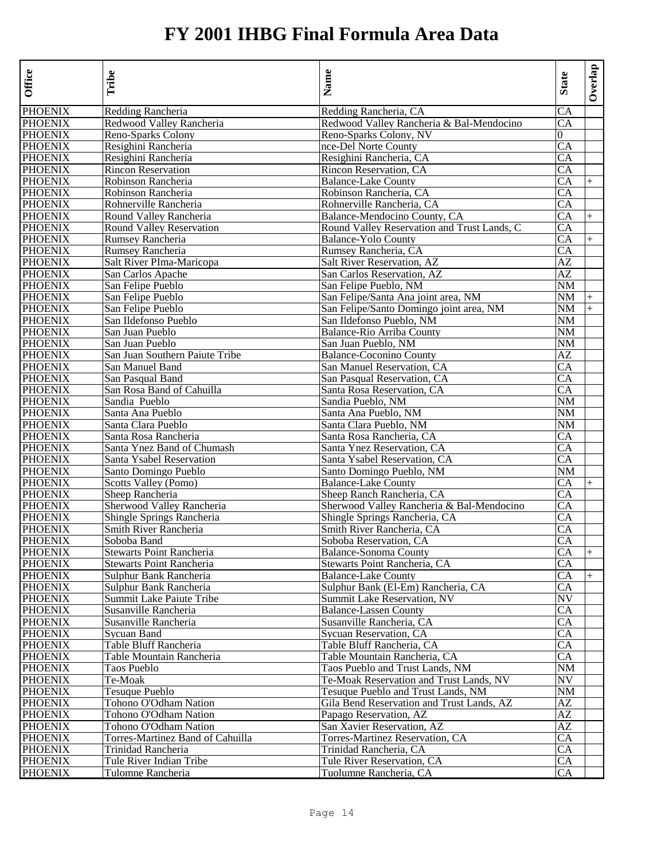| Office         | Tribe                            | Name                                        | <b>State</b>    | Overlap |
|----------------|----------------------------------|---------------------------------------------|-----------------|---------|
| <b>PHOENIX</b> | Redding Rancheria                | Redding Rancheria, CA                       | CA              |         |
| <b>PHOENIX</b> | Redwood Valley Rancheria         | Redwood Valley Rancheria & Bal-Mendocino    | CА              |         |
| <b>PHOENIX</b> | Reno-Sparks Colony               | Reno-Sparks Colony, NV                      | 0               |         |
| <b>PHOENIX</b> | Resighini Rancheria              | nce-Del Norte County                        | CA              |         |
| <b>PHOENIX</b> | Resighini Rancheria              | Resighini Rancheria, CA                     | CA              |         |
| <b>PHOENIX</b> | <b>Rincon Reservation</b>        | Rincon Reservation, CA                      | CA              |         |
| <b>PHOENIX</b> | Robinson Rancheria               | <b>Balance-Lake County</b>                  | CA              | $^{+}$  |
| <b>PHOENIX</b> | Robinson Rancheria               | Robinson Rancheria, CA                      | CA              |         |
| <b>PHOENIX</b> | Rohnerville Rancheria            | Rohnerville Rancheria, CA                   | CA              |         |
| <b>PHOENIX</b> | Round Valley Rancheria           | Balance-Mendocino County, CA                | CA              | $^{+}$  |
| <b>PHOENIX</b> | <b>Round Valley Reservation</b>  | Round Valley Reservation and Trust Lands, C | CA              |         |
| <b>PHOENIX</b> | <b>Rumsey Rancheria</b>          | <b>Balance-Yolo County</b>                  | CA              | $^{+}$  |
| <b>PHOENIX</b> | <b>Rumsey Rancheria</b>          | Rumsey Rancheria, CA                        | CA              |         |
| <b>PHOENIX</b> | Salt River PIma-Maricopa         | <b>Salt River Reservation, AZ</b>           | AZ              |         |
| <b>PHOENIX</b> | San Carlos Apache                | San Carlos Reservation, AZ                  | AZ              |         |
| <b>PHOENIX</b> | San Felipe Pueblo                | San Felipe Pueblo, NM                       | NM              |         |
| <b>PHOENIX</b> | San Felipe Pueblo                | San Felipe/Santa Ana joint area, NM         | NM              | $^{+}$  |
| <b>PHOENIX</b> | San Felipe Pueblo                | San Felipe/Santo Domingo joint area, NM     | NM              | $+$     |
| <b>PHOENIX</b> | San Ildefonso Pueblo             | San Ildefonso Pueblo, NM                    | NM              |         |
| <b>PHOENIX</b> | San Juan Pueblo                  | Balance-Rio Arriba County                   | NΜ              |         |
| <b>PHOENIX</b> | San Juan Pueblo                  | San Juan Pueblo, NM                         | NM              |         |
| <b>PHOENIX</b> | San Juan Southern Paiute Tribe   | <b>Balance-Coconino County</b>              | AZ              |         |
| <b>PHOENIX</b> | San Manuel Band                  | San Manuel Reservation, CA                  | CA              |         |
| <b>PHOENIX</b> | San Pasqual Band                 | San Pasqual Reservation, CA                 | CA              |         |
| <b>PHOENIX</b> | San Rosa Band of Cahuilla        | Santa Rosa Reservation, CA                  | CA              |         |
| <b>PHOENIX</b> | Sandia Pueblo                    | Sandia Pueblo, NM                           | NM              |         |
| <b>PHOENIX</b> | Santa Ana Pueblo                 | Santa Ana Pueblo, NM                        | NM              |         |
| <b>PHOENIX</b> | Santa Clara Pueblo               | Santa Clara Pueblo, NM                      | NM              |         |
| <b>PHOENIX</b> | Santa Rosa Rancheria             | Santa Rosa Rancheria. CA                    | CA              |         |
| <b>PHOENIX</b> | Santa Ynez Band of Chumash       | Santa Ynez Reservation, CA                  | CA              |         |
| <b>PHOENIX</b> | Santa Ysabel Reservation         | Santa Ysabel Reservation, CA                | CA              |         |
| <b>PHOENIX</b> | Santo Domingo Pueblo             | Santo Domingo Pueblo, NM                    | NM              |         |
| <b>PHOENIX</b> | Scotts Valley (Pomo)             | <b>Balance-Lake County</b>                  | CA              |         |
| <b>PHOENIX</b> | Sheep Rancheria                  | Sheep Ranch Rancheria, CA                   | CA              |         |
| <b>PHOENIX</b> | Sherwood Valley Rancheria        | Sherwood Valley Rancheria & Bal-Mendocino   | CA              |         |
| <b>PHOENIX</b> | Shingle Springs Rancheria        | Shingle Springs Rancheria, CA               | CA              |         |
| <b>PHOENIX</b> | Smith River Rancheria            | Smith River Rancheria, CA                   | CA              |         |
| <b>PHOENIX</b> | Soboba Band                      | Soboba Reservation, CA                      | CA              |         |
| <b>PHOENIX</b> | Stewarts Point Rancheria         | <b>Balance-Sonoma County</b>                | CA              | $+$     |
| <b>PHOENIX</b> | Stewarts Point Rancheria         | Stewarts Point Rancheria, CA                | CA              |         |
| <b>PHOENIX</b> | Sulphur Bank Rancheria           | <b>Balance-Lake County</b>                  | CA              | $+$     |
| <b>PHOENIX</b> | Sulphur Bank Rancheria           | Sulphur Bank (El-Em) Rancheria, CA          | СA              |         |
| <b>PHOENIX</b> | Summit Lake Paiute Tribe         | Summit Lake Reservation, NV                 | NV              |         |
| <b>PHOENIX</b> | Susanville Rancheria             | <b>Balance-Lassen County</b>                | CA              |         |
| <b>PHOENIX</b> | Susanville Rancheria             | Susanville Rancheria, CA                    | CA              |         |
| <b>PHOENIX</b> | Sycuan Band                      | Sycuan Reservation, CA                      | CA              |         |
| <b>PHOENIX</b> | Table Bluff Rancheria            | Table Bluff Rancheria, CA                   | CA              |         |
| <b>PHOENIX</b> | Table Mountain Rancheria         | Table Mountain Rancheria, CA                | CA              |         |
| <b>PHOENIX</b> | Taos Pueblo                      | Taos Pueblo and Trust Lands, NM             | NM              |         |
| <b>PHOENIX</b> | Te-Moak                          | Te-Moak Reservation and Trust Lands, NV     | NV              |         |
| <b>PHOENIX</b> | <b>Tesuque Pueblo</b>            | Tesuque Pueblo and Trust Lands, NM          | NM              |         |
| <b>PHOENIX</b> | Tohono O'Odham Nation            | Gila Bend Reservation and Trust Lands, AZ   | AZ              |         |
| <b>PHOENIX</b> | Tohono O'Odham Nation            | Papago Reservation, AZ                      | $\overline{AZ}$ |         |
| <b>PHOENIX</b> | Tohono O'Odham Nation            | San Xavier Reservation, AZ                  | AZ              |         |
| <b>PHOENIX</b> | Torres-Martinez Band of Cahuilla | Torres-Martinez Reservation, CA             | CA              |         |
| <b>PHOENIX</b> | Trinidad Rancheria               | Trinidad Rancheria, CA                      | CA              |         |
| <b>PHOENIX</b> | Tule River Indian Tribe          | Tule River Reservation, CA                  | CA              |         |
|                | Tulomne Rancheria                |                                             |                 |         |
| <b>PHOENIX</b> |                                  | Tuolumne Rancheria, CA                      | <b>CA</b>       |         |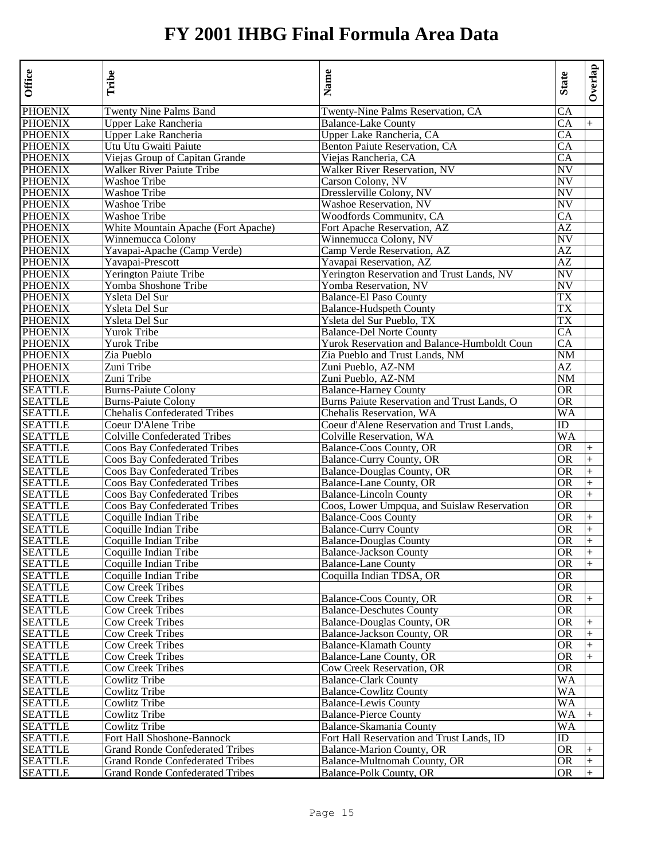| Twenty Nine Palms Band<br>Twenty-Nine Palms Reservation, CA<br>CA<br><b>PHOENIX</b><br>CA<br>Upper Lake Rancheria<br><b>Balance-Lake County</b><br>$+$<br><b>PHOENIX</b><br>Upper Lake Rancheria<br>Upper Lake Rancheria, CA<br>CA<br><b>PHOENIX</b><br>CA<br>Utu Utu Gwaiti Paiute<br>Benton Paiute Reservation, CA<br>Viejas Group of Capitan Grande<br>Viejas Rancheria, CA<br>CA<br><b>PHOENIX</b><br>NV<br>Walker River Reservation, NV<br>Walker River Paiute Tribe<br><b>PHOENIX</b><br>Washoe Tribe<br>Carson Colony, NV<br>NV<br><b>PHOENIX</b><br>Washoe Tribe<br>Dresslerville Colony, NV<br>NV<br><b>PHOENIX</b><br>NV<br><b>Washoe Tribe</b><br>Washoe Reservation, NV<br><b>PHOENIX</b><br>Washoe Tribe<br><b>Woodfords Community, CA</b><br>CA<br><b>PHOENIX</b><br>White Mountain Apache (Fort Apache)<br>AZ<br>Fort Apache Reservation, AZ<br><b>PHOENIX</b><br>Winnemucca Colony<br>Winnemucca Colony, NV<br>NV<br><b>PHOENIX</b><br>Yavapai-Apache (Camp Verde)<br>Camp Verde Reservation, AZ<br>AZ<br><b>PHOENIX</b><br>Yavapai-Prescott<br>Yavapai Reservation, AZ<br>AZ<br><b>PHOENIX</b><br>NV<br>Yerington Paiute Tribe<br>Yerington Reservation and Trust Lands, NV<br><b>PHOENIX</b><br>NV<br>Yomba Shoshone Tribe<br>Yomba Reservation, NV<br><b>PHOENIX</b><br><b>TX</b><br>Ysleta Del Sur<br><b>Balance-El Paso County</b><br><b>PHOENIX</b><br>Ysleta Del Sur<br><b>Balance-Hudspeth County</b><br>TX<br><b>PHOENIX</b><br>Ysleta Del Sur<br>Ysleta del Sur Pueblo, TX<br>TX<br><b>PHOENIX</b><br>Yurok Tribe<br><b>Balance-Del Norte County</b><br>CA<br>Yurok Tribe<br><b>PHOENIX</b><br>Yurok Reservation and Balance-Humboldt Coun<br>CA<br><b>PHOENIX</b><br>Zia Pueblo<br>Zia Pueblo and Trust Lands, NM<br>NΜ<br><b>PHOENIX</b><br>AZ<br>Zuni Tribe<br>Zuni Pueblo, AZ-NM<br><b>PHOENIX</b><br>Zuni Pueblo, AZ-NM<br>NM<br>Zuni Tribe<br><b>SEATTLE</b><br><b>Burns-Paiute Colony</b><br><b>Balance-Harney County</b><br>0R<br>Burns Paiute Reservation and Trust Lands, O<br><b>SEATTLE</b><br><b>Burns-Paiute Colony</b><br>OR<br><b>SEATTLE</b><br><b>Chehalis Confederated Tribes</b><br>Chehalis Reservation, WA<br>WA<br><b>SEATTLE</b><br>Coeur D'Alene Tribe<br>Coeur d'Alene Reservation and Trust Lands,<br>ID<br><b>SEATTLE</b><br><b>Colville Confederated Tribes</b><br>WA<br>Colville Reservation, WA<br><b>SEATTLE</b><br>Coos Bay Confederated Tribes<br>Balance-Coos County, OR<br><b>OR</b><br>$+$<br><b>SEATTLE</b><br><b>Coos Bay Confederated Tribes</b><br><b>Balance-Curry County, OR</b><br><b>OR</b><br>$\ddot{}$<br><b>OR</b><br>Coos Bay Confederated Tribes<br>$+$<br><b>SEATTLE</b><br>Balance-Douglas County, OR<br>Coos Bay Confederated Tribes<br><b>SEATTLE</b><br>Balance-Lane County, OR<br>OR<br>$\ddot{}$<br><b>SEATTLE</b><br>Coos Bay Confederated Tribes<br><b>Balance-Lincoln County</b><br>OR<br>$+$<br><b>SEATTLE</b><br>Coos Bay Confederated Tribes<br>Coos, Lower Umpqua, and Suislaw Reservation<br>OR<br><b>SEATTLE</b><br>Coquille Indian Tribe<br><b>Balance-Coos County</b><br><b>OR</b><br>$^{+}$<br><b>SEATTLE</b><br>Coquille Indian Tribe<br><b>Balance-Curry County</b><br><b>OR</b><br>$+$<br><b>SEATTLE</b><br>Coquille Indian Tribe<br><b>Balance-Douglas County</b><br><b>OR</b><br>$\ddot{}$<br><b>SEATTLE</b><br><b>OR</b><br>Coquille Indian Tribe<br><b>Balance-Jackson County</b><br>$+$<br><b>SEATTLE</b><br>Coquille Indian Tribe<br><b>Balance-Lane County</b><br><b>OR</b><br>$+$<br><b>SEATTLE</b><br>Coquille Indian Tribe<br>Coquilla Indian TDSA, OR<br>OR<br><b>SEATTLE</b><br><b>Cow Creek Tribes</b><br>0R<br><b>SEATTLE</b><br><b>Cow Creek Tribes</b><br>Balance-Coos County, OR<br><b>OR</b><br>$^{+}$<br><b>SEATTLE</b><br>0R<br>Cow Creek Tribes<br><b>Balance-Deschutes County</b><br><b>SEATTLE</b><br><b>Cow Creek Tribes</b><br>Balance-Douglas County, OR<br>OR<br>$^{+}$<br><b>SEATTLE</b><br><b>Cow Creek Tribes</b><br>Balance-Jackson County, OR<br>$+$<br>OR<br><b>SEATTLE</b><br><b>Cow Creek Tribes</b><br><b>Balance-Klamath County</b><br>OR<br>$+$<br><b>SEATTLE</b><br><b>Cow Creek Tribes</b><br>Balance-Lane County, OR<br>OR<br>$+$<br><b>SEATTLE</b><br>OR<br><b>Cow Creek Tribes</b><br>Cow Creek Reservation, OR<br><b>SEATTLE</b><br>WA<br>Cowlitz Tribe<br><b>Balance-Clark County</b><br><b>SEATTLE</b><br>Cowlitz Tribe<br><b>Balance-Cowlitz County</b><br>WA<br><b>Balance-Lewis County</b><br><b>SEATTLE</b><br>Cowlitz Tribe<br>WA<br><b>SEATTLE</b><br>Cowlitz Tribe<br><b>Balance-Pierce County</b><br>WA<br><b>Balance-Skamania County</b><br><b>SEATTLE</b><br>Cowlitz Tribe<br>WA<br><b>SEATTLE</b><br>Fort Hall Shoshone-Bannock<br>Fort Hall Reservation and Trust Lands, ID<br>ID<br><b>SEATTLE</b><br><b>Grand Ronde Confederated Tribes</b><br>Balance-Marion County, OR<br>OR<br>$^+$<br><b>SEATTLE</b><br><b>Grand Ronde Confederated Tribes</b><br>Balance-Multnomah County, OR<br><b>OR</b><br>$\ddot{}$<br>Balance-Polk County, OR<br><b>SEATTLE</b><br><b>Grand Ronde Confederated Tribes</b><br><b>OR</b> | Office         | Tribe | Name | <b>State</b> | Overlap |
|--------------------------------------------------------------------------------------------------------------------------------------------------------------------------------------------------------------------------------------------------------------------------------------------------------------------------------------------------------------------------------------------------------------------------------------------------------------------------------------------------------------------------------------------------------------------------------------------------------------------------------------------------------------------------------------------------------------------------------------------------------------------------------------------------------------------------------------------------------------------------------------------------------------------------------------------------------------------------------------------------------------------------------------------------------------------------------------------------------------------------------------------------------------------------------------------------------------------------------------------------------------------------------------------------------------------------------------------------------------------------------------------------------------------------------------------------------------------------------------------------------------------------------------------------------------------------------------------------------------------------------------------------------------------------------------------------------------------------------------------------------------------------------------------------------------------------------------------------------------------------------------------------------------------------------------------------------------------------------------------------------------------------------------------------------------------------------------------------------------------------------------------------------------------------------------------------------------------------------------------------------------------------------------------------------------------------------------------------------------------------------------------------------------------------------------------------------------------------------------------------------------------------------------------------------------------------------------------------------------------------------------------------------------------------------------------------------------------------------------------------------------------------------------------------------------------------------------------------------------------------------------------------------------------------------------------------------------------------------------------------------------------------------------------------------------------------------------------------------------------------------------------------------------------------------------------------------------------------------------------------------------------------------------------------------------------------------------------------------------------------------------------------------------------------------------------------------------------------------------------------------------------------------------------------------------------------------------------------------------------------------------------------------------------------------------------------------------------------------------------------------------------------------------------------------------------------------------------------------------------------------------------------------------------------------------------------------------------------------------------------------------------------------------------------------------------------------------------------------------------------------------------------------------------------------------------------------------------------------------------------------------------------------------------------------------------------------------------------------------------------------------------------------------------------------------------------------------------------------------------------------------------------------------------------------------------------------------------------------------------------------------------------------------------------------------------------------------------------------------------------------------------------------------------------------------------------------------------------------------------------------------------------------------------------------------------------------------------------------------------------------------------------------------------------------------------------------|----------------|-------|------|--------------|---------|
|                                                                                                                                                                                                                                                                                                                                                                                                                                                                                                                                                                                                                                                                                                                                                                                                                                                                                                                                                                                                                                                                                                                                                                                                                                                                                                                                                                                                                                                                                                                                                                                                                                                                                                                                                                                                                                                                                                                                                                                                                                                                                                                                                                                                                                                                                                                                                                                                                                                                                                                                                                                                                                                                                                                                                                                                                                                                                                                                                                                                                                                                                                                                                                                                                                                                                                                                                                                                                                                                                                                                                                                                                                                                                                                                                                                                                                                                                                                                                                                                                                                                                                                                                                                                                                                                                                                                                                                                                                                                                                                                                                                                                                                                                                                                                                                                                                                                                                                                                                                                                                                                                | <b>PHOENIX</b> |       |      |              |         |
|                                                                                                                                                                                                                                                                                                                                                                                                                                                                                                                                                                                                                                                                                                                                                                                                                                                                                                                                                                                                                                                                                                                                                                                                                                                                                                                                                                                                                                                                                                                                                                                                                                                                                                                                                                                                                                                                                                                                                                                                                                                                                                                                                                                                                                                                                                                                                                                                                                                                                                                                                                                                                                                                                                                                                                                                                                                                                                                                                                                                                                                                                                                                                                                                                                                                                                                                                                                                                                                                                                                                                                                                                                                                                                                                                                                                                                                                                                                                                                                                                                                                                                                                                                                                                                                                                                                                                                                                                                                                                                                                                                                                                                                                                                                                                                                                                                                                                                                                                                                                                                                                                |                |       |      |              |         |
|                                                                                                                                                                                                                                                                                                                                                                                                                                                                                                                                                                                                                                                                                                                                                                                                                                                                                                                                                                                                                                                                                                                                                                                                                                                                                                                                                                                                                                                                                                                                                                                                                                                                                                                                                                                                                                                                                                                                                                                                                                                                                                                                                                                                                                                                                                                                                                                                                                                                                                                                                                                                                                                                                                                                                                                                                                                                                                                                                                                                                                                                                                                                                                                                                                                                                                                                                                                                                                                                                                                                                                                                                                                                                                                                                                                                                                                                                                                                                                                                                                                                                                                                                                                                                                                                                                                                                                                                                                                                                                                                                                                                                                                                                                                                                                                                                                                                                                                                                                                                                                                                                |                |       |      |              |         |
|                                                                                                                                                                                                                                                                                                                                                                                                                                                                                                                                                                                                                                                                                                                                                                                                                                                                                                                                                                                                                                                                                                                                                                                                                                                                                                                                                                                                                                                                                                                                                                                                                                                                                                                                                                                                                                                                                                                                                                                                                                                                                                                                                                                                                                                                                                                                                                                                                                                                                                                                                                                                                                                                                                                                                                                                                                                                                                                                                                                                                                                                                                                                                                                                                                                                                                                                                                                                                                                                                                                                                                                                                                                                                                                                                                                                                                                                                                                                                                                                                                                                                                                                                                                                                                                                                                                                                                                                                                                                                                                                                                                                                                                                                                                                                                                                                                                                                                                                                                                                                                                                                |                |       |      |              |         |
|                                                                                                                                                                                                                                                                                                                                                                                                                                                                                                                                                                                                                                                                                                                                                                                                                                                                                                                                                                                                                                                                                                                                                                                                                                                                                                                                                                                                                                                                                                                                                                                                                                                                                                                                                                                                                                                                                                                                                                                                                                                                                                                                                                                                                                                                                                                                                                                                                                                                                                                                                                                                                                                                                                                                                                                                                                                                                                                                                                                                                                                                                                                                                                                                                                                                                                                                                                                                                                                                                                                                                                                                                                                                                                                                                                                                                                                                                                                                                                                                                                                                                                                                                                                                                                                                                                                                                                                                                                                                                                                                                                                                                                                                                                                                                                                                                                                                                                                                                                                                                                                                                | <b>PHOENIX</b> |       |      |              |         |
|                                                                                                                                                                                                                                                                                                                                                                                                                                                                                                                                                                                                                                                                                                                                                                                                                                                                                                                                                                                                                                                                                                                                                                                                                                                                                                                                                                                                                                                                                                                                                                                                                                                                                                                                                                                                                                                                                                                                                                                                                                                                                                                                                                                                                                                                                                                                                                                                                                                                                                                                                                                                                                                                                                                                                                                                                                                                                                                                                                                                                                                                                                                                                                                                                                                                                                                                                                                                                                                                                                                                                                                                                                                                                                                                                                                                                                                                                                                                                                                                                                                                                                                                                                                                                                                                                                                                                                                                                                                                                                                                                                                                                                                                                                                                                                                                                                                                                                                                                                                                                                                                                |                |       |      |              |         |
|                                                                                                                                                                                                                                                                                                                                                                                                                                                                                                                                                                                                                                                                                                                                                                                                                                                                                                                                                                                                                                                                                                                                                                                                                                                                                                                                                                                                                                                                                                                                                                                                                                                                                                                                                                                                                                                                                                                                                                                                                                                                                                                                                                                                                                                                                                                                                                                                                                                                                                                                                                                                                                                                                                                                                                                                                                                                                                                                                                                                                                                                                                                                                                                                                                                                                                                                                                                                                                                                                                                                                                                                                                                                                                                                                                                                                                                                                                                                                                                                                                                                                                                                                                                                                                                                                                                                                                                                                                                                                                                                                                                                                                                                                                                                                                                                                                                                                                                                                                                                                                                                                |                |       |      |              |         |
|                                                                                                                                                                                                                                                                                                                                                                                                                                                                                                                                                                                                                                                                                                                                                                                                                                                                                                                                                                                                                                                                                                                                                                                                                                                                                                                                                                                                                                                                                                                                                                                                                                                                                                                                                                                                                                                                                                                                                                                                                                                                                                                                                                                                                                                                                                                                                                                                                                                                                                                                                                                                                                                                                                                                                                                                                                                                                                                                                                                                                                                                                                                                                                                                                                                                                                                                                                                                                                                                                                                                                                                                                                                                                                                                                                                                                                                                                                                                                                                                                                                                                                                                                                                                                                                                                                                                                                                                                                                                                                                                                                                                                                                                                                                                                                                                                                                                                                                                                                                                                                                                                |                |       |      |              |         |
|                                                                                                                                                                                                                                                                                                                                                                                                                                                                                                                                                                                                                                                                                                                                                                                                                                                                                                                                                                                                                                                                                                                                                                                                                                                                                                                                                                                                                                                                                                                                                                                                                                                                                                                                                                                                                                                                                                                                                                                                                                                                                                                                                                                                                                                                                                                                                                                                                                                                                                                                                                                                                                                                                                                                                                                                                                                                                                                                                                                                                                                                                                                                                                                                                                                                                                                                                                                                                                                                                                                                                                                                                                                                                                                                                                                                                                                                                                                                                                                                                                                                                                                                                                                                                                                                                                                                                                                                                                                                                                                                                                                                                                                                                                                                                                                                                                                                                                                                                                                                                                                                                |                |       |      |              |         |
|                                                                                                                                                                                                                                                                                                                                                                                                                                                                                                                                                                                                                                                                                                                                                                                                                                                                                                                                                                                                                                                                                                                                                                                                                                                                                                                                                                                                                                                                                                                                                                                                                                                                                                                                                                                                                                                                                                                                                                                                                                                                                                                                                                                                                                                                                                                                                                                                                                                                                                                                                                                                                                                                                                                                                                                                                                                                                                                                                                                                                                                                                                                                                                                                                                                                                                                                                                                                                                                                                                                                                                                                                                                                                                                                                                                                                                                                                                                                                                                                                                                                                                                                                                                                                                                                                                                                                                                                                                                                                                                                                                                                                                                                                                                                                                                                                                                                                                                                                                                                                                                                                |                |       |      |              |         |
|                                                                                                                                                                                                                                                                                                                                                                                                                                                                                                                                                                                                                                                                                                                                                                                                                                                                                                                                                                                                                                                                                                                                                                                                                                                                                                                                                                                                                                                                                                                                                                                                                                                                                                                                                                                                                                                                                                                                                                                                                                                                                                                                                                                                                                                                                                                                                                                                                                                                                                                                                                                                                                                                                                                                                                                                                                                                                                                                                                                                                                                                                                                                                                                                                                                                                                                                                                                                                                                                                                                                                                                                                                                                                                                                                                                                                                                                                                                                                                                                                                                                                                                                                                                                                                                                                                                                                                                                                                                                                                                                                                                                                                                                                                                                                                                                                                                                                                                                                                                                                                                                                |                |       |      |              |         |
|                                                                                                                                                                                                                                                                                                                                                                                                                                                                                                                                                                                                                                                                                                                                                                                                                                                                                                                                                                                                                                                                                                                                                                                                                                                                                                                                                                                                                                                                                                                                                                                                                                                                                                                                                                                                                                                                                                                                                                                                                                                                                                                                                                                                                                                                                                                                                                                                                                                                                                                                                                                                                                                                                                                                                                                                                                                                                                                                                                                                                                                                                                                                                                                                                                                                                                                                                                                                                                                                                                                                                                                                                                                                                                                                                                                                                                                                                                                                                                                                                                                                                                                                                                                                                                                                                                                                                                                                                                                                                                                                                                                                                                                                                                                                                                                                                                                                                                                                                                                                                                                                                |                |       |      |              |         |
|                                                                                                                                                                                                                                                                                                                                                                                                                                                                                                                                                                                                                                                                                                                                                                                                                                                                                                                                                                                                                                                                                                                                                                                                                                                                                                                                                                                                                                                                                                                                                                                                                                                                                                                                                                                                                                                                                                                                                                                                                                                                                                                                                                                                                                                                                                                                                                                                                                                                                                                                                                                                                                                                                                                                                                                                                                                                                                                                                                                                                                                                                                                                                                                                                                                                                                                                                                                                                                                                                                                                                                                                                                                                                                                                                                                                                                                                                                                                                                                                                                                                                                                                                                                                                                                                                                                                                                                                                                                                                                                                                                                                                                                                                                                                                                                                                                                                                                                                                                                                                                                                                |                |       |      |              |         |
|                                                                                                                                                                                                                                                                                                                                                                                                                                                                                                                                                                                                                                                                                                                                                                                                                                                                                                                                                                                                                                                                                                                                                                                                                                                                                                                                                                                                                                                                                                                                                                                                                                                                                                                                                                                                                                                                                                                                                                                                                                                                                                                                                                                                                                                                                                                                                                                                                                                                                                                                                                                                                                                                                                                                                                                                                                                                                                                                                                                                                                                                                                                                                                                                                                                                                                                                                                                                                                                                                                                                                                                                                                                                                                                                                                                                                                                                                                                                                                                                                                                                                                                                                                                                                                                                                                                                                                                                                                                                                                                                                                                                                                                                                                                                                                                                                                                                                                                                                                                                                                                                                |                |       |      |              |         |
|                                                                                                                                                                                                                                                                                                                                                                                                                                                                                                                                                                                                                                                                                                                                                                                                                                                                                                                                                                                                                                                                                                                                                                                                                                                                                                                                                                                                                                                                                                                                                                                                                                                                                                                                                                                                                                                                                                                                                                                                                                                                                                                                                                                                                                                                                                                                                                                                                                                                                                                                                                                                                                                                                                                                                                                                                                                                                                                                                                                                                                                                                                                                                                                                                                                                                                                                                                                                                                                                                                                                                                                                                                                                                                                                                                                                                                                                                                                                                                                                                                                                                                                                                                                                                                                                                                                                                                                                                                                                                                                                                                                                                                                                                                                                                                                                                                                                                                                                                                                                                                                                                |                |       |      |              |         |
|                                                                                                                                                                                                                                                                                                                                                                                                                                                                                                                                                                                                                                                                                                                                                                                                                                                                                                                                                                                                                                                                                                                                                                                                                                                                                                                                                                                                                                                                                                                                                                                                                                                                                                                                                                                                                                                                                                                                                                                                                                                                                                                                                                                                                                                                                                                                                                                                                                                                                                                                                                                                                                                                                                                                                                                                                                                                                                                                                                                                                                                                                                                                                                                                                                                                                                                                                                                                                                                                                                                                                                                                                                                                                                                                                                                                                                                                                                                                                                                                                                                                                                                                                                                                                                                                                                                                                                                                                                                                                                                                                                                                                                                                                                                                                                                                                                                                                                                                                                                                                                                                                |                |       |      |              |         |
|                                                                                                                                                                                                                                                                                                                                                                                                                                                                                                                                                                                                                                                                                                                                                                                                                                                                                                                                                                                                                                                                                                                                                                                                                                                                                                                                                                                                                                                                                                                                                                                                                                                                                                                                                                                                                                                                                                                                                                                                                                                                                                                                                                                                                                                                                                                                                                                                                                                                                                                                                                                                                                                                                                                                                                                                                                                                                                                                                                                                                                                                                                                                                                                                                                                                                                                                                                                                                                                                                                                                                                                                                                                                                                                                                                                                                                                                                                                                                                                                                                                                                                                                                                                                                                                                                                                                                                                                                                                                                                                                                                                                                                                                                                                                                                                                                                                                                                                                                                                                                                                                                |                |       |      |              |         |
|                                                                                                                                                                                                                                                                                                                                                                                                                                                                                                                                                                                                                                                                                                                                                                                                                                                                                                                                                                                                                                                                                                                                                                                                                                                                                                                                                                                                                                                                                                                                                                                                                                                                                                                                                                                                                                                                                                                                                                                                                                                                                                                                                                                                                                                                                                                                                                                                                                                                                                                                                                                                                                                                                                                                                                                                                                                                                                                                                                                                                                                                                                                                                                                                                                                                                                                                                                                                                                                                                                                                                                                                                                                                                                                                                                                                                                                                                                                                                                                                                                                                                                                                                                                                                                                                                                                                                                                                                                                                                                                                                                                                                                                                                                                                                                                                                                                                                                                                                                                                                                                                                |                |       |      |              |         |
|                                                                                                                                                                                                                                                                                                                                                                                                                                                                                                                                                                                                                                                                                                                                                                                                                                                                                                                                                                                                                                                                                                                                                                                                                                                                                                                                                                                                                                                                                                                                                                                                                                                                                                                                                                                                                                                                                                                                                                                                                                                                                                                                                                                                                                                                                                                                                                                                                                                                                                                                                                                                                                                                                                                                                                                                                                                                                                                                                                                                                                                                                                                                                                                                                                                                                                                                                                                                                                                                                                                                                                                                                                                                                                                                                                                                                                                                                                                                                                                                                                                                                                                                                                                                                                                                                                                                                                                                                                                                                                                                                                                                                                                                                                                                                                                                                                                                                                                                                                                                                                                                                |                |       |      |              |         |
|                                                                                                                                                                                                                                                                                                                                                                                                                                                                                                                                                                                                                                                                                                                                                                                                                                                                                                                                                                                                                                                                                                                                                                                                                                                                                                                                                                                                                                                                                                                                                                                                                                                                                                                                                                                                                                                                                                                                                                                                                                                                                                                                                                                                                                                                                                                                                                                                                                                                                                                                                                                                                                                                                                                                                                                                                                                                                                                                                                                                                                                                                                                                                                                                                                                                                                                                                                                                                                                                                                                                                                                                                                                                                                                                                                                                                                                                                                                                                                                                                                                                                                                                                                                                                                                                                                                                                                                                                                                                                                                                                                                                                                                                                                                                                                                                                                                                                                                                                                                                                                                                                |                |       |      |              |         |
|                                                                                                                                                                                                                                                                                                                                                                                                                                                                                                                                                                                                                                                                                                                                                                                                                                                                                                                                                                                                                                                                                                                                                                                                                                                                                                                                                                                                                                                                                                                                                                                                                                                                                                                                                                                                                                                                                                                                                                                                                                                                                                                                                                                                                                                                                                                                                                                                                                                                                                                                                                                                                                                                                                                                                                                                                                                                                                                                                                                                                                                                                                                                                                                                                                                                                                                                                                                                                                                                                                                                                                                                                                                                                                                                                                                                                                                                                                                                                                                                                                                                                                                                                                                                                                                                                                                                                                                                                                                                                                                                                                                                                                                                                                                                                                                                                                                                                                                                                                                                                                                                                |                |       |      |              |         |
|                                                                                                                                                                                                                                                                                                                                                                                                                                                                                                                                                                                                                                                                                                                                                                                                                                                                                                                                                                                                                                                                                                                                                                                                                                                                                                                                                                                                                                                                                                                                                                                                                                                                                                                                                                                                                                                                                                                                                                                                                                                                                                                                                                                                                                                                                                                                                                                                                                                                                                                                                                                                                                                                                                                                                                                                                                                                                                                                                                                                                                                                                                                                                                                                                                                                                                                                                                                                                                                                                                                                                                                                                                                                                                                                                                                                                                                                                                                                                                                                                                                                                                                                                                                                                                                                                                                                                                                                                                                                                                                                                                                                                                                                                                                                                                                                                                                                                                                                                                                                                                                                                |                |       |      |              |         |
|                                                                                                                                                                                                                                                                                                                                                                                                                                                                                                                                                                                                                                                                                                                                                                                                                                                                                                                                                                                                                                                                                                                                                                                                                                                                                                                                                                                                                                                                                                                                                                                                                                                                                                                                                                                                                                                                                                                                                                                                                                                                                                                                                                                                                                                                                                                                                                                                                                                                                                                                                                                                                                                                                                                                                                                                                                                                                                                                                                                                                                                                                                                                                                                                                                                                                                                                                                                                                                                                                                                                                                                                                                                                                                                                                                                                                                                                                                                                                                                                                                                                                                                                                                                                                                                                                                                                                                                                                                                                                                                                                                                                                                                                                                                                                                                                                                                                                                                                                                                                                                                                                |                |       |      |              |         |
|                                                                                                                                                                                                                                                                                                                                                                                                                                                                                                                                                                                                                                                                                                                                                                                                                                                                                                                                                                                                                                                                                                                                                                                                                                                                                                                                                                                                                                                                                                                                                                                                                                                                                                                                                                                                                                                                                                                                                                                                                                                                                                                                                                                                                                                                                                                                                                                                                                                                                                                                                                                                                                                                                                                                                                                                                                                                                                                                                                                                                                                                                                                                                                                                                                                                                                                                                                                                                                                                                                                                                                                                                                                                                                                                                                                                                                                                                                                                                                                                                                                                                                                                                                                                                                                                                                                                                                                                                                                                                                                                                                                                                                                                                                                                                                                                                                                                                                                                                                                                                                                                                |                |       |      |              |         |
|                                                                                                                                                                                                                                                                                                                                                                                                                                                                                                                                                                                                                                                                                                                                                                                                                                                                                                                                                                                                                                                                                                                                                                                                                                                                                                                                                                                                                                                                                                                                                                                                                                                                                                                                                                                                                                                                                                                                                                                                                                                                                                                                                                                                                                                                                                                                                                                                                                                                                                                                                                                                                                                                                                                                                                                                                                                                                                                                                                                                                                                                                                                                                                                                                                                                                                                                                                                                                                                                                                                                                                                                                                                                                                                                                                                                                                                                                                                                                                                                                                                                                                                                                                                                                                                                                                                                                                                                                                                                                                                                                                                                                                                                                                                                                                                                                                                                                                                                                                                                                                                                                |                |       |      |              |         |
|                                                                                                                                                                                                                                                                                                                                                                                                                                                                                                                                                                                                                                                                                                                                                                                                                                                                                                                                                                                                                                                                                                                                                                                                                                                                                                                                                                                                                                                                                                                                                                                                                                                                                                                                                                                                                                                                                                                                                                                                                                                                                                                                                                                                                                                                                                                                                                                                                                                                                                                                                                                                                                                                                                                                                                                                                                                                                                                                                                                                                                                                                                                                                                                                                                                                                                                                                                                                                                                                                                                                                                                                                                                                                                                                                                                                                                                                                                                                                                                                                                                                                                                                                                                                                                                                                                                                                                                                                                                                                                                                                                                                                                                                                                                                                                                                                                                                                                                                                                                                                                                                                |                |       |      |              |         |
|                                                                                                                                                                                                                                                                                                                                                                                                                                                                                                                                                                                                                                                                                                                                                                                                                                                                                                                                                                                                                                                                                                                                                                                                                                                                                                                                                                                                                                                                                                                                                                                                                                                                                                                                                                                                                                                                                                                                                                                                                                                                                                                                                                                                                                                                                                                                                                                                                                                                                                                                                                                                                                                                                                                                                                                                                                                                                                                                                                                                                                                                                                                                                                                                                                                                                                                                                                                                                                                                                                                                                                                                                                                                                                                                                                                                                                                                                                                                                                                                                                                                                                                                                                                                                                                                                                                                                                                                                                                                                                                                                                                                                                                                                                                                                                                                                                                                                                                                                                                                                                                                                |                |       |      |              |         |
|                                                                                                                                                                                                                                                                                                                                                                                                                                                                                                                                                                                                                                                                                                                                                                                                                                                                                                                                                                                                                                                                                                                                                                                                                                                                                                                                                                                                                                                                                                                                                                                                                                                                                                                                                                                                                                                                                                                                                                                                                                                                                                                                                                                                                                                                                                                                                                                                                                                                                                                                                                                                                                                                                                                                                                                                                                                                                                                                                                                                                                                                                                                                                                                                                                                                                                                                                                                                                                                                                                                                                                                                                                                                                                                                                                                                                                                                                                                                                                                                                                                                                                                                                                                                                                                                                                                                                                                                                                                                                                                                                                                                                                                                                                                                                                                                                                                                                                                                                                                                                                                                                |                |       |      |              |         |
|                                                                                                                                                                                                                                                                                                                                                                                                                                                                                                                                                                                                                                                                                                                                                                                                                                                                                                                                                                                                                                                                                                                                                                                                                                                                                                                                                                                                                                                                                                                                                                                                                                                                                                                                                                                                                                                                                                                                                                                                                                                                                                                                                                                                                                                                                                                                                                                                                                                                                                                                                                                                                                                                                                                                                                                                                                                                                                                                                                                                                                                                                                                                                                                                                                                                                                                                                                                                                                                                                                                                                                                                                                                                                                                                                                                                                                                                                                                                                                                                                                                                                                                                                                                                                                                                                                                                                                                                                                                                                                                                                                                                                                                                                                                                                                                                                                                                                                                                                                                                                                                                                |                |       |      |              |         |
|                                                                                                                                                                                                                                                                                                                                                                                                                                                                                                                                                                                                                                                                                                                                                                                                                                                                                                                                                                                                                                                                                                                                                                                                                                                                                                                                                                                                                                                                                                                                                                                                                                                                                                                                                                                                                                                                                                                                                                                                                                                                                                                                                                                                                                                                                                                                                                                                                                                                                                                                                                                                                                                                                                                                                                                                                                                                                                                                                                                                                                                                                                                                                                                                                                                                                                                                                                                                                                                                                                                                                                                                                                                                                                                                                                                                                                                                                                                                                                                                                                                                                                                                                                                                                                                                                                                                                                                                                                                                                                                                                                                                                                                                                                                                                                                                                                                                                                                                                                                                                                                                                |                |       |      |              |         |
|                                                                                                                                                                                                                                                                                                                                                                                                                                                                                                                                                                                                                                                                                                                                                                                                                                                                                                                                                                                                                                                                                                                                                                                                                                                                                                                                                                                                                                                                                                                                                                                                                                                                                                                                                                                                                                                                                                                                                                                                                                                                                                                                                                                                                                                                                                                                                                                                                                                                                                                                                                                                                                                                                                                                                                                                                                                                                                                                                                                                                                                                                                                                                                                                                                                                                                                                                                                                                                                                                                                                                                                                                                                                                                                                                                                                                                                                                                                                                                                                                                                                                                                                                                                                                                                                                                                                                                                                                                                                                                                                                                                                                                                                                                                                                                                                                                                                                                                                                                                                                                                                                |                |       |      |              |         |
|                                                                                                                                                                                                                                                                                                                                                                                                                                                                                                                                                                                                                                                                                                                                                                                                                                                                                                                                                                                                                                                                                                                                                                                                                                                                                                                                                                                                                                                                                                                                                                                                                                                                                                                                                                                                                                                                                                                                                                                                                                                                                                                                                                                                                                                                                                                                                                                                                                                                                                                                                                                                                                                                                                                                                                                                                                                                                                                                                                                                                                                                                                                                                                                                                                                                                                                                                                                                                                                                                                                                                                                                                                                                                                                                                                                                                                                                                                                                                                                                                                                                                                                                                                                                                                                                                                                                                                                                                                                                                                                                                                                                                                                                                                                                                                                                                                                                                                                                                                                                                                                                                |                |       |      |              |         |
|                                                                                                                                                                                                                                                                                                                                                                                                                                                                                                                                                                                                                                                                                                                                                                                                                                                                                                                                                                                                                                                                                                                                                                                                                                                                                                                                                                                                                                                                                                                                                                                                                                                                                                                                                                                                                                                                                                                                                                                                                                                                                                                                                                                                                                                                                                                                                                                                                                                                                                                                                                                                                                                                                                                                                                                                                                                                                                                                                                                                                                                                                                                                                                                                                                                                                                                                                                                                                                                                                                                                                                                                                                                                                                                                                                                                                                                                                                                                                                                                                                                                                                                                                                                                                                                                                                                                                                                                                                                                                                                                                                                                                                                                                                                                                                                                                                                                                                                                                                                                                                                                                |                |       |      |              |         |
|                                                                                                                                                                                                                                                                                                                                                                                                                                                                                                                                                                                                                                                                                                                                                                                                                                                                                                                                                                                                                                                                                                                                                                                                                                                                                                                                                                                                                                                                                                                                                                                                                                                                                                                                                                                                                                                                                                                                                                                                                                                                                                                                                                                                                                                                                                                                                                                                                                                                                                                                                                                                                                                                                                                                                                                                                                                                                                                                                                                                                                                                                                                                                                                                                                                                                                                                                                                                                                                                                                                                                                                                                                                                                                                                                                                                                                                                                                                                                                                                                                                                                                                                                                                                                                                                                                                                                                                                                                                                                                                                                                                                                                                                                                                                                                                                                                                                                                                                                                                                                                                                                |                |       |      |              |         |
|                                                                                                                                                                                                                                                                                                                                                                                                                                                                                                                                                                                                                                                                                                                                                                                                                                                                                                                                                                                                                                                                                                                                                                                                                                                                                                                                                                                                                                                                                                                                                                                                                                                                                                                                                                                                                                                                                                                                                                                                                                                                                                                                                                                                                                                                                                                                                                                                                                                                                                                                                                                                                                                                                                                                                                                                                                                                                                                                                                                                                                                                                                                                                                                                                                                                                                                                                                                                                                                                                                                                                                                                                                                                                                                                                                                                                                                                                                                                                                                                                                                                                                                                                                                                                                                                                                                                                                                                                                                                                                                                                                                                                                                                                                                                                                                                                                                                                                                                                                                                                                                                                |                |       |      |              |         |
|                                                                                                                                                                                                                                                                                                                                                                                                                                                                                                                                                                                                                                                                                                                                                                                                                                                                                                                                                                                                                                                                                                                                                                                                                                                                                                                                                                                                                                                                                                                                                                                                                                                                                                                                                                                                                                                                                                                                                                                                                                                                                                                                                                                                                                                                                                                                                                                                                                                                                                                                                                                                                                                                                                                                                                                                                                                                                                                                                                                                                                                                                                                                                                                                                                                                                                                                                                                                                                                                                                                                                                                                                                                                                                                                                                                                                                                                                                                                                                                                                                                                                                                                                                                                                                                                                                                                                                                                                                                                                                                                                                                                                                                                                                                                                                                                                                                                                                                                                                                                                                                                                |                |       |      |              |         |
|                                                                                                                                                                                                                                                                                                                                                                                                                                                                                                                                                                                                                                                                                                                                                                                                                                                                                                                                                                                                                                                                                                                                                                                                                                                                                                                                                                                                                                                                                                                                                                                                                                                                                                                                                                                                                                                                                                                                                                                                                                                                                                                                                                                                                                                                                                                                                                                                                                                                                                                                                                                                                                                                                                                                                                                                                                                                                                                                                                                                                                                                                                                                                                                                                                                                                                                                                                                                                                                                                                                                                                                                                                                                                                                                                                                                                                                                                                                                                                                                                                                                                                                                                                                                                                                                                                                                                                                                                                                                                                                                                                                                                                                                                                                                                                                                                                                                                                                                                                                                                                                                                |                |       |      |              |         |
|                                                                                                                                                                                                                                                                                                                                                                                                                                                                                                                                                                                                                                                                                                                                                                                                                                                                                                                                                                                                                                                                                                                                                                                                                                                                                                                                                                                                                                                                                                                                                                                                                                                                                                                                                                                                                                                                                                                                                                                                                                                                                                                                                                                                                                                                                                                                                                                                                                                                                                                                                                                                                                                                                                                                                                                                                                                                                                                                                                                                                                                                                                                                                                                                                                                                                                                                                                                                                                                                                                                                                                                                                                                                                                                                                                                                                                                                                                                                                                                                                                                                                                                                                                                                                                                                                                                                                                                                                                                                                                                                                                                                                                                                                                                                                                                                                                                                                                                                                                                                                                                                                |                |       |      |              |         |
|                                                                                                                                                                                                                                                                                                                                                                                                                                                                                                                                                                                                                                                                                                                                                                                                                                                                                                                                                                                                                                                                                                                                                                                                                                                                                                                                                                                                                                                                                                                                                                                                                                                                                                                                                                                                                                                                                                                                                                                                                                                                                                                                                                                                                                                                                                                                                                                                                                                                                                                                                                                                                                                                                                                                                                                                                                                                                                                                                                                                                                                                                                                                                                                                                                                                                                                                                                                                                                                                                                                                                                                                                                                                                                                                                                                                                                                                                                                                                                                                                                                                                                                                                                                                                                                                                                                                                                                                                                                                                                                                                                                                                                                                                                                                                                                                                                                                                                                                                                                                                                                                                |                |       |      |              |         |
|                                                                                                                                                                                                                                                                                                                                                                                                                                                                                                                                                                                                                                                                                                                                                                                                                                                                                                                                                                                                                                                                                                                                                                                                                                                                                                                                                                                                                                                                                                                                                                                                                                                                                                                                                                                                                                                                                                                                                                                                                                                                                                                                                                                                                                                                                                                                                                                                                                                                                                                                                                                                                                                                                                                                                                                                                                                                                                                                                                                                                                                                                                                                                                                                                                                                                                                                                                                                                                                                                                                                                                                                                                                                                                                                                                                                                                                                                                                                                                                                                                                                                                                                                                                                                                                                                                                                                                                                                                                                                                                                                                                                                                                                                                                                                                                                                                                                                                                                                                                                                                                                                |                |       |      |              |         |
|                                                                                                                                                                                                                                                                                                                                                                                                                                                                                                                                                                                                                                                                                                                                                                                                                                                                                                                                                                                                                                                                                                                                                                                                                                                                                                                                                                                                                                                                                                                                                                                                                                                                                                                                                                                                                                                                                                                                                                                                                                                                                                                                                                                                                                                                                                                                                                                                                                                                                                                                                                                                                                                                                                                                                                                                                                                                                                                                                                                                                                                                                                                                                                                                                                                                                                                                                                                                                                                                                                                                                                                                                                                                                                                                                                                                                                                                                                                                                                                                                                                                                                                                                                                                                                                                                                                                                                                                                                                                                                                                                                                                                                                                                                                                                                                                                                                                                                                                                                                                                                                                                |                |       |      |              |         |
|                                                                                                                                                                                                                                                                                                                                                                                                                                                                                                                                                                                                                                                                                                                                                                                                                                                                                                                                                                                                                                                                                                                                                                                                                                                                                                                                                                                                                                                                                                                                                                                                                                                                                                                                                                                                                                                                                                                                                                                                                                                                                                                                                                                                                                                                                                                                                                                                                                                                                                                                                                                                                                                                                                                                                                                                                                                                                                                                                                                                                                                                                                                                                                                                                                                                                                                                                                                                                                                                                                                                                                                                                                                                                                                                                                                                                                                                                                                                                                                                                                                                                                                                                                                                                                                                                                                                                                                                                                                                                                                                                                                                                                                                                                                                                                                                                                                                                                                                                                                                                                                                                |                |       |      |              |         |
|                                                                                                                                                                                                                                                                                                                                                                                                                                                                                                                                                                                                                                                                                                                                                                                                                                                                                                                                                                                                                                                                                                                                                                                                                                                                                                                                                                                                                                                                                                                                                                                                                                                                                                                                                                                                                                                                                                                                                                                                                                                                                                                                                                                                                                                                                                                                                                                                                                                                                                                                                                                                                                                                                                                                                                                                                                                                                                                                                                                                                                                                                                                                                                                                                                                                                                                                                                                                                                                                                                                                                                                                                                                                                                                                                                                                                                                                                                                                                                                                                                                                                                                                                                                                                                                                                                                                                                                                                                                                                                                                                                                                                                                                                                                                                                                                                                                                                                                                                                                                                                                                                |                |       |      |              |         |
|                                                                                                                                                                                                                                                                                                                                                                                                                                                                                                                                                                                                                                                                                                                                                                                                                                                                                                                                                                                                                                                                                                                                                                                                                                                                                                                                                                                                                                                                                                                                                                                                                                                                                                                                                                                                                                                                                                                                                                                                                                                                                                                                                                                                                                                                                                                                                                                                                                                                                                                                                                                                                                                                                                                                                                                                                                                                                                                                                                                                                                                                                                                                                                                                                                                                                                                                                                                                                                                                                                                                                                                                                                                                                                                                                                                                                                                                                                                                                                                                                                                                                                                                                                                                                                                                                                                                                                                                                                                                                                                                                                                                                                                                                                                                                                                                                                                                                                                                                                                                                                                                                |                |       |      |              |         |
|                                                                                                                                                                                                                                                                                                                                                                                                                                                                                                                                                                                                                                                                                                                                                                                                                                                                                                                                                                                                                                                                                                                                                                                                                                                                                                                                                                                                                                                                                                                                                                                                                                                                                                                                                                                                                                                                                                                                                                                                                                                                                                                                                                                                                                                                                                                                                                                                                                                                                                                                                                                                                                                                                                                                                                                                                                                                                                                                                                                                                                                                                                                                                                                                                                                                                                                                                                                                                                                                                                                                                                                                                                                                                                                                                                                                                                                                                                                                                                                                                                                                                                                                                                                                                                                                                                                                                                                                                                                                                                                                                                                                                                                                                                                                                                                                                                                                                                                                                                                                                                                                                |                |       |      |              |         |
|                                                                                                                                                                                                                                                                                                                                                                                                                                                                                                                                                                                                                                                                                                                                                                                                                                                                                                                                                                                                                                                                                                                                                                                                                                                                                                                                                                                                                                                                                                                                                                                                                                                                                                                                                                                                                                                                                                                                                                                                                                                                                                                                                                                                                                                                                                                                                                                                                                                                                                                                                                                                                                                                                                                                                                                                                                                                                                                                                                                                                                                                                                                                                                                                                                                                                                                                                                                                                                                                                                                                                                                                                                                                                                                                                                                                                                                                                                                                                                                                                                                                                                                                                                                                                                                                                                                                                                                                                                                                                                                                                                                                                                                                                                                                                                                                                                                                                                                                                                                                                                                                                |                |       |      |              |         |
|                                                                                                                                                                                                                                                                                                                                                                                                                                                                                                                                                                                                                                                                                                                                                                                                                                                                                                                                                                                                                                                                                                                                                                                                                                                                                                                                                                                                                                                                                                                                                                                                                                                                                                                                                                                                                                                                                                                                                                                                                                                                                                                                                                                                                                                                                                                                                                                                                                                                                                                                                                                                                                                                                                                                                                                                                                                                                                                                                                                                                                                                                                                                                                                                                                                                                                                                                                                                                                                                                                                                                                                                                                                                                                                                                                                                                                                                                                                                                                                                                                                                                                                                                                                                                                                                                                                                                                                                                                                                                                                                                                                                                                                                                                                                                                                                                                                                                                                                                                                                                                                                                |                |       |      |              |         |
|                                                                                                                                                                                                                                                                                                                                                                                                                                                                                                                                                                                                                                                                                                                                                                                                                                                                                                                                                                                                                                                                                                                                                                                                                                                                                                                                                                                                                                                                                                                                                                                                                                                                                                                                                                                                                                                                                                                                                                                                                                                                                                                                                                                                                                                                                                                                                                                                                                                                                                                                                                                                                                                                                                                                                                                                                                                                                                                                                                                                                                                                                                                                                                                                                                                                                                                                                                                                                                                                                                                                                                                                                                                                                                                                                                                                                                                                                                                                                                                                                                                                                                                                                                                                                                                                                                                                                                                                                                                                                                                                                                                                                                                                                                                                                                                                                                                                                                                                                                                                                                                                                |                |       |      |              |         |
|                                                                                                                                                                                                                                                                                                                                                                                                                                                                                                                                                                                                                                                                                                                                                                                                                                                                                                                                                                                                                                                                                                                                                                                                                                                                                                                                                                                                                                                                                                                                                                                                                                                                                                                                                                                                                                                                                                                                                                                                                                                                                                                                                                                                                                                                                                                                                                                                                                                                                                                                                                                                                                                                                                                                                                                                                                                                                                                                                                                                                                                                                                                                                                                                                                                                                                                                                                                                                                                                                                                                                                                                                                                                                                                                                                                                                                                                                                                                                                                                                                                                                                                                                                                                                                                                                                                                                                                                                                                                                                                                                                                                                                                                                                                                                                                                                                                                                                                                                                                                                                                                                |                |       |      |              |         |
|                                                                                                                                                                                                                                                                                                                                                                                                                                                                                                                                                                                                                                                                                                                                                                                                                                                                                                                                                                                                                                                                                                                                                                                                                                                                                                                                                                                                                                                                                                                                                                                                                                                                                                                                                                                                                                                                                                                                                                                                                                                                                                                                                                                                                                                                                                                                                                                                                                                                                                                                                                                                                                                                                                                                                                                                                                                                                                                                                                                                                                                                                                                                                                                                                                                                                                                                                                                                                                                                                                                                                                                                                                                                                                                                                                                                                                                                                                                                                                                                                                                                                                                                                                                                                                                                                                                                                                                                                                                                                                                                                                                                                                                                                                                                                                                                                                                                                                                                                                                                                                                                                |                |       |      |              |         |
|                                                                                                                                                                                                                                                                                                                                                                                                                                                                                                                                                                                                                                                                                                                                                                                                                                                                                                                                                                                                                                                                                                                                                                                                                                                                                                                                                                                                                                                                                                                                                                                                                                                                                                                                                                                                                                                                                                                                                                                                                                                                                                                                                                                                                                                                                                                                                                                                                                                                                                                                                                                                                                                                                                                                                                                                                                                                                                                                                                                                                                                                                                                                                                                                                                                                                                                                                                                                                                                                                                                                                                                                                                                                                                                                                                                                                                                                                                                                                                                                                                                                                                                                                                                                                                                                                                                                                                                                                                                                                                                                                                                                                                                                                                                                                                                                                                                                                                                                                                                                                                                                                |                |       |      |              |         |
|                                                                                                                                                                                                                                                                                                                                                                                                                                                                                                                                                                                                                                                                                                                                                                                                                                                                                                                                                                                                                                                                                                                                                                                                                                                                                                                                                                                                                                                                                                                                                                                                                                                                                                                                                                                                                                                                                                                                                                                                                                                                                                                                                                                                                                                                                                                                                                                                                                                                                                                                                                                                                                                                                                                                                                                                                                                                                                                                                                                                                                                                                                                                                                                                                                                                                                                                                                                                                                                                                                                                                                                                                                                                                                                                                                                                                                                                                                                                                                                                                                                                                                                                                                                                                                                                                                                                                                                                                                                                                                                                                                                                                                                                                                                                                                                                                                                                                                                                                                                                                                                                                |                |       |      |              |         |
|                                                                                                                                                                                                                                                                                                                                                                                                                                                                                                                                                                                                                                                                                                                                                                                                                                                                                                                                                                                                                                                                                                                                                                                                                                                                                                                                                                                                                                                                                                                                                                                                                                                                                                                                                                                                                                                                                                                                                                                                                                                                                                                                                                                                                                                                                                                                                                                                                                                                                                                                                                                                                                                                                                                                                                                                                                                                                                                                                                                                                                                                                                                                                                                                                                                                                                                                                                                                                                                                                                                                                                                                                                                                                                                                                                                                                                                                                                                                                                                                                                                                                                                                                                                                                                                                                                                                                                                                                                                                                                                                                                                                                                                                                                                                                                                                                                                                                                                                                                                                                                                                                |                |       |      |              |         |
|                                                                                                                                                                                                                                                                                                                                                                                                                                                                                                                                                                                                                                                                                                                                                                                                                                                                                                                                                                                                                                                                                                                                                                                                                                                                                                                                                                                                                                                                                                                                                                                                                                                                                                                                                                                                                                                                                                                                                                                                                                                                                                                                                                                                                                                                                                                                                                                                                                                                                                                                                                                                                                                                                                                                                                                                                                                                                                                                                                                                                                                                                                                                                                                                                                                                                                                                                                                                                                                                                                                                                                                                                                                                                                                                                                                                                                                                                                                                                                                                                                                                                                                                                                                                                                                                                                                                                                                                                                                                                                                                                                                                                                                                                                                                                                                                                                                                                                                                                                                                                                                                                |                |       |      |              |         |
|                                                                                                                                                                                                                                                                                                                                                                                                                                                                                                                                                                                                                                                                                                                                                                                                                                                                                                                                                                                                                                                                                                                                                                                                                                                                                                                                                                                                                                                                                                                                                                                                                                                                                                                                                                                                                                                                                                                                                                                                                                                                                                                                                                                                                                                                                                                                                                                                                                                                                                                                                                                                                                                                                                                                                                                                                                                                                                                                                                                                                                                                                                                                                                                                                                                                                                                                                                                                                                                                                                                                                                                                                                                                                                                                                                                                                                                                                                                                                                                                                                                                                                                                                                                                                                                                                                                                                                                                                                                                                                                                                                                                                                                                                                                                                                                                                                                                                                                                                                                                                                                                                |                |       |      |              |         |
|                                                                                                                                                                                                                                                                                                                                                                                                                                                                                                                                                                                                                                                                                                                                                                                                                                                                                                                                                                                                                                                                                                                                                                                                                                                                                                                                                                                                                                                                                                                                                                                                                                                                                                                                                                                                                                                                                                                                                                                                                                                                                                                                                                                                                                                                                                                                                                                                                                                                                                                                                                                                                                                                                                                                                                                                                                                                                                                                                                                                                                                                                                                                                                                                                                                                                                                                                                                                                                                                                                                                                                                                                                                                                                                                                                                                                                                                                                                                                                                                                                                                                                                                                                                                                                                                                                                                                                                                                                                                                                                                                                                                                                                                                                                                                                                                                                                                                                                                                                                                                                                                                |                |       |      |              |         |
|                                                                                                                                                                                                                                                                                                                                                                                                                                                                                                                                                                                                                                                                                                                                                                                                                                                                                                                                                                                                                                                                                                                                                                                                                                                                                                                                                                                                                                                                                                                                                                                                                                                                                                                                                                                                                                                                                                                                                                                                                                                                                                                                                                                                                                                                                                                                                                                                                                                                                                                                                                                                                                                                                                                                                                                                                                                                                                                                                                                                                                                                                                                                                                                                                                                                                                                                                                                                                                                                                                                                                                                                                                                                                                                                                                                                                                                                                                                                                                                                                                                                                                                                                                                                                                                                                                                                                                                                                                                                                                                                                                                                                                                                                                                                                                                                                                                                                                                                                                                                                                                                                |                |       |      |              |         |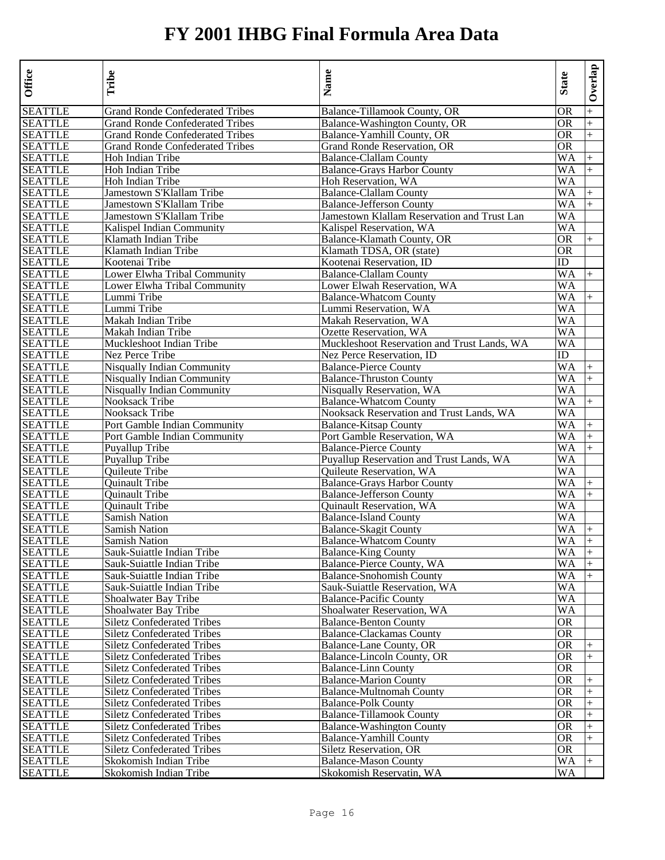| <b>Office</b>  | Tribe                                  | Name                                        | <b>State</b> | Overlap   |
|----------------|----------------------------------------|---------------------------------------------|--------------|-----------|
| <b>SEATTLE</b> | <b>Grand Ronde Confederated Tribes</b> | Balance-Tillamook County, OR                | OR           | $^{+}$    |
| <b>SEATTLE</b> | <b>Grand Ronde Confederated Tribes</b> | Balance-Washington County, OR               | OR           | $^{+}$    |
| <b>SEATTLE</b> | <b>Grand Ronde Confederated Tribes</b> | Balance-Yamhill County, OR                  | OR           | $^{+}$    |
| <b>SEATTLE</b> | <b>Grand Ronde Confederated Tribes</b> | Grand Ronde Reservation, OR                 | OR           |           |
| <b>SEATTLE</b> | Hoh Indian Tribe                       | <b>Balance-Clallam County</b>               | WA           | $\ddot{}$ |
| <b>SEATTLE</b> | Hoh Indian Tribe                       | <b>Balance-Grays Harbor County</b>          | WA           | $+$       |
| <b>SEATTLE</b> | Hoh Indian Tribe                       | Hoh Reservation, WA                         | WA           |           |
| <b>SEATTLE</b> | Jamestown S'Klallam Tribe              | <b>Balance-Clallam County</b>               | WA           | $+$       |
| <b>SEATTLE</b> | Jamestown S'Klallam Tribe              | <b>Balance-Jefferson County</b>             | WA           | $+$       |
| <b>SEATTLE</b> | Jamestown S'Klallam Tribe              | Jamestown Klallam Reservation and Trust Lan | WA           |           |
| <b>SEATTLE</b> | Kalispel Indian Community              | Kalispel Reservation, WA                    | WA           |           |
| <b>SEATTLE</b> | Klamath Indian Tribe                   | Balance-Klamath County, OR                  | OR           | $^{+}$    |
| <b>SEATTLE</b> | Klamath Indian Tribe                   | Klamath TDSA, OR (state)                    | <b>OR</b>    |           |
| <b>SEATTLE</b> | Kootenai Tribe                         | Kootenai Reservation, ID                    | ID           |           |
| <b>SEATTLE</b> | Lower Elwha Tribal Community           | <b>Balance-Clallam County</b>               | WA           | $+$       |
| <b>SEATTLE</b> | Lower Elwha Tribal Community           | Lower Elwah Reservation, WA                 | WA           |           |
| <b>SEATTLE</b> | Lummi Tribe                            | <b>Balance-Whatcom County</b>               | WA           | $+$       |
| <b>SEATTLE</b> | Lummi Tribe                            | Lummi Reservation, WA                       | WA           |           |
| <b>SEATTLE</b> | Makah Indian Tribe                     | Makah Reservation, WA                       | WA           |           |
| <b>SEATTLE</b> | Makah Indian Tribe                     | Ozette Reservation, WA                      | WA           |           |
| <b>SEATTLE</b> | Muckleshoot Indian Tribe               | Muckleshoot Reservation and Trust Lands, WA | WA           |           |
| <b>SEATTLE</b> | Nez Perce Tribe                        | Nez Perce Reservation, ID                   | ID           |           |
| <b>SEATTLE</b> | <b>Nisqually Indian Community</b>      | <b>Balance-Pierce County</b>                | WA           | $^{+}$    |
| <b>SEATTLE</b> | <b>Nisqually Indian Community</b>      | <b>Balance-Thruston County</b>              | WA           | $\ddot{}$ |
| <b>SEATTLE</b> | Nisqually Indian Community             | Nisqually Reservation, WA                   | WA           |           |
| <b>SEATTLE</b> | Nooksack Tribe                         | <b>Balance-Whatcom County</b>               | WA           | $^{+}$    |
| <b>SEATTLE</b> | Nooksack Tribe                         | Nooksack Reservation and Trust Lands, WA    | WA           |           |
| <b>SEATTLE</b> | Port Gamble Indian Community           | <b>Balance-Kitsap County</b>                | WA           | $+$       |
| <b>SEATTLE</b> | Port Gamble Indian Community           | Port Gamble Reservation, WA                 | WA           | $+$       |
| <b>SEATTLE</b> | Puyallup Tribe                         | <b>Balance-Pierce County</b>                | WA           | $^{+}$    |
| <b>SEATTLE</b> | Puyallup Tribe                         | Puyallup Reservation and Trust Lands, WA    | WA           |           |
| <b>SEATTLE</b> | <b>Ouileute Tribe</b>                  | Quileute Reservation, WA                    | WA           |           |
| <b>SEATTLE</b> | Quinault Tribe                         | <b>Balance-Grays Harbor County</b>          | WA           | $^{+}$    |
| <b>SEATTLE</b> | Quinault Tribe                         | <b>Balance-Jefferson County</b>             | WA           | $+$       |
| <b>SEATTLE</b> | Quinault Tribe                         | Quinault Reservation, WA                    | WA           |           |
| <b>SEATTLE</b> | Samish Nation                          | <b>Balance-Island County</b>                | WA           |           |
| <b>SEATTLE</b> | <b>Samish Nation</b>                   | <b>Balance-Skagit County</b>                | WA           | $^{+}$    |
| <b>SEATTLE</b> | Samish Nation                          | <b>Balance-Whatcom County</b>               | WA           | $\ddot{}$ |
| <b>SEATTLE</b> | Sauk-Suiattle Indian Tribe             | <b>Balance-King County</b>                  | WA           | $+$       |
| <b>SEATTLE</b> | Sauk-Suiattle Indian Tribe             | Balance-Pierce County, WA                   | WA           | $\ddot{}$ |
| <b>SEATTLE</b> | Sauk-Suiattle Indian Tribe             | <b>Balance-Snohomish County</b>             | WA           | $+$       |
| <b>SEATTLE</b> | Sauk-Suiattle Indian Tribe             | Sauk-Suiattle Reservation, WA               | WA           |           |
| <b>SEATTLE</b> | Shoalwater Bay Tribe                   | <b>Balance-Pacific County</b>               | WA           |           |
| <b>SEATTLE</b> | Shoalwater Bay Tribe                   | Shoalwater Reservation, WA                  | WA           |           |
| <b>SEATTLE</b> | <b>Siletz Confederated Tribes</b>      | <b>Balance-Benton County</b>                | <b>OR</b>    |           |
| <b>SEATTLE</b> | <b>Siletz Confederated Tribes</b>      | <b>Balance-Clackamas County</b>             | <b>OR</b>    |           |
| <b>SEATTLE</b> | <b>Siletz Confederated Tribes</b>      | Balance-Lane County, OR                     | OR           | $^{+}$    |
| <b>SEATTLE</b> | <b>Siletz Confederated Tribes</b>      | Balance-Lincoln County, OR                  | OR           | $+$       |
| <b>SEATTLE</b> | Siletz Confederated Tribes             | <b>Balance-Linn County</b>                  | OR           |           |
| <b>SEATTLE</b> | <b>Siletz Confederated Tribes</b>      | <b>Balance-Marion County</b>                | <b>OR</b>    | $^{+}$    |
| <b>SEATTLE</b> | <b>Siletz Confederated Tribes</b>      | <b>Balance-Multnomah County</b>             | <b>OR</b>    | $+$       |
| <b>SEATTLE</b> | <b>Siletz Confederated Tribes</b>      | <b>Balance-Polk County</b>                  | OR           | $^{+}$    |
| <b>SEATTLE</b> | <b>Siletz Confederated Tribes</b>      | <b>Balance-Tillamook County</b>             | <b>OR</b>    |           |
| <b>SEATTLE</b> | <b>Siletz Confederated Tribes</b>      | <b>Balance-Washington County</b>            | <b>OR</b>    | $+$       |
| <b>SEATTLE</b> | <b>Siletz Confederated Tribes</b>      | <b>Balance-Yamhill County</b>               | <b>OR</b>    | $+$       |
| <b>SEATTLE</b> | <b>Siletz Confederated Tribes</b>      | Siletz Reservation, OR                      | 0R           |           |
| <b>SEATTLE</b> | Skokomish Indian Tribe                 | <b>Balance-Mason County</b>                 | WA           |           |
| <b>SEATTLE</b> | Skokomish Indian Tribe                 | Skokomish Reservatin, WA                    | WA           |           |